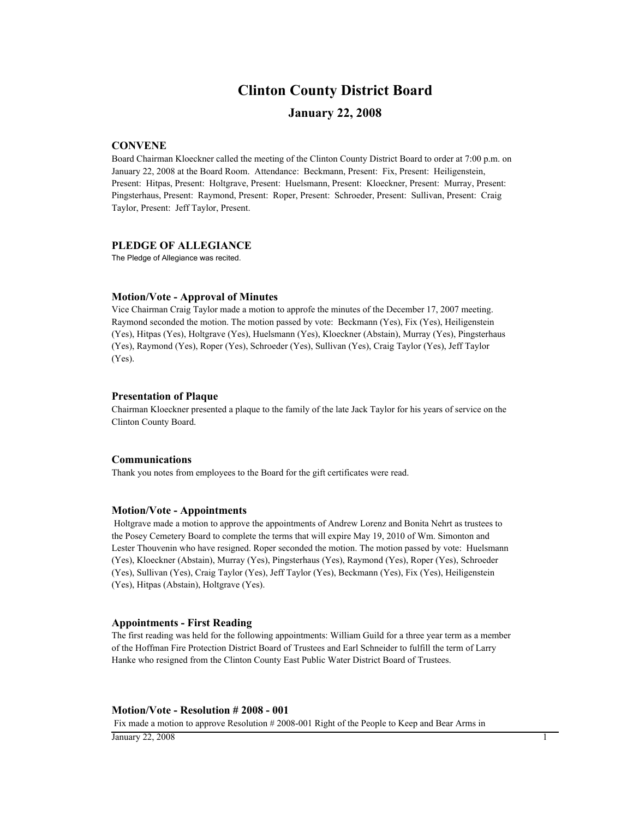# **Clinton County District Board**

### **January 22, 2008**

#### **CONVENE**

Board Chairman Kloeckner called the meeting of the Clinton County District Board to order at 7:00 p.m. on January 22, 2008 at the Board Room. Attendance: Beckmann, Present: Fix, Present: Heiligenstein, Present: Hitpas, Present: Holtgrave, Present: Huelsmann, Present: Kloeckner, Present: Murray, Present: Pingsterhaus, Present: Raymond, Present: Roper, Present: Schroeder, Present: Sullivan, Present: Craig Taylor, Present: Jeff Taylor, Present.

#### **PLEDGE OF ALLEGIANCE**

The Pledge of Allegiance was recited.

#### **Motion/Vote - Approval of Minutes**

Vice Chairman Craig Taylor made a motion to approfe the minutes of the December 17, 2007 meeting. Raymond seconded the motion. The motion passed by vote: Beckmann (Yes), Fix (Yes), Heiligenstein (Yes), Hitpas (Yes), Holtgrave (Yes), Huelsmann (Yes), Kloeckner (Abstain), Murray (Yes), Pingsterhaus (Yes), Raymond (Yes), Roper (Yes), Schroeder (Yes), Sullivan (Yes), Craig Taylor (Yes), Jeff Taylor (Yes).

#### **Presentation of Plaque**

Chairman Kloeckner presented a plaque to the family of the late Jack Taylor for his years of service on the Clinton County Board.

#### **Communications**

Thank you notes from employees to the Board for the gift certificates were read.

#### **Motion/Vote - Appointments**

 Holtgrave made a motion to approve the appointments of Andrew Lorenz and Bonita Nehrt as trustees to the Posey Cemetery Board to complete the terms that will expire May 19, 2010 of Wm. Simonton and Lester Thouvenin who have resigned. Roper seconded the motion. The motion passed by vote: Huelsmann (Yes), Kloeckner (Abstain), Murray (Yes), Pingsterhaus (Yes), Raymond (Yes), Roper (Yes), Schroeder (Yes), Sullivan (Yes), Craig Taylor (Yes), Jeff Taylor (Yes), Beckmann (Yes), Fix (Yes), Heiligenstein (Yes), Hitpas (Abstain), Holtgrave (Yes).

#### **Appointments - First Reading**

The first reading was held for the following appointments: William Guild for a three year term as a member of the Hoffman Fire Protection District Board of Trustees and Earl Schneider to fulfill the term of Larry Hanke who resigned from the Clinton County East Public Water District Board of Trustees.

#### **Motion/Vote - Resolution # 2008 - 001**

Fix made a motion to approve Resolution # 2008-001 Right of the People to Keep and Bear Arms in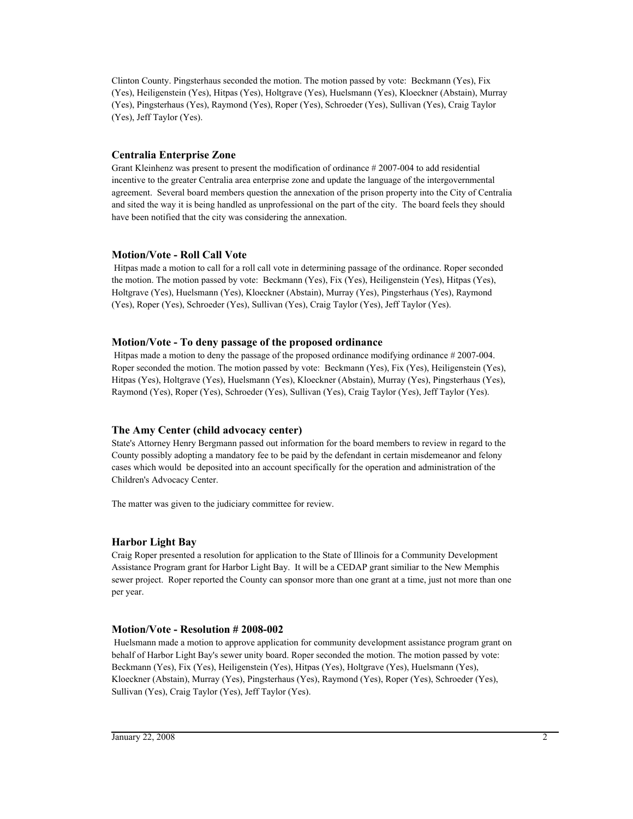Clinton County. Pingsterhaus seconded the motion. The motion passed by vote: Beckmann (Yes), Fix (Yes), Heiligenstein (Yes), Hitpas (Yes), Holtgrave (Yes), Huelsmann (Yes), Kloeckner (Abstain), Murray (Yes), Pingsterhaus (Yes), Raymond (Yes), Roper (Yes), Schroeder (Yes), Sullivan (Yes), Craig Taylor (Yes), Jeff Taylor (Yes).

#### **Centralia Enterprise Zone**

Grant Kleinhenz was present to present the modification of ordinance # 2007-004 to add residential incentive to the greater Centralia area enterprise zone and update the language of the intergovernmental agreement. Several board members question the annexation of the prison property into the City of Centralia and sited the way it is being handled as unprofessional on the part of the city. The board feels they should have been notified that the city was considering the annexation.

#### **Motion/Vote - Roll Call Vote**

 Hitpas made a motion to call for a roll call vote in determining passage of the ordinance. Roper seconded the motion. The motion passed by vote: Beckmann (Yes), Fix (Yes), Heiligenstein (Yes), Hitpas (Yes), Holtgrave (Yes), Huelsmann (Yes), Kloeckner (Abstain), Murray (Yes), Pingsterhaus (Yes), Raymond (Yes), Roper (Yes), Schroeder (Yes), Sullivan (Yes), Craig Taylor (Yes), Jeff Taylor (Yes).

#### **Motion/Vote - To deny passage of the proposed ordinance**

 Hitpas made a motion to deny the passage of the proposed ordinance modifying ordinance # 2007-004. Roper seconded the motion. The motion passed by vote: Beckmann (Yes), Fix (Yes), Heiligenstein (Yes), Hitpas (Yes), Holtgrave (Yes), Huelsmann (Yes), Kloeckner (Abstain), Murray (Yes), Pingsterhaus (Yes), Raymond (Yes), Roper (Yes), Schroeder (Yes), Sullivan (Yes), Craig Taylor (Yes), Jeff Taylor (Yes).

#### **The Amy Center (child advocacy center)**

State's Attorney Henry Bergmann passed out information for the board members to review in regard to the County possibly adopting a mandatory fee to be paid by the defendant in certain misdemeanor and felony cases which would be deposited into an account specifically for the operation and administration of the Children's Advocacy Center.

The matter was given to the judiciary committee for review.

#### **Harbor Light Bay**

Craig Roper presented a resolution for application to the State of Illinois for a Community Development Assistance Program grant for Harbor Light Bay. It will be a CEDAP grant similiar to the New Memphis sewer project. Roper reported the County can sponsor more than one grant at a time, just not more than one per year.

#### **Motion/Vote - Resolution # 2008-002**

 Huelsmann made a motion to approve application for community development assistance program grant on behalf of Harbor Light Bay's sewer unity board. Roper seconded the motion. The motion passed by vote: Beckmann (Yes), Fix (Yes), Heiligenstein (Yes), Hitpas (Yes), Holtgrave (Yes), Huelsmann (Yes), Kloeckner (Abstain), Murray (Yes), Pingsterhaus (Yes), Raymond (Yes), Roper (Yes), Schroeder (Yes), Sullivan (Yes), Craig Taylor (Yes), Jeff Taylor (Yes).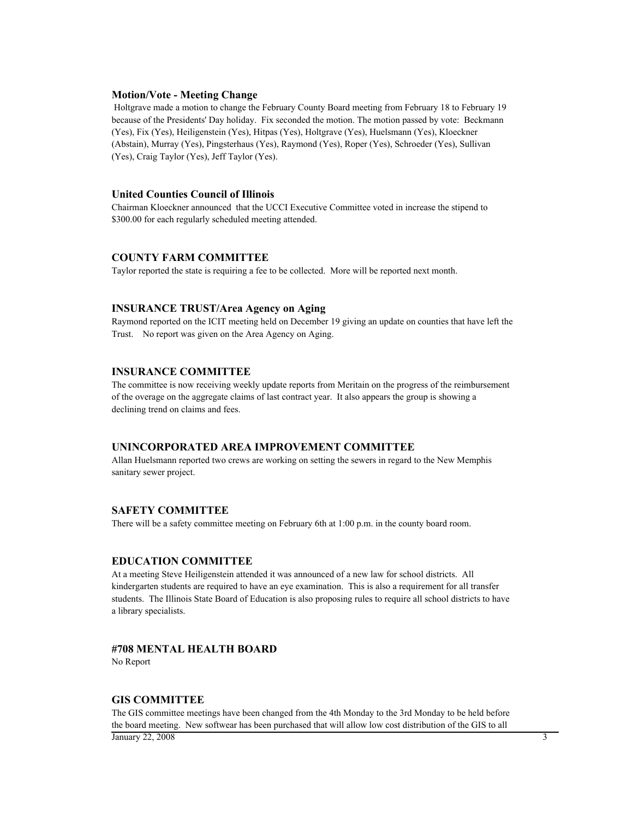#### **Motion/Vote - Meeting Change**

 Holtgrave made a motion to change the February County Board meeting from February 18 to February 19 because of the Presidents' Day holiday. Fix seconded the motion. The motion passed by vote: Beckmann (Yes), Fix (Yes), Heiligenstein (Yes), Hitpas (Yes), Holtgrave (Yes), Huelsmann (Yes), Kloeckner (Abstain), Murray (Yes), Pingsterhaus (Yes), Raymond (Yes), Roper (Yes), Schroeder (Yes), Sullivan (Yes), Craig Taylor (Yes), Jeff Taylor (Yes).

#### **United Counties Council of Illinois**

Chairman Kloeckner announced that the UCCI Executive Committee voted in increase the stipend to \$300.00 for each regularly scheduled meeting attended.

#### **COUNTY FARM COMMITTEE**

Taylor reported the state is requiring a fee to be collected. More will be reported next month.

#### **INSURANCE TRUST/Area Agency on Aging**

Raymond reported on the ICIT meeting held on December 19 giving an update on counties that have left the Trust. No report was given on the Area Agency on Aging.

#### **INSURANCE COMMITTEE**

The committee is now receiving weekly update reports from Meritain on the progress of the reimbursement of the overage on the aggregate claims of last contract year. It also appears the group is showing a declining trend on claims and fees.

#### **UNINCORPORATED AREA IMPROVEMENT COMMITTEE**

Allan Huelsmann reported two crews are working on setting the sewers in regard to the New Memphis sanitary sewer project.

#### **SAFETY COMMITTEE**

There will be a safety committee meeting on February 6th at 1:00 p.m. in the county board room.

#### **EDUCATION COMMITTEE**

At a meeting Steve Heiligenstein attended it was announced of a new law for school districts. All kindergarten students are required to have an eye examination. This is also a requirement for all transfer students. The Illinois State Board of Education is also proposing rules to require all school districts to have a library specialists.

#### **#708 MENTAL HEALTH BOARD**

No Report

#### **GIS COMMITTEE**

The GIS committee meetings have been changed from the 4th Monday to the 3rd Monday to be held before the board meeting. New softwear has been purchased that will allow low cost distribution of the GIS to all  $\frac{1}{3}$  January 22, 2008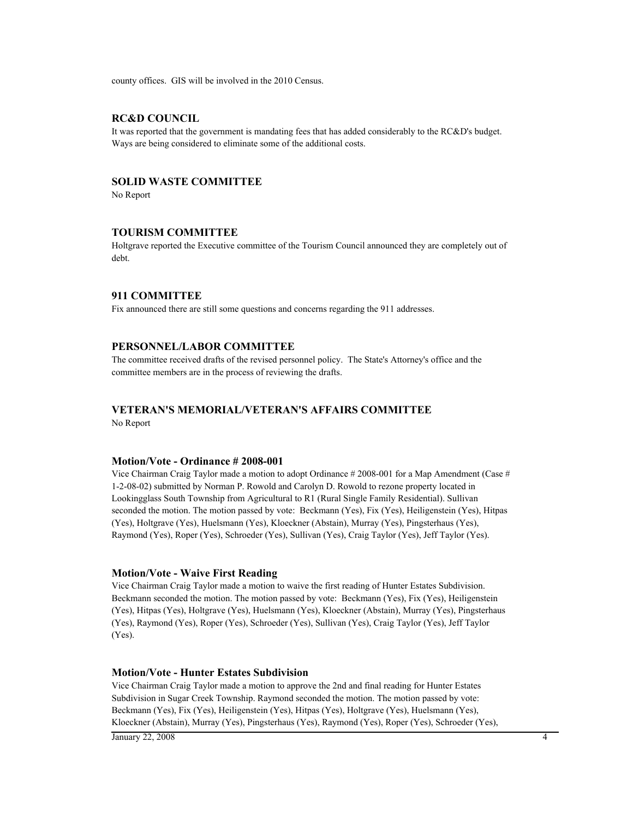county offices. GIS will be involved in the 2010 Census.

#### **RC&D COUNCIL**

It was reported that the government is mandating fees that has added considerably to the RC&D's budget. Ways are being considered to eliminate some of the additional costs.

#### **SOLID WASTE COMMITTEE**

No Report

#### **TOURISM COMMITTEE**

Holtgrave reported the Executive committee of the Tourism Council announced they are completely out of debt.

#### **911 COMMITTEE**

Fix announced there are still some questions and concerns regarding the 911 addresses.

#### **PERSONNEL/LABOR COMMITTEE**

The committee received drafts of the revised personnel policy. The State's Attorney's office and the committee members are in the process of reviewing the drafts.

#### **VETERAN'S MEMORIAL/VETERAN'S AFFAIRS COMMITTEE**

No Report

#### **Motion/Vote - Ordinance # 2008-001**

Vice Chairman Craig Taylor made a motion to adopt Ordinance # 2008-001 for a Map Amendment (Case # 1-2-08-02) submitted by Norman P. Rowold and Carolyn D. Rowold to rezone property located in Lookingglass South Township from Agricultural to R1 (Rural Single Family Residential). Sullivan seconded the motion. The motion passed by vote: Beckmann (Yes), Fix (Yes), Heiligenstein (Yes), Hitpas (Yes), Holtgrave (Yes), Huelsmann (Yes), Kloeckner (Abstain), Murray (Yes), Pingsterhaus (Yes), Raymond (Yes), Roper (Yes), Schroeder (Yes), Sullivan (Yes), Craig Taylor (Yes), Jeff Taylor (Yes).

#### **Motion/Vote - Waive First Reading**

Vice Chairman Craig Taylor made a motion to waive the first reading of Hunter Estates Subdivision. Beckmann seconded the motion. The motion passed by vote: Beckmann (Yes), Fix (Yes), Heiligenstein (Yes), Hitpas (Yes), Holtgrave (Yes), Huelsmann (Yes), Kloeckner (Abstain), Murray (Yes), Pingsterhaus (Yes), Raymond (Yes), Roper (Yes), Schroeder (Yes), Sullivan (Yes), Craig Taylor (Yes), Jeff Taylor (Yes).

#### **Motion/Vote - Hunter Estates Subdivision**

Vice Chairman Craig Taylor made a motion to approve the 2nd and final reading for Hunter Estates Subdivision in Sugar Creek Township. Raymond seconded the motion. The motion passed by vote: Beckmann (Yes), Fix (Yes), Heiligenstein (Yes), Hitpas (Yes), Holtgrave (Yes), Huelsmann (Yes), Kloeckner (Abstain), Murray (Yes), Pingsterhaus (Yes), Raymond (Yes), Roper (Yes), Schroeder (Yes),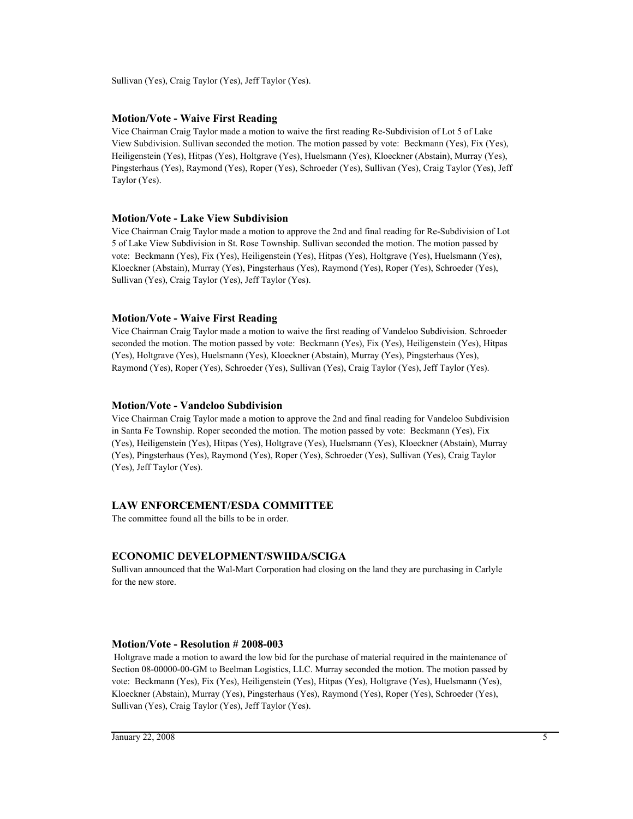Sullivan (Yes), Craig Taylor (Yes), Jeff Taylor (Yes).

#### **Motion/Vote - Waive First Reading**

Vice Chairman Craig Taylor made a motion to waive the first reading Re-Subdivision of Lot 5 of Lake View Subdivision. Sullivan seconded the motion. The motion passed by vote: Beckmann (Yes), Fix (Yes), Heiligenstein (Yes), Hitpas (Yes), Holtgrave (Yes), Huelsmann (Yes), Kloeckner (Abstain), Murray (Yes), Pingsterhaus (Yes), Raymond (Yes), Roper (Yes), Schroeder (Yes), Sullivan (Yes), Craig Taylor (Yes), Jeff Taylor (Yes).

#### **Motion/Vote - Lake View Subdivision**

Vice Chairman Craig Taylor made a motion to approve the 2nd and final reading for Re-Subdivision of Lot 5 of Lake View Subdivision in St. Rose Township. Sullivan seconded the motion. The motion passed by vote: Beckmann (Yes), Fix (Yes), Heiligenstein (Yes), Hitpas (Yes), Holtgrave (Yes), Huelsmann (Yes), Kloeckner (Abstain), Murray (Yes), Pingsterhaus (Yes), Raymond (Yes), Roper (Yes), Schroeder (Yes), Sullivan (Yes), Craig Taylor (Yes), Jeff Taylor (Yes).

#### **Motion/Vote - Waive First Reading**

Vice Chairman Craig Taylor made a motion to waive the first reading of Vandeloo Subdivision. Schroeder seconded the motion. The motion passed by vote: Beckmann (Yes), Fix (Yes), Heiligenstein (Yes), Hitpas (Yes), Holtgrave (Yes), Huelsmann (Yes), Kloeckner (Abstain), Murray (Yes), Pingsterhaus (Yes), Raymond (Yes), Roper (Yes), Schroeder (Yes), Sullivan (Yes), Craig Taylor (Yes), Jeff Taylor (Yes).

#### **Motion/Vote - Vandeloo Subdivision**

Vice Chairman Craig Taylor made a motion to approve the 2nd and final reading for Vandeloo Subdivision in Santa Fe Township. Roper seconded the motion. The motion passed by vote: Beckmann (Yes), Fix (Yes), Heiligenstein (Yes), Hitpas (Yes), Holtgrave (Yes), Huelsmann (Yes), Kloeckner (Abstain), Murray (Yes), Pingsterhaus (Yes), Raymond (Yes), Roper (Yes), Schroeder (Yes), Sullivan (Yes), Craig Taylor (Yes), Jeff Taylor (Yes).

#### **LAW ENFORCEMENT/ESDA COMMITTEE**

The committee found all the bills to be in order.

#### **ECONOMIC DEVELOPMENT/SWIIDA/SCIGA**

Sullivan announced that the Wal-Mart Corporation had closing on the land they are purchasing in Carlyle for the new store.

#### **Motion/Vote - Resolution # 2008-003**

 Holtgrave made a motion to award the low bid for the purchase of material required in the maintenance of Section 08-00000-00-GM to Beelman Logistics, LLC. Murray seconded the motion. The motion passed by vote: Beckmann (Yes), Fix (Yes), Heiligenstein (Yes), Hitpas (Yes), Holtgrave (Yes), Huelsmann (Yes), Kloeckner (Abstain), Murray (Yes), Pingsterhaus (Yes), Raymond (Yes), Roper (Yes), Schroeder (Yes), Sullivan (Yes), Craig Taylor (Yes), Jeff Taylor (Yes).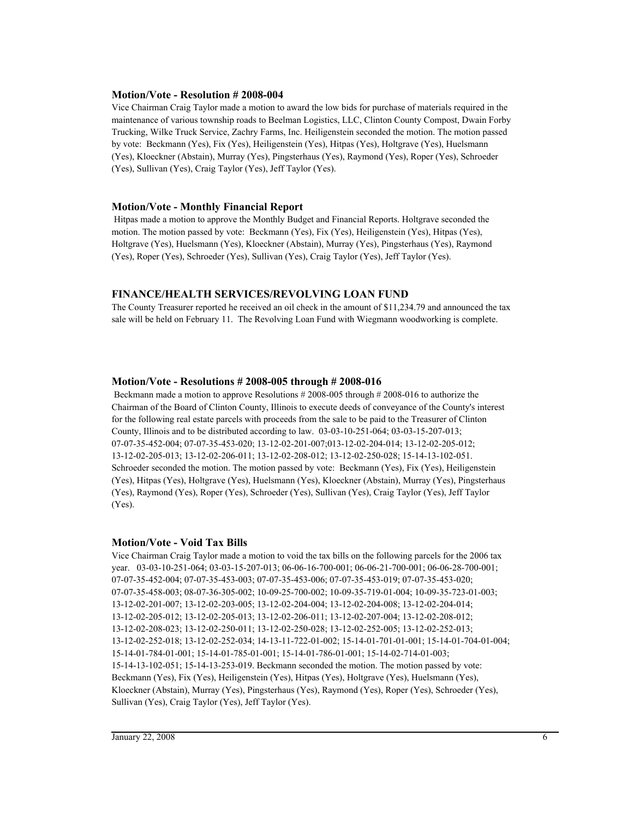#### **Motion/Vote - Resolution # 2008-004**

Vice Chairman Craig Taylor made a motion to award the low bids for purchase of materials required in the maintenance of various township roads to Beelman Logistics, LLC, Clinton County Compost, Dwain Forby Trucking, Wilke Truck Service, Zachry Farms, Inc. Heiligenstein seconded the motion. The motion passed by vote: Beckmann (Yes), Fix (Yes), Heiligenstein (Yes), Hitpas (Yes), Holtgrave (Yes), Huelsmann (Yes), Kloeckner (Abstain), Murray (Yes), Pingsterhaus (Yes), Raymond (Yes), Roper (Yes), Schroeder (Yes), Sullivan (Yes), Craig Taylor (Yes), Jeff Taylor (Yes).

#### **Motion/Vote - Monthly Financial Report**

 Hitpas made a motion to approve the Monthly Budget and Financial Reports. Holtgrave seconded the motion. The motion passed by vote: Beckmann (Yes), Fix (Yes), Heiligenstein (Yes), Hitpas (Yes), Holtgrave (Yes), Huelsmann (Yes), Kloeckner (Abstain), Murray (Yes), Pingsterhaus (Yes), Raymond (Yes), Roper (Yes), Schroeder (Yes), Sullivan (Yes), Craig Taylor (Yes), Jeff Taylor (Yes).

#### **FINANCE/HEALTH SERVICES/REVOLVING LOAN FUND**

The County Treasurer reported he received an oil check in the amount of \$11,234.79 and announced the tax sale will be held on February 11. The Revolving Loan Fund with Wiegmann woodworking is complete.

#### **Motion/Vote - Resolutions # 2008-005 through # 2008-016**

 Beckmann made a motion to approve Resolutions # 2008-005 through # 2008-016 to authorize the Chairman of the Board of Clinton County, Illinois to execute deeds of conveyance of the County's interest for the following real estate parcels with proceeds from the sale to be paid to the Treasurer of Clinton County, Illinois and to be distributed according to law. 03-03-10-251-064; 03-03-15-207-013; 07-07-35-452-004; 07-07-35-453-020; 13-12-02-201-007;013-12-02-204-014; 13-12-02-205-012; 13-12-02-205-013; 13-12-02-206-011; 13-12-02-208-012; 13-12-02-250-028; 15-14-13-102-051. Schroeder seconded the motion. The motion passed by vote: Beckmann (Yes), Fix (Yes), Heiligenstein (Yes), Hitpas (Yes), Holtgrave (Yes), Huelsmann (Yes), Kloeckner (Abstain), Murray (Yes), Pingsterhaus (Yes), Raymond (Yes), Roper (Yes), Schroeder (Yes), Sullivan (Yes), Craig Taylor (Yes), Jeff Taylor (Yes).

#### **Motion/Vote - Void Tax Bills**

Vice Chairman Craig Taylor made a motion to void the tax bills on the following parcels for the 2006 tax year. 03-03-10-251-064; 03-03-15-207-013; 06-06-16-700-001; 06-06-21-700-001; 06-06-28-700-001; 07-07-35-452-004; 07-07-35-453-003; 07-07-35-453-006; 07-07-35-453-019; 07-07-35-453-020; 07-07-35-458-003; 08-07-36-305-002; 10-09-25-700-002; 10-09-35-719-01-004; 10-09-35-723-01-003; 13-12-02-201-007; 13-12-02-203-005; 13-12-02-204-004; 13-12-02-204-008; 13-12-02-204-014; 13-12-02-205-012; 13-12-02-205-013; 13-12-02-206-011; 13-12-02-207-004; 13-12-02-208-012; 13-12-02-208-023; 13-12-02-250-011; 13-12-02-250-028; 13-12-02-252-005; 13-12-02-252-013; 13-12-02-252-018; 13-12-02-252-034; 14-13-11-722-01-002; 15-14-01-701-01-001; 15-14-01-704-01-004; 15-14-01-784-01-001; 15-14-01-785-01-001; 15-14-01-786-01-001; 15-14-02-714-01-003; 15-14-13-102-051; 15-14-13-253-019. Beckmann seconded the motion. The motion passed by vote: Beckmann (Yes), Fix (Yes), Heiligenstein (Yes), Hitpas (Yes), Holtgrave (Yes), Huelsmann (Yes), Kloeckner (Abstain), Murray (Yes), Pingsterhaus (Yes), Raymond (Yes), Roper (Yes), Schroeder (Yes), Sullivan (Yes), Craig Taylor (Yes), Jeff Taylor (Yes).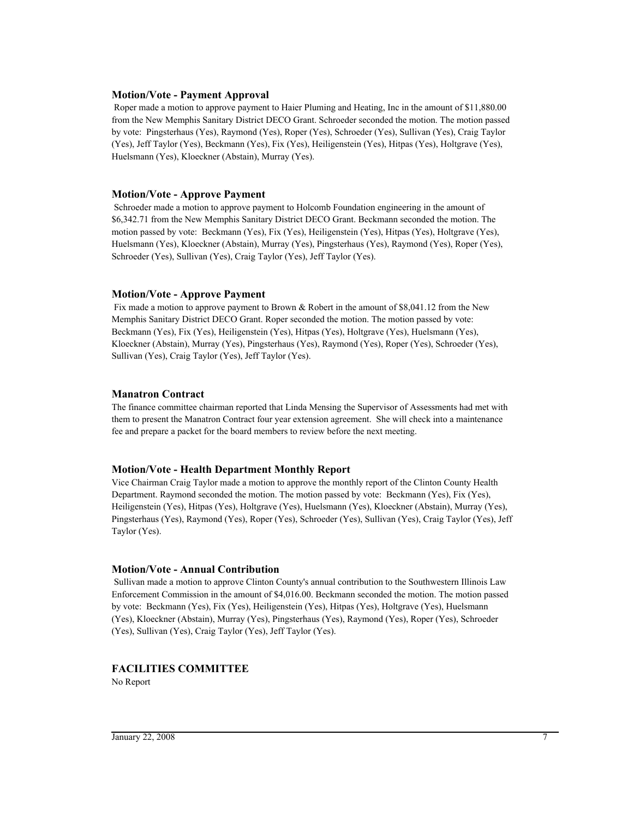#### **Motion/Vote - Payment Approval**

 Roper made a motion to approve payment to Haier Pluming and Heating, Inc in the amount of \$11,880.00 from the New Memphis Sanitary District DECO Grant. Schroeder seconded the motion. The motion passed by vote: Pingsterhaus (Yes), Raymond (Yes), Roper (Yes), Schroeder (Yes), Sullivan (Yes), Craig Taylor (Yes), Jeff Taylor (Yes), Beckmann (Yes), Fix (Yes), Heiligenstein (Yes), Hitpas (Yes), Holtgrave (Yes), Huelsmann (Yes), Kloeckner (Abstain), Murray (Yes).

#### **Motion/Vote - Approve Payment**

 Schroeder made a motion to approve payment to Holcomb Foundation engineering in the amount of \$6,342.71 from the New Memphis Sanitary District DECO Grant. Beckmann seconded the motion. The motion passed by vote: Beckmann (Yes), Fix (Yes), Heiligenstein (Yes), Hitpas (Yes), Holtgrave (Yes), Huelsmann (Yes), Kloeckner (Abstain), Murray (Yes), Pingsterhaus (Yes), Raymond (Yes), Roper (Yes), Schroeder (Yes), Sullivan (Yes), Craig Taylor (Yes), Jeff Taylor (Yes).

#### **Motion/Vote - Approve Payment**

Fix made a motion to approve payment to Brown & Robert in the amount of \$8,041.12 from the New Memphis Sanitary District DECO Grant. Roper seconded the motion. The motion passed by vote: Beckmann (Yes), Fix (Yes), Heiligenstein (Yes), Hitpas (Yes), Holtgrave (Yes), Huelsmann (Yes), Kloeckner (Abstain), Murray (Yes), Pingsterhaus (Yes), Raymond (Yes), Roper (Yes), Schroeder (Yes), Sullivan (Yes), Craig Taylor (Yes), Jeff Taylor (Yes).

#### **Manatron Contract**

The finance committee chairman reported that Linda Mensing the Supervisor of Assessments had met with them to present the Manatron Contract four year extension agreement. She will check into a maintenance fee and prepare a packet for the board members to review before the next meeting.

#### **Motion/Vote - Health Department Monthly Report**

Vice Chairman Craig Taylor made a motion to approve the monthly report of the Clinton County Health Department. Raymond seconded the motion. The motion passed by vote: Beckmann (Yes), Fix (Yes), Heiligenstein (Yes), Hitpas (Yes), Holtgrave (Yes), Huelsmann (Yes), Kloeckner (Abstain), Murray (Yes), Pingsterhaus (Yes), Raymond (Yes), Roper (Yes), Schroeder (Yes), Sullivan (Yes), Craig Taylor (Yes), Jeff Taylor (Yes).

#### **Motion/Vote - Annual Contribution**

 Sullivan made a motion to approve Clinton County's annual contribution to the Southwestern Illinois Law Enforcement Commission in the amount of \$4,016.00. Beckmann seconded the motion. The motion passed by vote: Beckmann (Yes), Fix (Yes), Heiligenstein (Yes), Hitpas (Yes), Holtgrave (Yes), Huelsmann (Yes), Kloeckner (Abstain), Murray (Yes), Pingsterhaus (Yes), Raymond (Yes), Roper (Yes), Schroeder (Yes), Sullivan (Yes), Craig Taylor (Yes), Jeff Taylor (Yes).

#### **FACILITIES COMMITTEE**

No Report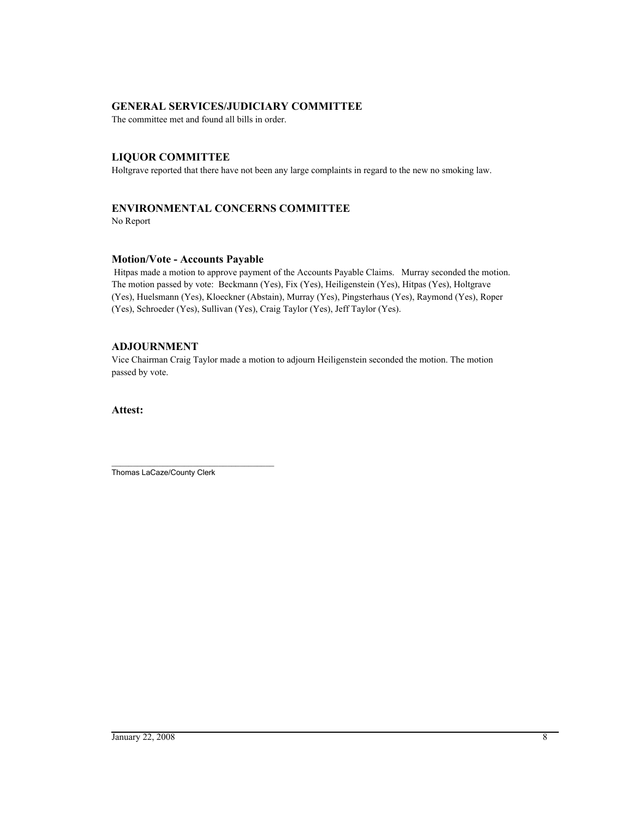#### **GENERAL SERVICES/JUDICIARY COMMITTEE**

The committee met and found all bills in order.

#### **LIQUOR COMMITTEE**

Holtgrave reported that there have not been any large complaints in regard to the new no smoking law.

#### **ENVIRONMENTAL CONCERNS COMMITTEE**

No Report

#### **Motion/Vote - Accounts Payable**

 Hitpas made a motion to approve payment of the Accounts Payable Claims. Murray seconded the motion. The motion passed by vote: Beckmann (Yes), Fix (Yes), Heiligenstein (Yes), Hitpas (Yes), Holtgrave (Yes), Huelsmann (Yes), Kloeckner (Abstain), Murray (Yes), Pingsterhaus (Yes), Raymond (Yes), Roper (Yes), Schroeder (Yes), Sullivan (Yes), Craig Taylor (Yes), Jeff Taylor (Yes).

#### **ADJOURNMENT**

Vice Chairman Craig Taylor made a motion to adjourn Heiligenstein seconded the motion. The motion passed by vote.

#### **Attest:**

\_\_\_\_\_\_\_\_\_\_\_\_\_\_\_\_\_\_\_\_\_\_\_\_\_\_\_\_\_\_\_\_\_\_\_\_\_\_ Thomas LaCaze/County Clerk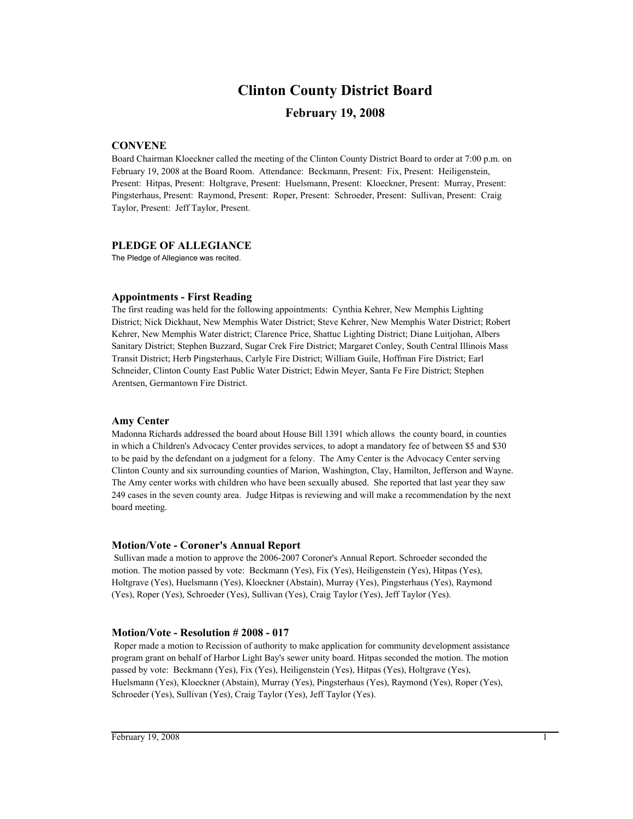## **Clinton County District Board**

#### **February 19, 2008**

#### **CONVENE**

Board Chairman Kloeckner called the meeting of the Clinton County District Board to order at 7:00 p.m. on February 19, 2008 at the Board Room. Attendance: Beckmann, Present: Fix, Present: Heiligenstein, Present: Hitpas, Present: Holtgrave, Present: Huelsmann, Present: Kloeckner, Present: Murray, Present: Pingsterhaus, Present: Raymond, Present: Roper, Present: Schroeder, Present: Sullivan, Present: Craig Taylor, Present: Jeff Taylor, Present.

#### **PLEDGE OF ALLEGIANCE**

The Pledge of Allegiance was recited.

#### **Appointments - First Reading**

The first reading was held for the following appointments: Cynthia Kehrer, New Memphis Lighting District; Nick Dickhaut, New Memphis Water District; Steve Kehrer, New Memphis Water District; Robert Kehrer, New Memphis Water district; Clarence Price, Shattuc Lighting District; Diane Luitjohan, Albers Sanitary District; Stephen Buzzard, Sugar Crek Fire District; Margaret Conley, South Central Illinois Mass Transit District; Herb Pingsterhaus, Carlyle Fire District; William Guile, Hoffman Fire District; Earl Schneider, Clinton County East Public Water District; Edwin Meyer, Santa Fe Fire District; Stephen Arentsen, Germantown Fire District.

#### **Amy Center**

Madonna Richards addressed the board about House Bill 1391 which allows the county board, in counties in which a Children's Advocacy Center provides services, to adopt a mandatory fee of between \$5 and \$30 to be paid by the defendant on a judgment for a felony. The Amy Center is the Advocacy Center serving Clinton County and six surrounding counties of Marion, Washington, Clay, Hamilton, Jefferson and Wayne. The Amy center works with children who have been sexually abused. She reported that last year they saw 249 cases in the seven county area. Judge Hitpas is reviewing and will make a recommendation by the next board meeting.

#### **Motion/Vote - Coroner's Annual Report**

 Sullivan made a motion to approve the 2006-2007 Coroner's Annual Report. Schroeder seconded the motion. The motion passed by vote: Beckmann (Yes), Fix (Yes), Heiligenstein (Yes), Hitpas (Yes), Holtgrave (Yes), Huelsmann (Yes), Kloeckner (Abstain), Murray (Yes), Pingsterhaus (Yes), Raymond (Yes), Roper (Yes), Schroeder (Yes), Sullivan (Yes), Craig Taylor (Yes), Jeff Taylor (Yes).

#### **Motion/Vote - Resolution # 2008 - 017**

 Roper made a motion to Recission of authority to make application for community development assistance program grant on behalf of Harbor Light Bay's sewer unity board. Hitpas seconded the motion. The motion passed by vote: Beckmann (Yes), Fix (Yes), Heiligenstein (Yes), Hitpas (Yes), Holtgrave (Yes), Huelsmann (Yes), Kloeckner (Abstain), Murray (Yes), Pingsterhaus (Yes), Raymond (Yes), Roper (Yes), Schroeder (Yes), Sullivan (Yes), Craig Taylor (Yes), Jeff Taylor (Yes).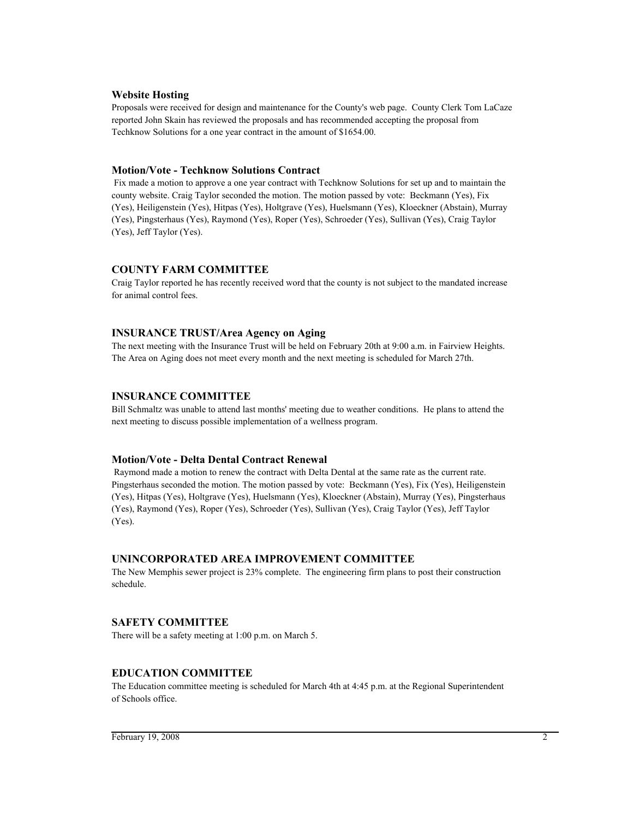#### **Website Hosting**

Proposals were received for design and maintenance for the County's web page. County Clerk Tom LaCaze reported John Skain has reviewed the proposals and has recommended accepting the proposal from Techknow Solutions for a one year contract in the amount of \$1654.00.

#### **Motion/Vote - Techknow Solutions Contract**

 Fix made a motion to approve a one year contract with Techknow Solutions for set up and to maintain the county website. Craig Taylor seconded the motion. The motion passed by vote: Beckmann (Yes), Fix (Yes), Heiligenstein (Yes), Hitpas (Yes), Holtgrave (Yes), Huelsmann (Yes), Kloeckner (Abstain), Murray (Yes), Pingsterhaus (Yes), Raymond (Yes), Roper (Yes), Schroeder (Yes), Sullivan (Yes), Craig Taylor (Yes), Jeff Taylor (Yes).

#### **COUNTY FARM COMMITTEE**

Craig Taylor reported he has recently received word that the county is not subject to the mandated increase for animal control fees.

#### **INSURANCE TRUST/Area Agency on Aging**

The next meeting with the Insurance Trust will be held on February 20th at 9:00 a.m. in Fairview Heights. The Area on Aging does not meet every month and the next meeting is scheduled for March 27th.

#### **INSURANCE COMMITTEE**

Bill Schmaltz was unable to attend last months' meeting due to weather conditions. He plans to attend the next meeting to discuss possible implementation of a wellness program.

#### **Motion/Vote - Delta Dental Contract Renewal**

 Raymond made a motion to renew the contract with Delta Dental at the same rate as the current rate. Pingsterhaus seconded the motion. The motion passed by vote: Beckmann (Yes), Fix (Yes), Heiligenstein (Yes), Hitpas (Yes), Holtgrave (Yes), Huelsmann (Yes), Kloeckner (Abstain), Murray (Yes), Pingsterhaus (Yes), Raymond (Yes), Roper (Yes), Schroeder (Yes), Sullivan (Yes), Craig Taylor (Yes), Jeff Taylor (Yes).

#### **UNINCORPORATED AREA IMPROVEMENT COMMITTEE**

The New Memphis sewer project is 23% complete. The engineering firm plans to post their construction schedule.

#### **SAFETY COMMITTEE**

There will be a safety meeting at 1:00 p.m. on March 5.

#### **EDUCATION COMMITTEE**

The Education committee meeting is scheduled for March 4th at 4:45 p.m. at the Regional Superintendent of Schools office.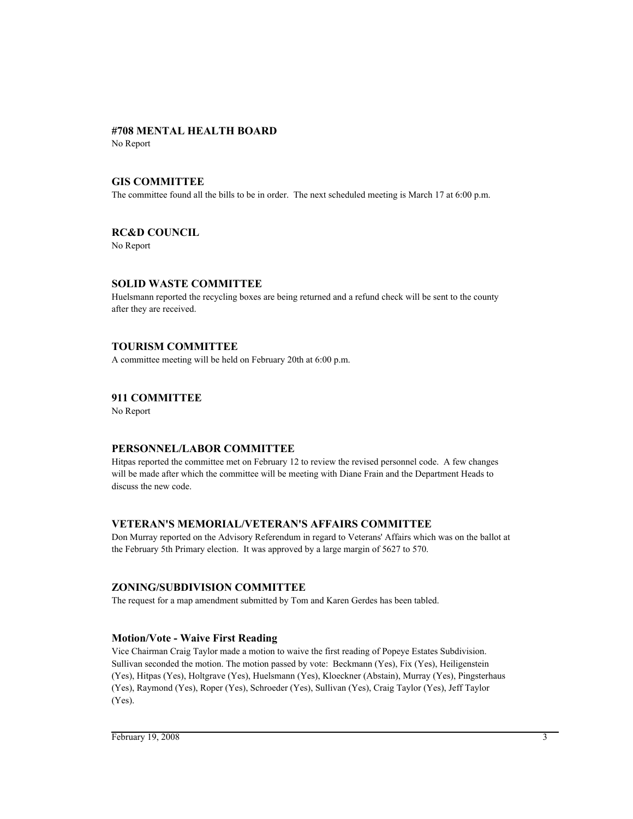#### **#708 MENTAL HEALTH BOARD**

No Report

#### **GIS COMMITTEE**

The committee found all the bills to be in order. The next scheduled meeting is March 17 at 6:00 p.m.

#### **RC&D COUNCIL**

No Report

#### **SOLID WASTE COMMITTEE**

Huelsmann reported the recycling boxes are being returned and a refund check will be sent to the county after they are received.

#### **TOURISM COMMITTEE**

A committee meeting will be held on February 20th at 6:00 p.m.

#### **911 COMMITTEE**

No Report

#### **PERSONNEL/LABOR COMMITTEE**

Hitpas reported the committee met on February 12 to review the revised personnel code. A few changes will be made after which the committee will be meeting with Diane Frain and the Department Heads to discuss the new code.

#### **VETERAN'S MEMORIAL/VETERAN'S AFFAIRS COMMITTEE**

Don Murray reported on the Advisory Referendum in regard to Veterans' Affairs which was on the ballot at the February 5th Primary election. It was approved by a large margin of 5627 to 570.

#### **ZONING/SUBDIVISION COMMITTEE**

The request for a map amendment submitted by Tom and Karen Gerdes has been tabled.

#### **Motion/Vote - Waive First Reading**

Vice Chairman Craig Taylor made a motion to waive the first reading of Popeye Estates Subdivision. Sullivan seconded the motion. The motion passed by vote: Beckmann (Yes), Fix (Yes), Heiligenstein (Yes), Hitpas (Yes), Holtgrave (Yes), Huelsmann (Yes), Kloeckner (Abstain), Murray (Yes), Pingsterhaus (Yes), Raymond (Yes), Roper (Yes), Schroeder (Yes), Sullivan (Yes), Craig Taylor (Yes), Jeff Taylor (Yes).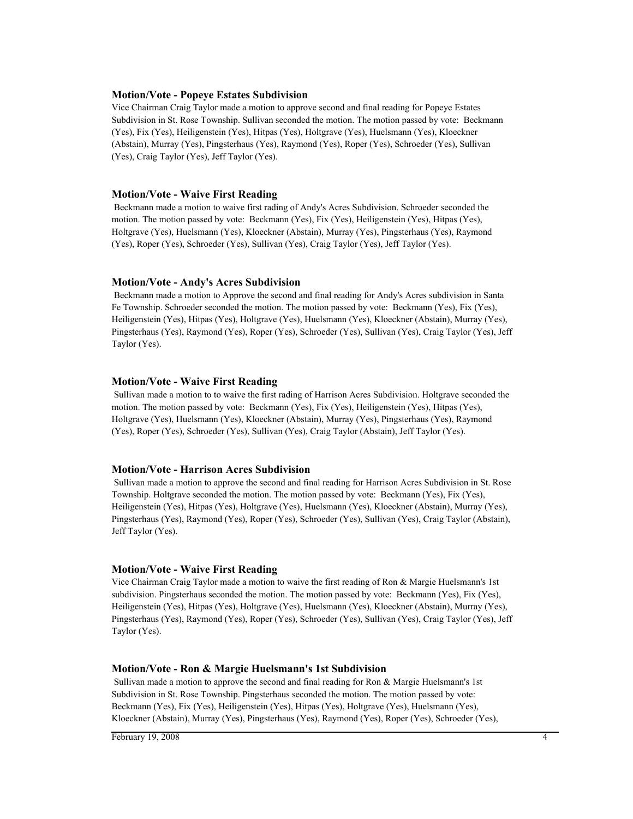#### **Motion/Vote - Popeye Estates Subdivision**

Vice Chairman Craig Taylor made a motion to approve second and final reading for Popeye Estates Subdivision in St. Rose Township. Sullivan seconded the motion. The motion passed by vote: Beckmann (Yes), Fix (Yes), Heiligenstein (Yes), Hitpas (Yes), Holtgrave (Yes), Huelsmann (Yes), Kloeckner (Abstain), Murray (Yes), Pingsterhaus (Yes), Raymond (Yes), Roper (Yes), Schroeder (Yes), Sullivan (Yes), Craig Taylor (Yes), Jeff Taylor (Yes).

#### **Motion/Vote - Waive First Reading**

 Beckmann made a motion to waive first rading of Andy's Acres Subdivision. Schroeder seconded the motion. The motion passed by vote: Beckmann (Yes), Fix (Yes), Heiligenstein (Yes), Hitpas (Yes), Holtgrave (Yes), Huelsmann (Yes), Kloeckner (Abstain), Murray (Yes), Pingsterhaus (Yes), Raymond (Yes), Roper (Yes), Schroeder (Yes), Sullivan (Yes), Craig Taylor (Yes), Jeff Taylor (Yes).

#### **Motion/Vote - Andy's Acres Subdivision**

 Beckmann made a motion to Approve the second and final reading for Andy's Acres subdivision in Santa Fe Township. Schroeder seconded the motion. The motion passed by vote: Beckmann (Yes), Fix (Yes), Heiligenstein (Yes), Hitpas (Yes), Holtgrave (Yes), Huelsmann (Yes), Kloeckner (Abstain), Murray (Yes), Pingsterhaus (Yes), Raymond (Yes), Roper (Yes), Schroeder (Yes), Sullivan (Yes), Craig Taylor (Yes), Jeff Taylor (Yes).

#### **Motion/Vote - Waive First Reading**

 Sullivan made a motion to to waive the first rading of Harrison Acres Subdivision. Holtgrave seconded the motion. The motion passed by vote: Beckmann (Yes), Fix (Yes), Heiligenstein (Yes), Hitpas (Yes), Holtgrave (Yes), Huelsmann (Yes), Kloeckner (Abstain), Murray (Yes), Pingsterhaus (Yes), Raymond (Yes), Roper (Yes), Schroeder (Yes), Sullivan (Yes), Craig Taylor (Abstain), Jeff Taylor (Yes).

#### **Motion/Vote - Harrison Acres Subdivision**

 Sullivan made a motion to approve the second and final reading for Harrison Acres Subdivision in St. Rose Township. Holtgrave seconded the motion. The motion passed by vote: Beckmann (Yes), Fix (Yes), Heiligenstein (Yes), Hitpas (Yes), Holtgrave (Yes), Huelsmann (Yes), Kloeckner (Abstain), Murray (Yes), Pingsterhaus (Yes), Raymond (Yes), Roper (Yes), Schroeder (Yes), Sullivan (Yes), Craig Taylor (Abstain), Jeff Taylor (Yes).

#### **Motion/Vote - Waive First Reading**

Vice Chairman Craig Taylor made a motion to waive the first reading of Ron & Margie Huelsmann's 1st subdivision. Pingsterhaus seconded the motion. The motion passed by vote: Beckmann (Yes), Fix (Yes), Heiligenstein (Yes), Hitpas (Yes), Holtgrave (Yes), Huelsmann (Yes), Kloeckner (Abstain), Murray (Yes), Pingsterhaus (Yes), Raymond (Yes), Roper (Yes), Schroeder (Yes), Sullivan (Yes), Craig Taylor (Yes), Jeff Taylor (Yes).

#### **Motion/Vote - Ron & Margie Huelsmann's 1st Subdivision**

 Sullivan made a motion to approve the second and final reading for Ron & Margie Huelsmann's 1st Subdivision in St. Rose Township. Pingsterhaus seconded the motion. The motion passed by vote: Beckmann (Yes), Fix (Yes), Heiligenstein (Yes), Hitpas (Yes), Holtgrave (Yes), Huelsmann (Yes), Kloeckner (Abstain), Murray (Yes), Pingsterhaus (Yes), Raymond (Yes), Roper (Yes), Schroeder (Yes),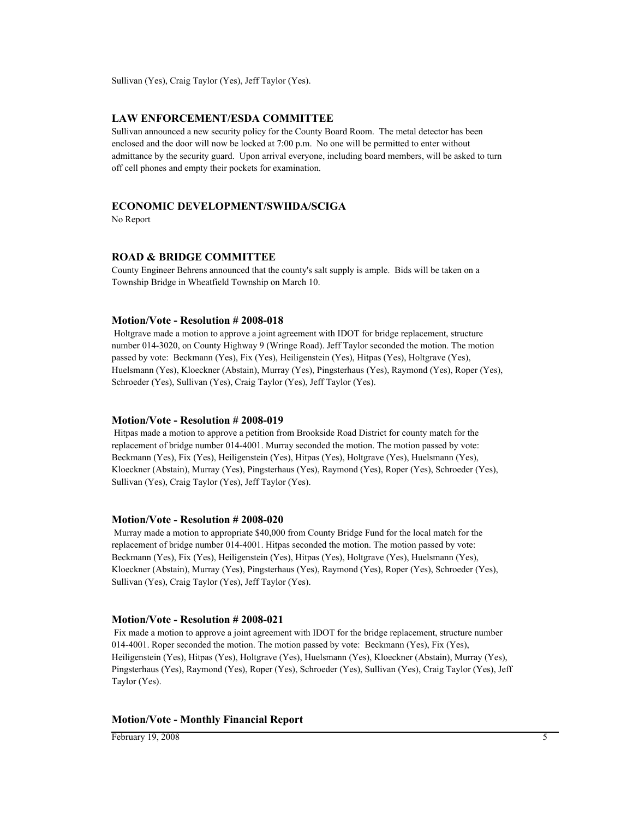Sullivan (Yes), Craig Taylor (Yes), Jeff Taylor (Yes).

#### **LAW ENFORCEMENT/ESDA COMMITTEE**

Sullivan announced a new security policy for the County Board Room. The metal detector has been enclosed and the door will now be locked at 7:00 p.m. No one will be permitted to enter without admittance by the security guard. Upon arrival everyone, including board members, will be asked to turn off cell phones and empty their pockets for examination.

#### **ECONOMIC DEVELOPMENT/SWIIDA/SCIGA**

No Report

#### **ROAD & BRIDGE COMMITTEE**

County Engineer Behrens announced that the county's salt supply is ample. Bids will be taken on a Township Bridge in Wheatfield Township on March 10.

#### **Motion/Vote - Resolution # 2008-018**

 Holtgrave made a motion to approve a joint agreement with IDOT for bridge replacement, structure number 014-3020, on County Highway 9 (Wringe Road). Jeff Taylor seconded the motion. The motion passed by vote: Beckmann (Yes), Fix (Yes), Heiligenstein (Yes), Hitpas (Yes), Holtgrave (Yes), Huelsmann (Yes), Kloeckner (Abstain), Murray (Yes), Pingsterhaus (Yes), Raymond (Yes), Roper (Yes), Schroeder (Yes), Sullivan (Yes), Craig Taylor (Yes), Jeff Taylor (Yes).

#### **Motion/Vote - Resolution # 2008-019**

 Hitpas made a motion to approve a petition from Brookside Road District for county match for the replacement of bridge number 014-4001. Murray seconded the motion. The motion passed by vote: Beckmann (Yes), Fix (Yes), Heiligenstein (Yes), Hitpas (Yes), Holtgrave (Yes), Huelsmann (Yes), Kloeckner (Abstain), Murray (Yes), Pingsterhaus (Yes), Raymond (Yes), Roper (Yes), Schroeder (Yes), Sullivan (Yes), Craig Taylor (Yes), Jeff Taylor (Yes).

#### **Motion/Vote - Resolution # 2008-020**

 Murray made a motion to appropriate \$40,000 from County Bridge Fund for the local match for the replacement of bridge number 014-4001. Hitpas seconded the motion. The motion passed by vote: Beckmann (Yes), Fix (Yes), Heiligenstein (Yes), Hitpas (Yes), Holtgrave (Yes), Huelsmann (Yes), Kloeckner (Abstain), Murray (Yes), Pingsterhaus (Yes), Raymond (Yes), Roper (Yes), Schroeder (Yes), Sullivan (Yes), Craig Taylor (Yes), Jeff Taylor (Yes).

#### **Motion/Vote - Resolution # 2008-021**

 Fix made a motion to approve a joint agreement with IDOT for the bridge replacement, structure number 014-4001. Roper seconded the motion. The motion passed by vote: Beckmann (Yes), Fix (Yes), Heiligenstein (Yes), Hitpas (Yes), Holtgrave (Yes), Huelsmann (Yes), Kloeckner (Abstain), Murray (Yes), Pingsterhaus (Yes), Raymond (Yes), Roper (Yes), Schroeder (Yes), Sullivan (Yes), Craig Taylor (Yes), Jeff Taylor (Yes).

#### **Motion/Vote - Monthly Financial Report**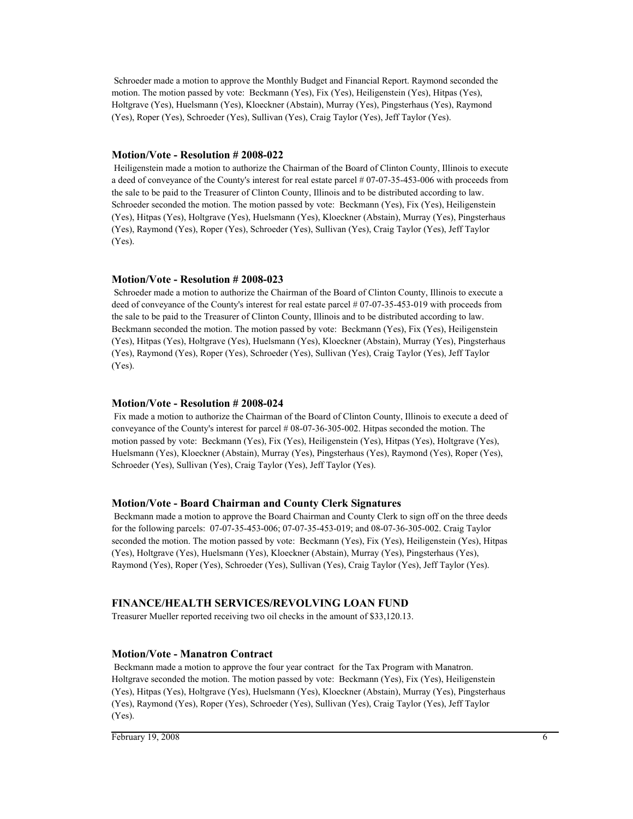Schroeder made a motion to approve the Monthly Budget and Financial Report. Raymond seconded the motion. The motion passed by vote: Beckmann (Yes), Fix (Yes), Heiligenstein (Yes), Hitpas (Yes), Holtgrave (Yes), Huelsmann (Yes), Kloeckner (Abstain), Murray (Yes), Pingsterhaus (Yes), Raymond (Yes), Roper (Yes), Schroeder (Yes), Sullivan (Yes), Craig Taylor (Yes), Jeff Taylor (Yes).

#### **Motion/Vote - Resolution # 2008-022**

 Heiligenstein made a motion to authorize the Chairman of the Board of Clinton County, Illinois to execute a deed of conveyance of the County's interest for real estate parcel # 07-07-35-453-006 with proceeds from the sale to be paid to the Treasurer of Clinton County, Illinois and to be distributed according to law. Schroeder seconded the motion. The motion passed by vote: Beckmann (Yes), Fix (Yes), Heiligenstein (Yes), Hitpas (Yes), Holtgrave (Yes), Huelsmann (Yes), Kloeckner (Abstain), Murray (Yes), Pingsterhaus (Yes), Raymond (Yes), Roper (Yes), Schroeder (Yes), Sullivan (Yes), Craig Taylor (Yes), Jeff Taylor (Yes).

#### **Motion/Vote - Resolution # 2008-023**

 Schroeder made a motion to authorize the Chairman of the Board of Clinton County, Illinois to execute a deed of conveyance of the County's interest for real estate parcel # 07-07-35-453-019 with proceeds from the sale to be paid to the Treasurer of Clinton County, Illinois and to be distributed according to law. Beckmann seconded the motion. The motion passed by vote: Beckmann (Yes), Fix (Yes), Heiligenstein (Yes), Hitpas (Yes), Holtgrave (Yes), Huelsmann (Yes), Kloeckner (Abstain), Murray (Yes), Pingsterhaus (Yes), Raymond (Yes), Roper (Yes), Schroeder (Yes), Sullivan (Yes), Craig Taylor (Yes), Jeff Taylor (Yes).

#### **Motion/Vote - Resolution # 2008-024**

 Fix made a motion to authorize the Chairman of the Board of Clinton County, Illinois to execute a deed of conveyance of the County's interest for parcel # 08-07-36-305-002. Hitpas seconded the motion. The motion passed by vote: Beckmann (Yes), Fix (Yes), Heiligenstein (Yes), Hitpas (Yes), Holtgrave (Yes), Huelsmann (Yes), Kloeckner (Abstain), Murray (Yes), Pingsterhaus (Yes), Raymond (Yes), Roper (Yes), Schroeder (Yes), Sullivan (Yes), Craig Taylor (Yes), Jeff Taylor (Yes).

#### **Motion/Vote - Board Chairman and County Clerk Signatures**

 Beckmann made a motion to approve the Board Chairman and County Clerk to sign off on the three deeds for the following parcels: 07-07-35-453-006; 07-07-35-453-019; and 08-07-36-305-002. Craig Taylor seconded the motion. The motion passed by vote: Beckmann (Yes), Fix (Yes), Heiligenstein (Yes), Hitpas (Yes), Holtgrave (Yes), Huelsmann (Yes), Kloeckner (Abstain), Murray (Yes), Pingsterhaus (Yes), Raymond (Yes), Roper (Yes), Schroeder (Yes), Sullivan (Yes), Craig Taylor (Yes), Jeff Taylor (Yes).

#### **FINANCE/HEALTH SERVICES/REVOLVING LOAN FUND**

Treasurer Mueller reported receiving two oil checks in the amount of \$33,120.13.

#### **Motion/Vote - Manatron Contract**

 Beckmann made a motion to approve the four year contract for the Tax Program with Manatron. Holtgrave seconded the motion. The motion passed by vote: Beckmann (Yes), Fix (Yes), Heiligenstein (Yes), Hitpas (Yes), Holtgrave (Yes), Huelsmann (Yes), Kloeckner (Abstain), Murray (Yes), Pingsterhaus (Yes), Raymond (Yes), Roper (Yes), Schroeder (Yes), Sullivan (Yes), Craig Taylor (Yes), Jeff Taylor (Yes).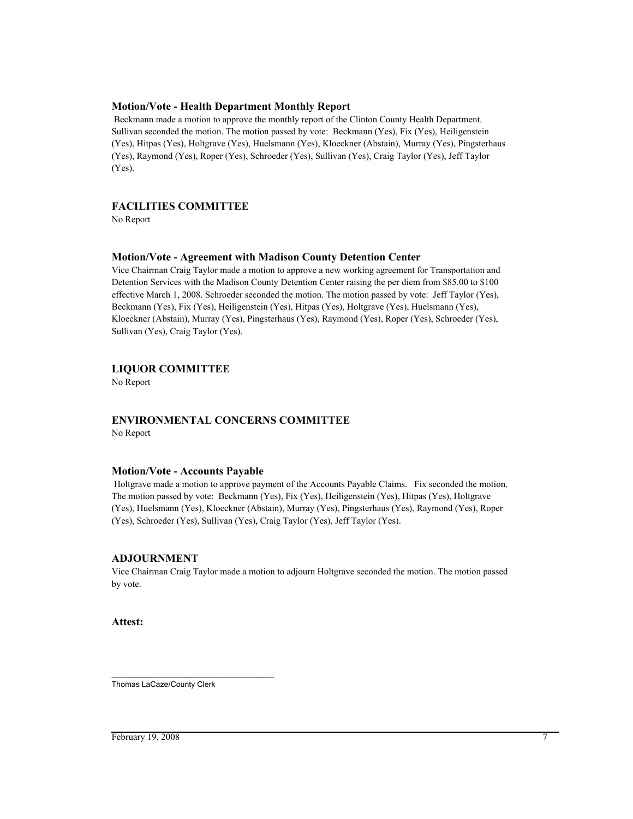#### **Motion/Vote - Health Department Monthly Report**

 Beckmann made a motion to approve the monthly report of the Clinton County Health Department. Sullivan seconded the motion. The motion passed by vote: Beckmann (Yes), Fix (Yes), Heiligenstein (Yes), Hitpas (Yes), Holtgrave (Yes), Huelsmann (Yes), Kloeckner (Abstain), Murray (Yes), Pingsterhaus (Yes), Raymond (Yes), Roper (Yes), Schroeder (Yes), Sullivan (Yes), Craig Taylor (Yes), Jeff Taylor (Yes).

#### **FACILITIES COMMITTEE**

No Report

#### **Motion/Vote - Agreement with Madison County Detention Center**

Vice Chairman Craig Taylor made a motion to approve a new working agreement for Transportation and Detention Services with the Madison County Detention Center raising the per diem from \$85.00 to \$100 effective March 1, 2008. Schroeder seconded the motion. The motion passed by vote: Jeff Taylor (Yes), Beckmann (Yes), Fix (Yes), Heiligenstein (Yes), Hitpas (Yes), Holtgrave (Yes), Huelsmann (Yes), Kloeckner (Abstain), Murray (Yes), Pingsterhaus (Yes), Raymond (Yes), Roper (Yes), Schroeder (Yes), Sullivan (Yes), Craig Taylor (Yes).

#### **LIQUOR COMMITTEE**

No Report

#### **ENVIRONMENTAL CONCERNS COMMITTEE**

No Report

#### **Motion/Vote - Accounts Payable**

 Holtgrave made a motion to approve payment of the Accounts Payable Claims. Fix seconded the motion. The motion passed by vote: Beckmann (Yes), Fix (Yes), Heiligenstein (Yes), Hitpas (Yes), Holtgrave (Yes), Huelsmann (Yes), Kloeckner (Abstain), Murray (Yes), Pingsterhaus (Yes), Raymond (Yes), Roper (Yes), Schroeder (Yes), Sullivan (Yes), Craig Taylor (Yes), Jeff Taylor (Yes).

#### **ADJOURNMENT**

Vice Chairman Craig Taylor made a motion to adjourn Holtgrave seconded the motion. The motion passed by vote.

**Attest:**

\_\_\_\_\_\_\_\_\_\_\_\_\_\_\_\_\_\_\_\_\_\_\_\_\_\_\_\_\_\_\_\_\_\_\_\_\_\_ Thomas LaCaze/County Clerk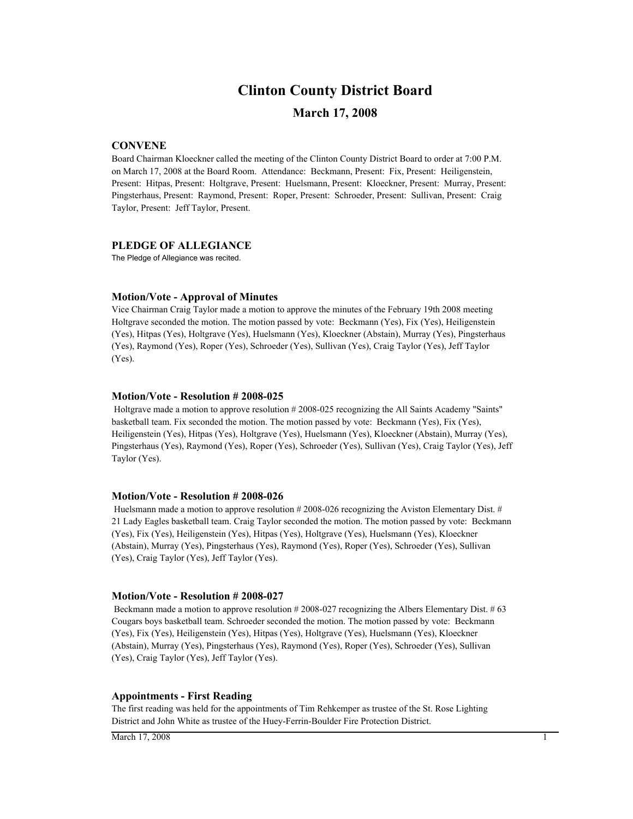# **March 17, 2008 Clinton County District Board**

#### **CONVENE**

Board Chairman Kloeckner called the meeting of the Clinton County District Board to order at 7:00 P.M. on March 17, 2008 at the Board Room. Attendance: Beckmann, Present: Fix, Present: Heiligenstein, Present: Hitpas, Present: Holtgrave, Present: Huelsmann, Present: Kloeckner, Present: Murray, Present: Pingsterhaus, Present: Raymond, Present: Roper, Present: Schroeder, Present: Sullivan, Present: Craig Taylor, Present: Jeff Taylor, Present.

#### **PLEDGE OF ALLEGIANCE**

The Pledge of Allegiance was recited.

#### **Motion/Vote - Approval of Minutes**

Vice Chairman Craig Taylor made a motion to approve the minutes of the February 19th 2008 meeting Holtgrave seconded the motion. The motion passed by vote: Beckmann (Yes), Fix (Yes), Heiligenstein (Yes), Hitpas (Yes), Holtgrave (Yes), Huelsmann (Yes), Kloeckner (Abstain), Murray (Yes), Pingsterhaus (Yes), Raymond (Yes), Roper (Yes), Schroeder (Yes), Sullivan (Yes), Craig Taylor (Yes), Jeff Taylor (Yes).

#### **Motion/Vote - Resolution # 2008-025**

 Holtgrave made a motion to approve resolution # 2008-025 recognizing the All Saints Academy "Saints" basketball team. Fix seconded the motion. The motion passed by vote: Beckmann (Yes), Fix (Yes), Heiligenstein (Yes), Hitpas (Yes), Holtgrave (Yes), Huelsmann (Yes), Kloeckner (Abstain), Murray (Yes), Pingsterhaus (Yes), Raymond (Yes), Roper (Yes), Schroeder (Yes), Sullivan (Yes), Craig Taylor (Yes), Jeff Taylor (Yes).

#### **Motion/Vote - Resolution # 2008-026**

Huelsmann made a motion to approve resolution #2008-026 recognizing the Aviston Elementary Dist. # 21 Lady Eagles basketball team. Craig Taylor seconded the motion. The motion passed by vote: Beckmann (Yes), Fix (Yes), Heiligenstein (Yes), Hitpas (Yes), Holtgrave (Yes), Huelsmann (Yes), Kloeckner (Abstain), Murray (Yes), Pingsterhaus (Yes), Raymond (Yes), Roper (Yes), Schroeder (Yes), Sullivan (Yes), Craig Taylor (Yes), Jeff Taylor (Yes).

#### **Motion/Vote - Resolution # 2008-027**

 Beckmann made a motion to approve resolution # 2008-027 recognizing the Albers Elementary Dist. # 63 Cougars boys basketball team. Schroeder seconded the motion. The motion passed by vote: Beckmann (Yes), Fix (Yes), Heiligenstein (Yes), Hitpas (Yes), Holtgrave (Yes), Huelsmann (Yes), Kloeckner (Abstain), Murray (Yes), Pingsterhaus (Yes), Raymond (Yes), Roper (Yes), Schroeder (Yes), Sullivan (Yes), Craig Taylor (Yes), Jeff Taylor (Yes).

#### **Appointments - First Reading**

The first reading was held for the appointments of Tim Rehkemper as trustee of the St. Rose Lighting District and John White as trustee of the Huey-Ferrin-Boulder Fire Protection District.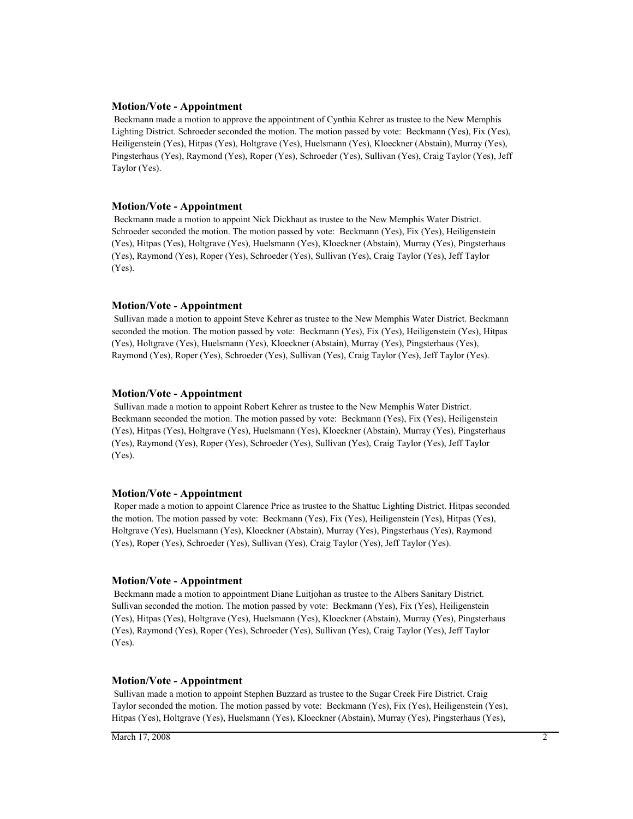#### **Motion/Vote - Appointment**

 Beckmann made a motion to approve the appointment of Cynthia Kehrer as trustee to the New Memphis Lighting District. Schroeder seconded the motion. The motion passed by vote: Beckmann (Yes), Fix (Yes), Heiligenstein (Yes), Hitpas (Yes), Holtgrave (Yes), Huelsmann (Yes), Kloeckner (Abstain), Murray (Yes), Pingsterhaus (Yes), Raymond (Yes), Roper (Yes), Schroeder (Yes), Sullivan (Yes), Craig Taylor (Yes), Jeff Taylor (Yes).

#### **Motion/Vote - Appointment**

 Beckmann made a motion to appoint Nick Dickhaut as trustee to the New Memphis Water District. Schroeder seconded the motion. The motion passed by vote: Beckmann (Yes), Fix (Yes), Heiligenstein (Yes), Hitpas (Yes), Holtgrave (Yes), Huelsmann (Yes), Kloeckner (Abstain), Murray (Yes), Pingsterhaus (Yes), Raymond (Yes), Roper (Yes), Schroeder (Yes), Sullivan (Yes), Craig Taylor (Yes), Jeff Taylor (Yes).

#### **Motion/Vote - Appointment**

 Sullivan made a motion to appoint Steve Kehrer as trustee to the New Memphis Water District. Beckmann seconded the motion. The motion passed by vote: Beckmann (Yes), Fix (Yes), Heiligenstein (Yes), Hitpas (Yes), Holtgrave (Yes), Huelsmann (Yes), Kloeckner (Abstain), Murray (Yes), Pingsterhaus (Yes), Raymond (Yes), Roper (Yes), Schroeder (Yes), Sullivan (Yes), Craig Taylor (Yes), Jeff Taylor (Yes).

#### **Motion/Vote - Appointment**

 Sullivan made a motion to appoint Robert Kehrer as trustee to the New Memphis Water District. Beckmann seconded the motion. The motion passed by vote: Beckmann (Yes), Fix (Yes), Heiligenstein (Yes), Hitpas (Yes), Holtgrave (Yes), Huelsmann (Yes), Kloeckner (Abstain), Murray (Yes), Pingsterhaus (Yes), Raymond (Yes), Roper (Yes), Schroeder (Yes), Sullivan (Yes), Craig Taylor (Yes), Jeff Taylor (Yes).

#### **Motion/Vote - Appointment**

 Roper made a motion to appoint Clarence Price as trustee to the Shattuc Lighting District. Hitpas seconded the motion. The motion passed by vote: Beckmann (Yes), Fix (Yes), Heiligenstein (Yes), Hitpas (Yes), Holtgrave (Yes), Huelsmann (Yes), Kloeckner (Abstain), Murray (Yes), Pingsterhaus (Yes), Raymond (Yes), Roper (Yes), Schroeder (Yes), Sullivan (Yes), Craig Taylor (Yes), Jeff Taylor (Yes).

#### **Motion/Vote - Appointment**

 Beckmann made a motion to appointment Diane Luitjohan as trustee to the Albers Sanitary District. Sullivan seconded the motion. The motion passed by vote: Beckmann (Yes), Fix (Yes), Heiligenstein (Yes), Hitpas (Yes), Holtgrave (Yes), Huelsmann (Yes), Kloeckner (Abstain), Murray (Yes), Pingsterhaus (Yes), Raymond (Yes), Roper (Yes), Schroeder (Yes), Sullivan (Yes), Craig Taylor (Yes), Jeff Taylor (Yes).

#### **Motion/Vote - Appointment**

 Sullivan made a motion to appoint Stephen Buzzard as trustee to the Sugar Creek Fire District. Craig Taylor seconded the motion. The motion passed by vote: Beckmann (Yes), Fix (Yes), Heiligenstein (Yes), Hitpas (Yes), Holtgrave (Yes), Huelsmann (Yes), Kloeckner (Abstain), Murray (Yes), Pingsterhaus (Yes),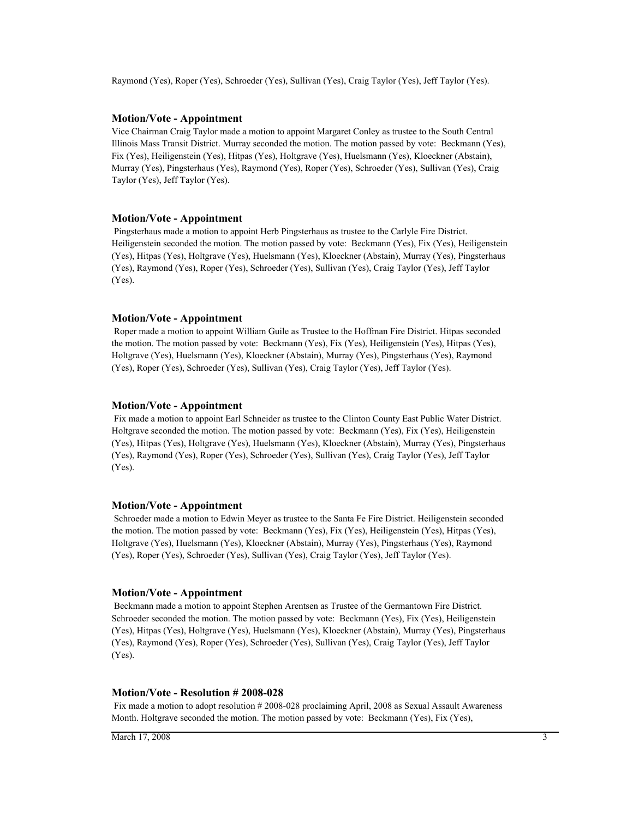Raymond (Yes), Roper (Yes), Schroeder (Yes), Sullivan (Yes), Craig Taylor (Yes), Jeff Taylor (Yes).

#### **Motion/Vote - Appointment**

Vice Chairman Craig Taylor made a motion to appoint Margaret Conley as trustee to the South Central Illinois Mass Transit District. Murray seconded the motion. The motion passed by vote: Beckmann (Yes), Fix (Yes), Heiligenstein (Yes), Hitpas (Yes), Holtgrave (Yes), Huelsmann (Yes), Kloeckner (Abstain), Murray (Yes), Pingsterhaus (Yes), Raymond (Yes), Roper (Yes), Schroeder (Yes), Sullivan (Yes), Craig Taylor (Yes), Jeff Taylor (Yes).

#### **Motion/Vote - Appointment**

 Pingsterhaus made a motion to appoint Herb Pingsterhaus as trustee to the Carlyle Fire District. Heiligenstein seconded the motion. The motion passed by vote: Beckmann (Yes), Fix (Yes), Heiligenstein (Yes), Hitpas (Yes), Holtgrave (Yes), Huelsmann (Yes), Kloeckner (Abstain), Murray (Yes), Pingsterhaus (Yes), Raymond (Yes), Roper (Yes), Schroeder (Yes), Sullivan (Yes), Craig Taylor (Yes), Jeff Taylor (Yes).

#### **Motion/Vote - Appointment**

 Roper made a motion to appoint William Guile as Trustee to the Hoffman Fire District. Hitpas seconded the motion. The motion passed by vote: Beckmann (Yes), Fix (Yes), Heiligenstein (Yes), Hitpas (Yes), Holtgrave (Yes), Huelsmann (Yes), Kloeckner (Abstain), Murray (Yes), Pingsterhaus (Yes), Raymond (Yes), Roper (Yes), Schroeder (Yes), Sullivan (Yes), Craig Taylor (Yes), Jeff Taylor (Yes).

#### **Motion/Vote - Appointment**

 Fix made a motion to appoint Earl Schneider as trustee to the Clinton County East Public Water District. Holtgrave seconded the motion. The motion passed by vote: Beckmann (Yes), Fix (Yes), Heiligenstein (Yes), Hitpas (Yes), Holtgrave (Yes), Huelsmann (Yes), Kloeckner (Abstain), Murray (Yes), Pingsterhaus (Yes), Raymond (Yes), Roper (Yes), Schroeder (Yes), Sullivan (Yes), Craig Taylor (Yes), Jeff Taylor (Yes).

#### **Motion/Vote - Appointment**

 Schroeder made a motion to Edwin Meyer as trustee to the Santa Fe Fire District. Heiligenstein seconded the motion. The motion passed by vote: Beckmann (Yes), Fix (Yes), Heiligenstein (Yes), Hitpas (Yes), Holtgrave (Yes), Huelsmann (Yes), Kloeckner (Abstain), Murray (Yes), Pingsterhaus (Yes), Raymond (Yes), Roper (Yes), Schroeder (Yes), Sullivan (Yes), Craig Taylor (Yes), Jeff Taylor (Yes).

#### **Motion/Vote - Appointment**

 Beckmann made a motion to appoint Stephen Arentsen as Trustee of the Germantown Fire District. Schroeder seconded the motion. The motion passed by vote: Beckmann (Yes), Fix (Yes), Heiligenstein (Yes), Hitpas (Yes), Holtgrave (Yes), Huelsmann (Yes), Kloeckner (Abstain), Murray (Yes), Pingsterhaus (Yes), Raymond (Yes), Roper (Yes), Schroeder (Yes), Sullivan (Yes), Craig Taylor (Yes), Jeff Taylor (Yes).

#### **Motion/Vote - Resolution # 2008-028**

 Fix made a motion to adopt resolution # 2008-028 proclaiming April, 2008 as Sexual Assault Awareness Month. Holtgrave seconded the motion. The motion passed by vote: Beckmann (Yes), Fix (Yes),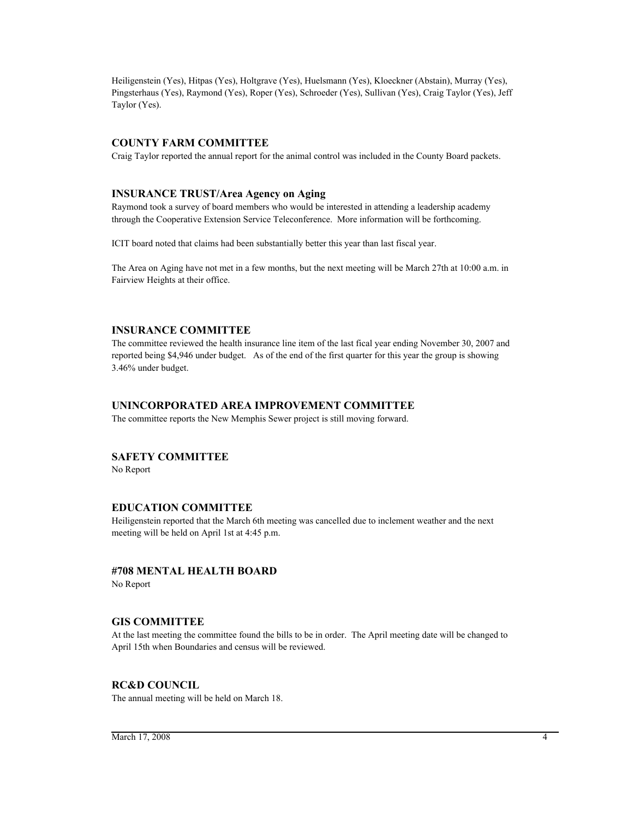Heiligenstein (Yes), Hitpas (Yes), Holtgrave (Yes), Huelsmann (Yes), Kloeckner (Abstain), Murray (Yes), Pingsterhaus (Yes), Raymond (Yes), Roper (Yes), Schroeder (Yes), Sullivan (Yes), Craig Taylor (Yes), Jeff Taylor (Yes).

#### **COUNTY FARM COMMITTEE**

Craig Taylor reported the annual report for the animal control was included in the County Board packets.

#### **INSURANCE TRUST/Area Agency on Aging**

Raymond took a survey of board members who would be interested in attending a leadership academy through the Cooperative Extension Service Teleconference. More information will be forthcoming.

ICIT board noted that claims had been substantially better this year than last fiscal year.

The Area on Aging have not met in a few months, but the next meeting will be March 27th at 10:00 a.m. in Fairview Heights at their office.

#### **INSURANCE COMMITTEE**

The committee reviewed the health insurance line item of the last fical year ending November 30, 2007 and reported being \$4,946 under budget. As of the end of the first quarter for this year the group is showing 3.46% under budget.

#### **UNINCORPORATED AREA IMPROVEMENT COMMITTEE**

The committee reports the New Memphis Sewer project is still moving forward.

#### **SAFETY COMMITTEE**

No Report

#### **EDUCATION COMMITTEE**

Heiligenstein reported that the March 6th meeting was cancelled due to inclement weather and the next meeting will be held on April 1st at 4:45 p.m.

#### **#708 MENTAL HEALTH BOARD**

No Report

#### **GIS COMMITTEE**

At the last meeting the committee found the bills to be in order. The April meeting date will be changed to April 15th when Boundaries and census will be reviewed.

#### **RC&D COUNCIL**

The annual meeting will be held on March 18.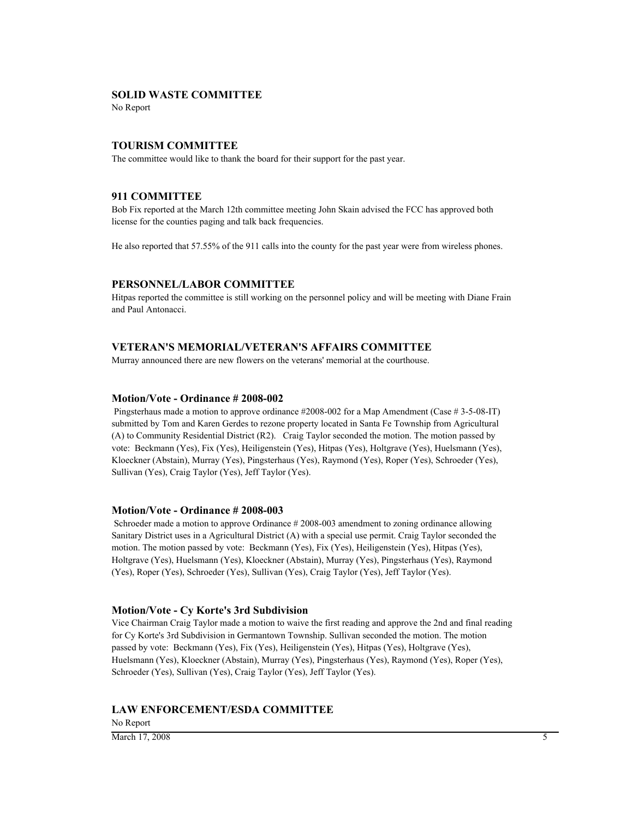#### **SOLID WASTE COMMITTEE**

No Report

#### **TOURISM COMMITTEE**

The committee would like to thank the board for their support for the past year.

#### **911 COMMITTEE**

Bob Fix reported at the March 12th committee meeting John Skain advised the FCC has approved both license for the counties paging and talk back frequencies.

He also reported that 57.55% of the 911 calls into the county for the past year were from wireless phones.

#### **PERSONNEL/LABOR COMMITTEE**

Hitpas reported the committee is still working on the personnel policy and will be meeting with Diane Frain and Paul Antonacci.

#### **VETERAN'S MEMORIAL/VETERAN'S AFFAIRS COMMITTEE**

Murray announced there are new flowers on the veterans' memorial at the courthouse.

#### **Motion/Vote - Ordinance # 2008-002**

 Pingsterhaus made a motion to approve ordinance #2008-002 for a Map Amendment (Case # 3-5-08-IT) submitted by Tom and Karen Gerdes to rezone property located in Santa Fe Township from Agricultural (A) to Community Residential District (R2). Craig Taylor seconded the motion. The motion passed by vote: Beckmann (Yes), Fix (Yes), Heiligenstein (Yes), Hitpas (Yes), Holtgrave (Yes), Huelsmann (Yes), Kloeckner (Abstain), Murray (Yes), Pingsterhaus (Yes), Raymond (Yes), Roper (Yes), Schroeder (Yes), Sullivan (Yes), Craig Taylor (Yes), Jeff Taylor (Yes).

#### **Motion/Vote - Ordinance # 2008-003**

 Schroeder made a motion to approve Ordinance # 2008-003 amendment to zoning ordinance allowing Sanitary District uses in a Agricultural District (A) with a special use permit. Craig Taylor seconded the motion. The motion passed by vote: Beckmann (Yes), Fix (Yes), Heiligenstein (Yes), Hitpas (Yes), Holtgrave (Yes), Huelsmann (Yes), Kloeckner (Abstain), Murray (Yes), Pingsterhaus (Yes), Raymond (Yes), Roper (Yes), Schroeder (Yes), Sullivan (Yes), Craig Taylor (Yes), Jeff Taylor (Yes).

#### **Motion/Vote - Cy Korte's 3rd Subdivision**

Vice Chairman Craig Taylor made a motion to waive the first reading and approve the 2nd and final reading for Cy Korte's 3rd Subdivision in Germantown Township. Sullivan seconded the motion. The motion passed by vote: Beckmann (Yes), Fix (Yes), Heiligenstein (Yes), Hitpas (Yes), Holtgrave (Yes), Huelsmann (Yes), Kloeckner (Abstain), Murray (Yes), Pingsterhaus (Yes), Raymond (Yes), Roper (Yes), Schroeder (Yes), Sullivan (Yes), Craig Taylor (Yes), Jeff Taylor (Yes).

#### **LAW ENFORCEMENT/ESDA COMMITTEE**

No Report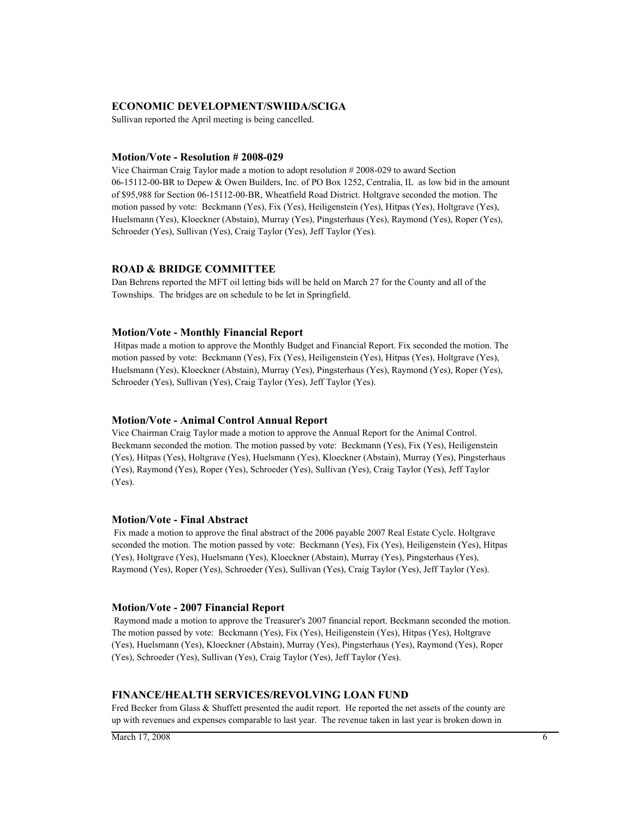#### **ECONOMIC DEVELOPMENT/SWIIDA/SCIGA**

Sullivan reported the April meeting is being cancelled.

#### **Motion/Vote - Resolution # 2008-029**

Vice Chairman Craig Taylor made a motion to adopt resolution # 2008-029 to award Section 06-15112-00-BR to Depew & Owen Builders, Inc. of PO Box 1252, Centralia, IL as low bid in the amount of \$95,988 for Section 06-15112-00-BR, Wheatfield Road District. Holtgrave seconded the motion. The motion passed by vote: Beckmann (Yes), Fix (Yes), Heiligenstein (Yes), Hitpas (Yes), Holtgrave (Yes), Huelsmann (Yes), Kloeckner (Abstain), Murray (Yes), Pingsterhaus (Yes), Raymond (Yes), Roper (Yes), Schroeder (Yes), Sullivan (Yes), Craig Taylor (Yes), Jeff Taylor (Yes).

#### **ROAD & BRIDGE COMMITTEE**

Dan Behrens reported the MFT oil letting bids will be held on March 27 for the County and all of the Townships. The bridges are on schedule to be let in Springfield.

#### **Motion/Vote - Monthly Financial Report**

 Hitpas made a motion to approve the Monthly Budget and Financial Report. Fix seconded the motion. The motion passed by vote: Beckmann (Yes), Fix (Yes), Heiligenstein (Yes), Hitpas (Yes), Holtgrave (Yes), Huelsmann (Yes), Kloeckner (Abstain), Murray (Yes), Pingsterhaus (Yes), Raymond (Yes), Roper (Yes), Schroeder (Yes), Sullivan (Yes), Craig Taylor (Yes), Jeff Taylor (Yes).

#### **Motion/Vote - Animal Control Annual Report**

Vice Chairman Craig Taylor made a motion to approve the Annual Report for the Animal Control. Beckmann seconded the motion. The motion passed by vote: Beckmann (Yes), Fix (Yes), Heiligenstein (Yes), Hitpas (Yes), Holtgrave (Yes), Huelsmann (Yes), Kloeckner (Abstain), Murray (Yes), Pingsterhaus (Yes), Raymond (Yes), Roper (Yes), Schroeder (Yes), Sullivan (Yes), Craig Taylor (Yes), Jeff Taylor (Yes).

#### **Motion/Vote - Final Abstract**

 Fix made a motion to approve the final abstract of the 2006 payable 2007 Real Estate Cycle. Holtgrave seconded the motion. The motion passed by vote: Beckmann (Yes), Fix (Yes), Heiligenstein (Yes), Hitpas (Yes), Holtgrave (Yes), Huelsmann (Yes), Kloeckner (Abstain), Murray (Yes), Pingsterhaus (Yes), Raymond (Yes), Roper (Yes), Schroeder (Yes), Sullivan (Yes), Craig Taylor (Yes), Jeff Taylor (Yes).

#### **Motion/Vote - 2007 Financial Report**

 Raymond made a motion to approve the Treasurer's 2007 financial report. Beckmann seconded the motion. The motion passed by vote: Beckmann (Yes), Fix (Yes), Heiligenstein (Yes), Hitpas (Yes), Holtgrave (Yes), Huelsmann (Yes), Kloeckner (Abstain), Murray (Yes), Pingsterhaus (Yes), Raymond (Yes), Roper (Yes), Schroeder (Yes), Sullivan (Yes), Craig Taylor (Yes), Jeff Taylor (Yes).

#### **FINANCE/HEALTH SERVICES/REVOLVING LOAN FUND**

Fred Becker from Glass & Shuffett presented the audit report. He reported the net assets of the county are up with revenues and expenses comparable to last year. The revenue taken in last year is broken down in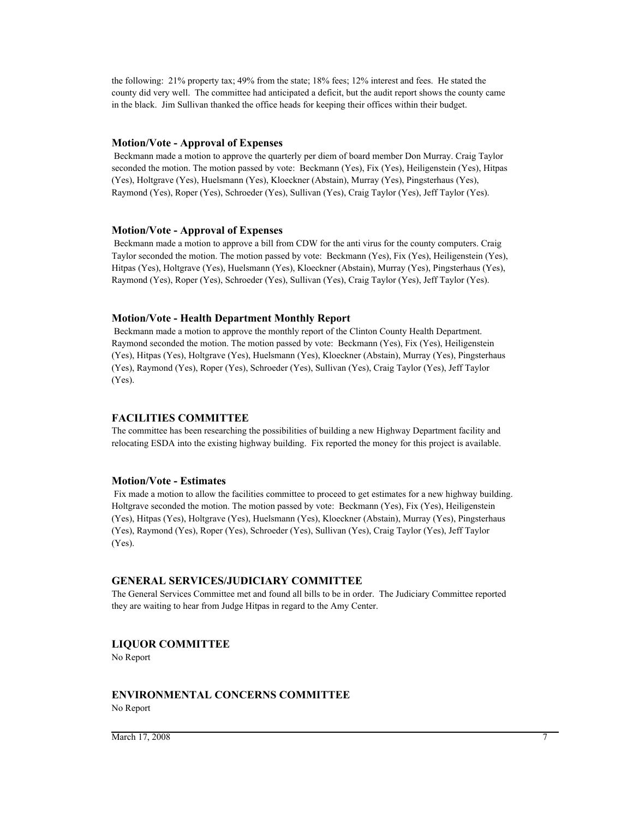the following: 21% property tax; 49% from the state; 18% fees; 12% interest and fees. He stated the county did very well. The committee had anticipated a deficit, but the audit report shows the county came in the black. Jim Sullivan thanked the office heads for keeping their offices within their budget.

#### **Motion/Vote - Approval of Expenses**

 Beckmann made a motion to approve the quarterly per diem of board member Don Murray. Craig Taylor seconded the motion. The motion passed by vote: Beckmann (Yes), Fix (Yes), Heiligenstein (Yes), Hitpas (Yes), Holtgrave (Yes), Huelsmann (Yes), Kloeckner (Abstain), Murray (Yes), Pingsterhaus (Yes), Raymond (Yes), Roper (Yes), Schroeder (Yes), Sullivan (Yes), Craig Taylor (Yes), Jeff Taylor (Yes).

#### **Motion/Vote - Approval of Expenses**

 Beckmann made a motion to approve a bill from CDW for the anti virus for the county computers. Craig Taylor seconded the motion. The motion passed by vote: Beckmann (Yes), Fix (Yes), Heiligenstein (Yes), Hitpas (Yes), Holtgrave (Yes), Huelsmann (Yes), Kloeckner (Abstain), Murray (Yes), Pingsterhaus (Yes), Raymond (Yes), Roper (Yes), Schroeder (Yes), Sullivan (Yes), Craig Taylor (Yes), Jeff Taylor (Yes).

#### **Motion/Vote - Health Department Monthly Report**

 Beckmann made a motion to approve the monthly report of the Clinton County Health Department. Raymond seconded the motion. The motion passed by vote: Beckmann (Yes), Fix (Yes), Heiligenstein (Yes), Hitpas (Yes), Holtgrave (Yes), Huelsmann (Yes), Kloeckner (Abstain), Murray (Yes), Pingsterhaus (Yes), Raymond (Yes), Roper (Yes), Schroeder (Yes), Sullivan (Yes), Craig Taylor (Yes), Jeff Taylor (Yes).

#### **FACILITIES COMMITTEE**

The committee has been researching the possibilities of building a new Highway Department facility and relocating ESDA into the existing highway building. Fix reported the money for this project is available.

#### **Motion/Vote - Estimates**

 Fix made a motion to allow the facilities committee to proceed to get estimates for a new highway building. Holtgrave seconded the motion. The motion passed by vote: Beckmann (Yes), Fix (Yes), Heiligenstein (Yes), Hitpas (Yes), Holtgrave (Yes), Huelsmann (Yes), Kloeckner (Abstain), Murray (Yes), Pingsterhaus (Yes), Raymond (Yes), Roper (Yes), Schroeder (Yes), Sullivan (Yes), Craig Taylor (Yes), Jeff Taylor (Yes).

#### **GENERAL SERVICES/JUDICIARY COMMITTEE**

The General Services Committee met and found all bills to be in order. The Judiciary Committee reported they are waiting to hear from Judge Hitpas in regard to the Amy Center.

#### **LIQUOR COMMITTEE**

No Report

#### **ENVIRONMENTAL CONCERNS COMMITTEE**

No Report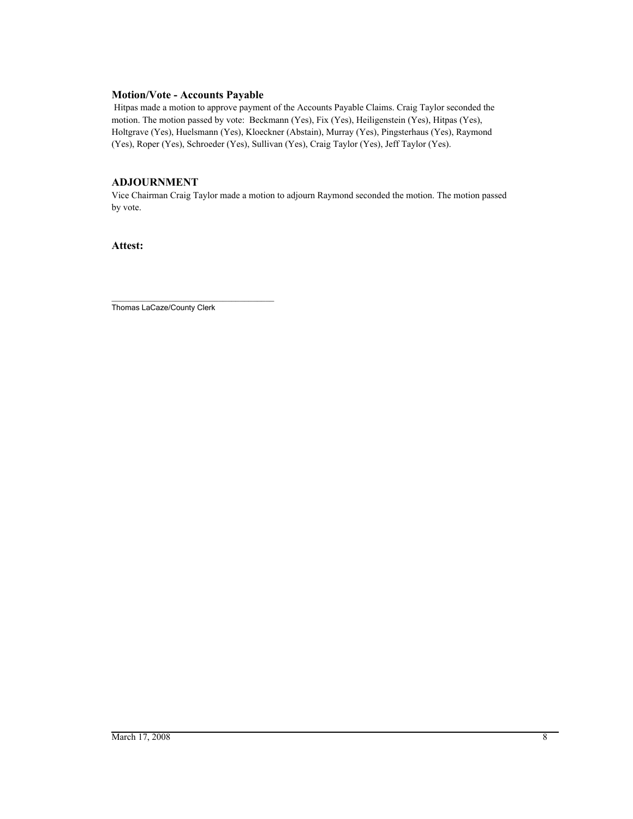#### **Motion/Vote - Accounts Payable**

 Hitpas made a motion to approve payment of the Accounts Payable Claims. Craig Taylor seconded the motion. The motion passed by vote: Beckmann (Yes), Fix (Yes), Heiligenstein (Yes), Hitpas (Yes), Holtgrave (Yes), Huelsmann (Yes), Kloeckner (Abstain), Murray (Yes), Pingsterhaus (Yes), Raymond (Yes), Roper (Yes), Schroeder (Yes), Sullivan (Yes), Craig Taylor (Yes), Jeff Taylor (Yes).

#### **ADJOURNMENT**

Vice Chairman Craig Taylor made a motion to adjourn Raymond seconded the motion. The motion passed by vote.

**Attest:**

\_\_\_\_\_\_\_\_\_\_\_\_\_\_\_\_\_\_\_\_\_\_\_\_\_\_\_\_\_\_\_\_\_\_\_\_\_\_ Thomas LaCaze/County Clerk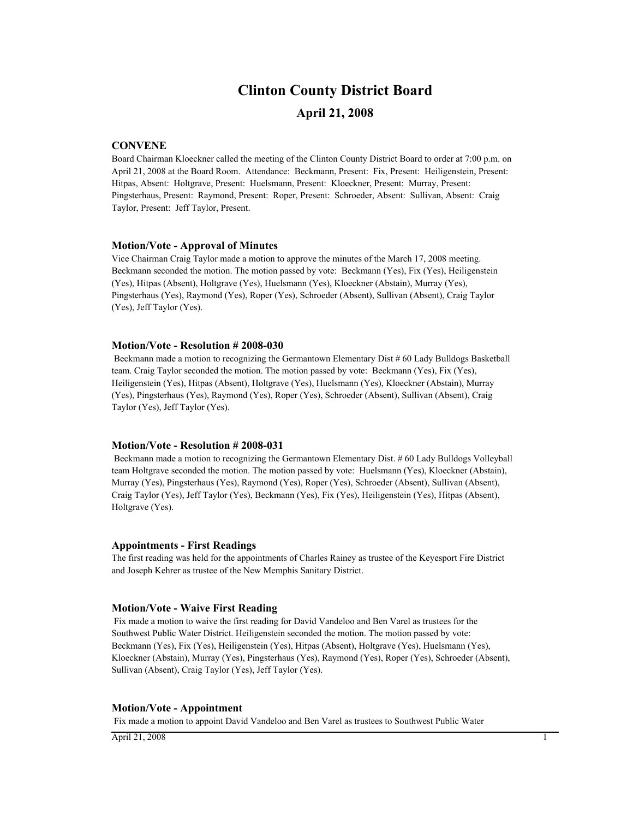# **Clinton County District Board**

### **April 21, 2008**

#### **CONVENE**

Board Chairman Kloeckner called the meeting of the Clinton County District Board to order at 7:00 p.m. on April 21, 2008 at the Board Room. Attendance: Beckmann, Present: Fix, Present: Heiligenstein, Present: Hitpas, Absent: Holtgrave, Present: Huelsmann, Present: Kloeckner, Present: Murray, Present: Pingsterhaus, Present: Raymond, Present: Roper, Present: Schroeder, Absent: Sullivan, Absent: Craig Taylor, Present: Jeff Taylor, Present.

#### **Motion/Vote - Approval of Minutes**

Vice Chairman Craig Taylor made a motion to approve the minutes of the March 17, 2008 meeting. Beckmann seconded the motion. The motion passed by vote: Beckmann (Yes), Fix (Yes), Heiligenstein (Yes), Hitpas (Absent), Holtgrave (Yes), Huelsmann (Yes), Kloeckner (Abstain), Murray (Yes), Pingsterhaus (Yes), Raymond (Yes), Roper (Yes), Schroeder (Absent), Sullivan (Absent), Craig Taylor (Yes), Jeff Taylor (Yes).

#### **Motion/Vote - Resolution # 2008-030**

 Beckmann made a motion to recognizing the Germantown Elementary Dist # 60 Lady Bulldogs Basketball team. Craig Taylor seconded the motion. The motion passed by vote: Beckmann (Yes), Fix (Yes), Heiligenstein (Yes), Hitpas (Absent), Holtgrave (Yes), Huelsmann (Yes), Kloeckner (Abstain), Murray (Yes), Pingsterhaus (Yes), Raymond (Yes), Roper (Yes), Schroeder (Absent), Sullivan (Absent), Craig Taylor (Yes), Jeff Taylor (Yes).

#### **Motion/Vote - Resolution # 2008-031**

 Beckmann made a motion to recognizing the Germantown Elementary Dist. # 60 Lady Bulldogs Volleyball team Holtgrave seconded the motion. The motion passed by vote: Huelsmann (Yes), Kloeckner (Abstain), Murray (Yes), Pingsterhaus (Yes), Raymond (Yes), Roper (Yes), Schroeder (Absent), Sullivan (Absent), Craig Taylor (Yes), Jeff Taylor (Yes), Beckmann (Yes), Fix (Yes), Heiligenstein (Yes), Hitpas (Absent), Holtgrave (Yes).

#### **Appointments - First Readings**

The first reading was held for the appointments of Charles Rainey as trustee of the Keyesport Fire District and Joseph Kehrer as trustee of the New Memphis Sanitary District.

#### **Motion/Vote - Waive First Reading**

 Fix made a motion to waive the first reading for David Vandeloo and Ben Varel as trustees for the Southwest Public Water District. Heiligenstein seconded the motion. The motion passed by vote: Beckmann (Yes), Fix (Yes), Heiligenstein (Yes), Hitpas (Absent), Holtgrave (Yes), Huelsmann (Yes), Kloeckner (Abstain), Murray (Yes), Pingsterhaus (Yes), Raymond (Yes), Roper (Yes), Schroeder (Absent), Sullivan (Absent), Craig Taylor (Yes), Jeff Taylor (Yes).

#### **Motion/Vote - Appointment**

Fix made a motion to appoint David Vandeloo and Ben Varel as trustees to Southwest Public Water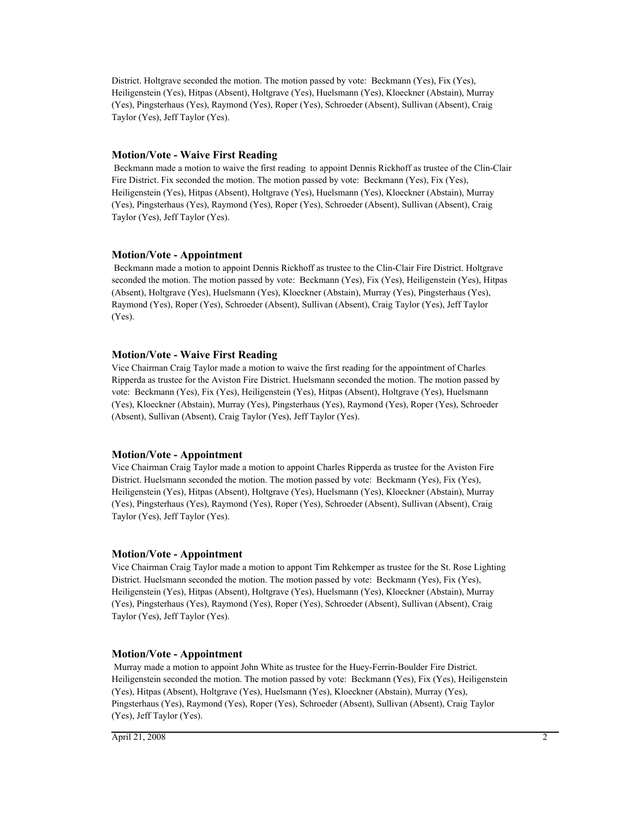District. Holtgrave seconded the motion. The motion passed by vote: Beckmann (Yes), Fix (Yes), Heiligenstein (Yes), Hitpas (Absent), Holtgrave (Yes), Huelsmann (Yes), Kloeckner (Abstain), Murray (Yes), Pingsterhaus (Yes), Raymond (Yes), Roper (Yes), Schroeder (Absent), Sullivan (Absent), Craig Taylor (Yes), Jeff Taylor (Yes).

#### **Motion/Vote - Waive First Reading**

 Beckmann made a motion to waive the first reading to appoint Dennis Rickhoff as trustee of the Clin-Clair Fire District. Fix seconded the motion. The motion passed by vote: Beckmann (Yes), Fix (Yes), Heiligenstein (Yes), Hitpas (Absent), Holtgrave (Yes), Huelsmann (Yes), Kloeckner (Abstain), Murray (Yes), Pingsterhaus (Yes), Raymond (Yes), Roper (Yes), Schroeder (Absent), Sullivan (Absent), Craig Taylor (Yes), Jeff Taylor (Yes).

#### **Motion/Vote - Appointment**

 Beckmann made a motion to appoint Dennis Rickhoff as trustee to the Clin-Clair Fire District. Holtgrave seconded the motion. The motion passed by vote: Beckmann (Yes), Fix (Yes), Heiligenstein (Yes), Hitpas (Absent), Holtgrave (Yes), Huelsmann (Yes), Kloeckner (Abstain), Murray (Yes), Pingsterhaus (Yes), Raymond (Yes), Roper (Yes), Schroeder (Absent), Sullivan (Absent), Craig Taylor (Yes), Jeff Taylor (Yes).

#### **Motion/Vote - Waive First Reading**

Vice Chairman Craig Taylor made a motion to waive the first reading for the appointment of Charles Ripperda as trustee for the Aviston Fire District. Huelsmann seconded the motion. The motion passed by vote: Beckmann (Yes), Fix (Yes), Heiligenstein (Yes), Hitpas (Absent), Holtgrave (Yes), Huelsmann (Yes), Kloeckner (Abstain), Murray (Yes), Pingsterhaus (Yes), Raymond (Yes), Roper (Yes), Schroeder (Absent), Sullivan (Absent), Craig Taylor (Yes), Jeff Taylor (Yes).

#### **Motion/Vote - Appointment**

Vice Chairman Craig Taylor made a motion to appoint Charles Ripperda as trustee for the Aviston Fire District. Huelsmann seconded the motion. The motion passed by vote: Beckmann (Yes), Fix (Yes), Heiligenstein (Yes), Hitpas (Absent), Holtgrave (Yes), Huelsmann (Yes), Kloeckner (Abstain), Murray (Yes), Pingsterhaus (Yes), Raymond (Yes), Roper (Yes), Schroeder (Absent), Sullivan (Absent), Craig Taylor (Yes), Jeff Taylor (Yes).

#### **Motion/Vote - Appointment**

Vice Chairman Craig Taylor made a motion to appont Tim Rehkemper as trustee for the St. Rose Lighting District. Huelsmann seconded the motion. The motion passed by vote: Beckmann (Yes), Fix (Yes), Heiligenstein (Yes), Hitpas (Absent), Holtgrave (Yes), Huelsmann (Yes), Kloeckner (Abstain), Murray (Yes), Pingsterhaus (Yes), Raymond (Yes), Roper (Yes), Schroeder (Absent), Sullivan (Absent), Craig Taylor (Yes), Jeff Taylor (Yes).

#### **Motion/Vote - Appointment**

 Murray made a motion to appoint John White as trustee for the Huey-Ferrin-Boulder Fire District. Heiligenstein seconded the motion. The motion passed by vote: Beckmann (Yes), Fix (Yes), Heiligenstein (Yes), Hitpas (Absent), Holtgrave (Yes), Huelsmann (Yes), Kloeckner (Abstain), Murray (Yes), Pingsterhaus (Yes), Raymond (Yes), Roper (Yes), Schroeder (Absent), Sullivan (Absent), Craig Taylor (Yes), Jeff Taylor (Yes).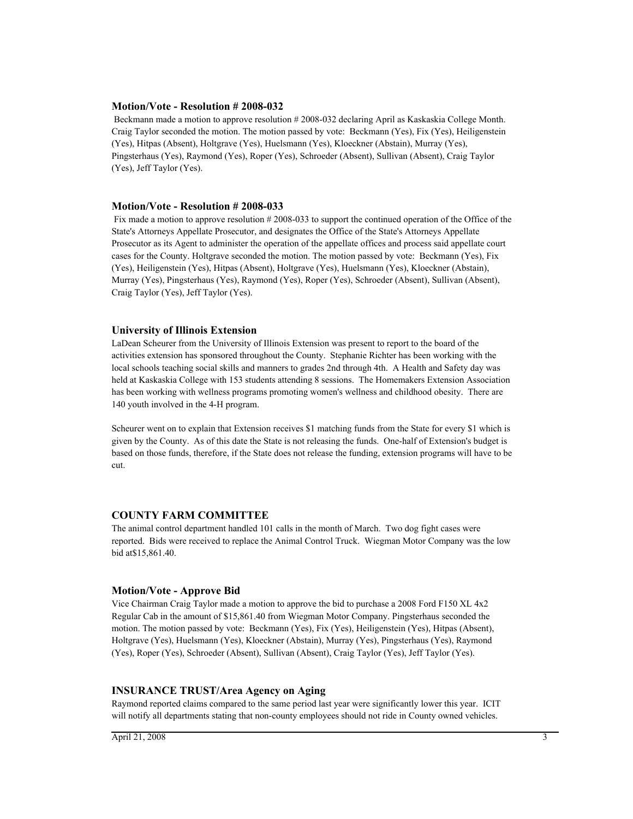#### **Motion/Vote - Resolution # 2008-032**

 Beckmann made a motion to approve resolution # 2008-032 declaring April as Kaskaskia College Month. Craig Taylor seconded the motion. The motion passed by vote: Beckmann (Yes), Fix (Yes), Heiligenstein (Yes), Hitpas (Absent), Holtgrave (Yes), Huelsmann (Yes), Kloeckner (Abstain), Murray (Yes), Pingsterhaus (Yes), Raymond (Yes), Roper (Yes), Schroeder (Absent), Sullivan (Absent), Craig Taylor (Yes), Jeff Taylor (Yes).

#### **Motion/Vote - Resolution # 2008-033**

 Fix made a motion to approve resolution # 2008-033 to support the continued operation of the Office of the State's Attorneys Appellate Prosecutor, and designates the Office of the State's Attorneys Appellate Prosecutor as its Agent to administer the operation of the appellate offices and process said appellate court cases for the County. Holtgrave seconded the motion. The motion passed by vote: Beckmann (Yes), Fix (Yes), Heiligenstein (Yes), Hitpas (Absent), Holtgrave (Yes), Huelsmann (Yes), Kloeckner (Abstain), Murray (Yes), Pingsterhaus (Yes), Raymond (Yes), Roper (Yes), Schroeder (Absent), Sullivan (Absent), Craig Taylor (Yes), Jeff Taylor (Yes).

#### **University of Illinois Extension**

LaDean Scheurer from the University of Illinois Extension was present to report to the board of the activities extension has sponsored throughout the County. Stephanie Richter has been working with the local schools teaching social skills and manners to grades 2nd through 4th. A Health and Safety day was held at Kaskaskia College with 153 students attending 8 sessions. The Homemakers Extension Association has been working with wellness programs promoting women's wellness and childhood obesity. There are 140 youth involved in the 4-H program.

Scheurer went on to explain that Extension receives \$1 matching funds from the State for every \$1 which is given by the County. As of this date the State is not releasing the funds. One-half of Extension's budget is based on those funds, therefore, if the State does not release the funding, extension programs will have to be cut.

#### **COUNTY FARM COMMITTEE**

The animal control department handled 101 calls in the month of March. Two dog fight cases were reported. Bids were received to replace the Animal Control Truck. Wiegman Motor Company was the low bid at\$15,861.40.

#### **Motion/Vote - Approve Bid**

Vice Chairman Craig Taylor made a motion to approve the bid to purchase a 2008 Ford F150 XL 4x2 Regular Cab in the amount of \$15,861.40 from Wiegman Motor Company. Pingsterhaus seconded the motion. The motion passed by vote: Beckmann (Yes), Fix (Yes), Heiligenstein (Yes), Hitpas (Absent), Holtgrave (Yes), Huelsmann (Yes), Kloeckner (Abstain), Murray (Yes), Pingsterhaus (Yes), Raymond (Yes), Roper (Yes), Schroeder (Absent), Sullivan (Absent), Craig Taylor (Yes), Jeff Taylor (Yes).

#### **INSURANCE TRUST/Area Agency on Aging**

Raymond reported claims compared to the same period last year were significantly lower this year. ICIT will notify all departments stating that non-county employees should not ride in County owned vehicles.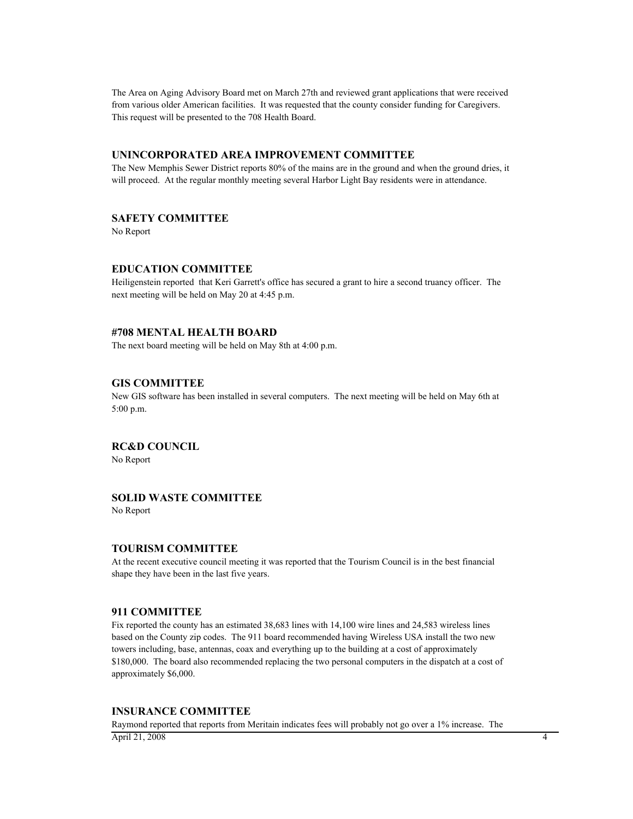The Area on Aging Advisory Board met on March 27th and reviewed grant applications that were received from various older American facilities. It was requested that the county consider funding for Caregivers. This request will be presented to the 708 Health Board.

#### **UNINCORPORATED AREA IMPROVEMENT COMMITTEE**

The New Memphis Sewer District reports 80% of the mains are in the ground and when the ground dries, it will proceed. At the regular monthly meeting several Harbor Light Bay residents were in attendance.

#### **SAFETY COMMITTEE**

No Report

#### **EDUCATION COMMITTEE**

Heiligenstein reported that Keri Garrett's office has secured a grant to hire a second truancy officer. The next meeting will be held on May 20 at 4:45 p.m.

#### **#708 MENTAL HEALTH BOARD**

The next board meeting will be held on May 8th at 4:00 p.m.

#### **GIS COMMITTEE**

New GIS software has been installed in several computers. The next meeting will be held on May 6th at 5:00 p.m.

**RC&D COUNCIL**

No Report

#### **SOLID WASTE COMMITTEE**

No Report

#### **TOURISM COMMITTEE**

At the recent executive council meeting it was reported that the Tourism Council is in the best financial shape they have been in the last five years.

#### **911 COMMITTEE**

Fix reported the county has an estimated 38,683 lines with 14,100 wire lines and 24,583 wireless lines based on the County zip codes. The 911 board recommended having Wireless USA install the two new towers including, base, antennas, coax and everything up to the building at a cost of approximately \$180,000. The board also recommended replacing the two personal computers in the dispatch at a cost of approximately \$6,000.

#### **INSURANCE COMMITTEE**

Raymond reported that reports from Meritain indicates fees will probably not go over a 1% increase. The April 21, 2008 4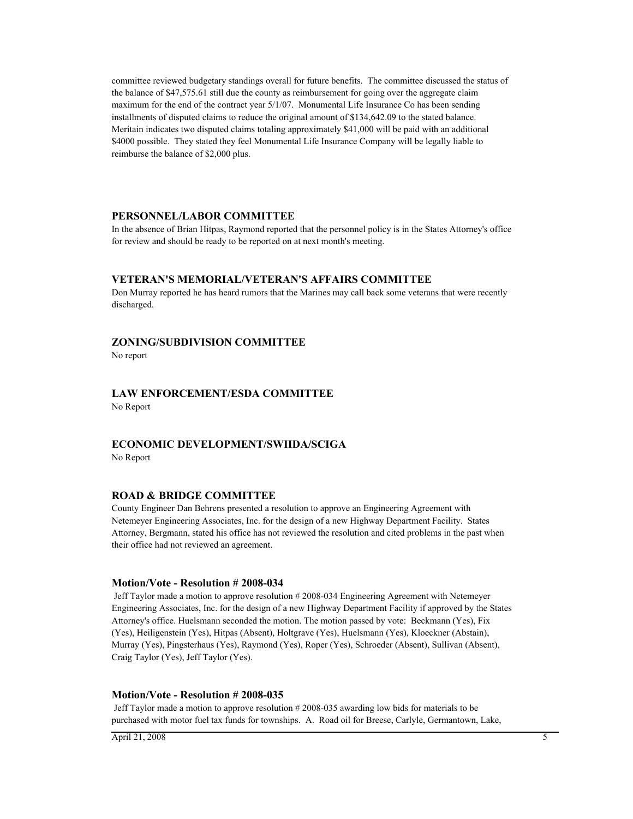committee reviewed budgetary standings overall for future benefits. The committee discussed the status of the balance of \$47,575.61 still due the county as reimbursement for going over the aggregate claim maximum for the end of the contract year 5/1/07. Monumental Life Insurance Co has been sending installments of disputed claims to reduce the original amount of \$134,642.09 to the stated balance. Meritain indicates two disputed claims totaling approximately \$41,000 will be paid with an additional \$4000 possible. They stated they feel Monumental Life Insurance Company will be legally liable to reimburse the balance of \$2,000 plus.

#### **PERSONNEL/LABOR COMMITTEE**

In the absence of Brian Hitpas, Raymond reported that the personnel policy is in the States Attorney's office for review and should be ready to be reported on at next month's meeting.

#### **VETERAN'S MEMORIAL/VETERAN'S AFFAIRS COMMITTEE**

Don Murray reported he has heard rumors that the Marines may call back some veterans that were recently discharged.

#### **ZONING/SUBDIVISION COMMITTEE**

No report

#### **LAW ENFORCEMENT/ESDA COMMITTEE** No Report

# **ECONOMIC DEVELOPMENT/SWIIDA/SCIGA**

No Report

#### **ROAD & BRIDGE COMMITTEE**

County Engineer Dan Behrens presented a resolution to approve an Engineering Agreement with Netemeyer Engineering Associates, Inc. for the design of a new Highway Department Facility. States Attorney, Bergmann, stated his office has not reviewed the resolution and cited problems in the past when their office had not reviewed an agreement.

#### **Motion/Vote - Resolution # 2008-034**

 Jeff Taylor made a motion to approve resolution # 2008-034 Engineering Agreement with Netemeyer Engineering Associates, Inc. for the design of a new Highway Department Facility if approved by the States Attorney's office. Huelsmann seconded the motion. The motion passed by vote: Beckmann (Yes), Fix (Yes), Heiligenstein (Yes), Hitpas (Absent), Holtgrave (Yes), Huelsmann (Yes), Kloeckner (Abstain), Murray (Yes), Pingsterhaus (Yes), Raymond (Yes), Roper (Yes), Schroeder (Absent), Sullivan (Absent), Craig Taylor (Yes), Jeff Taylor (Yes).

#### **Motion/Vote - Resolution # 2008-035**

 Jeff Taylor made a motion to approve resolution # 2008-035 awarding low bids for materials to be purchased with motor fuel tax funds for townships. A. Road oil for Breese, Carlyle, Germantown, Lake,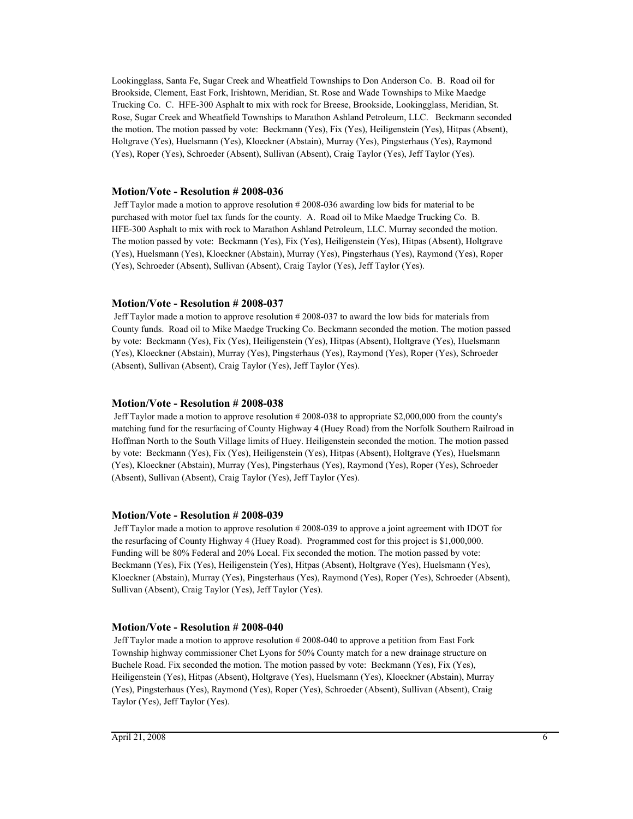Lookingglass, Santa Fe, Sugar Creek and Wheatfield Townships to Don Anderson Co. B. Road oil for Brookside, Clement, East Fork, Irishtown, Meridian, St. Rose and Wade Townships to Mike Maedge Trucking Co. C. HFE-300 Asphalt to mix with rock for Breese, Brookside, Lookingglass, Meridian, St. Rose, Sugar Creek and Wheatfield Townships to Marathon Ashland Petroleum, LLC. Beckmann seconded the motion. The motion passed by vote: Beckmann (Yes), Fix (Yes), Heiligenstein (Yes), Hitpas (Absent), Holtgrave (Yes), Huelsmann (Yes), Kloeckner (Abstain), Murray (Yes), Pingsterhaus (Yes), Raymond (Yes), Roper (Yes), Schroeder (Absent), Sullivan (Absent), Craig Taylor (Yes), Jeff Taylor (Yes).

#### **Motion/Vote - Resolution # 2008-036**

 Jeff Taylor made a motion to approve resolution # 2008-036 awarding low bids for material to be purchased with motor fuel tax funds for the county. A. Road oil to Mike Maedge Trucking Co. B. HFE-300 Asphalt to mix with rock to Marathon Ashland Petroleum, LLC. Murray seconded the motion. The motion passed by vote: Beckmann (Yes), Fix (Yes), Heiligenstein (Yes), Hitpas (Absent), Holtgrave (Yes), Huelsmann (Yes), Kloeckner (Abstain), Murray (Yes), Pingsterhaus (Yes), Raymond (Yes), Roper (Yes), Schroeder (Absent), Sullivan (Absent), Craig Taylor (Yes), Jeff Taylor (Yes).

#### **Motion/Vote - Resolution # 2008-037**

 Jeff Taylor made a motion to approve resolution # 2008-037 to award the low bids for materials from County funds. Road oil to Mike Maedge Trucking Co. Beckmann seconded the motion. The motion passed by vote: Beckmann (Yes), Fix (Yes), Heiligenstein (Yes), Hitpas (Absent), Holtgrave (Yes), Huelsmann (Yes), Kloeckner (Abstain), Murray (Yes), Pingsterhaus (Yes), Raymond (Yes), Roper (Yes), Schroeder (Absent), Sullivan (Absent), Craig Taylor (Yes), Jeff Taylor (Yes).

#### **Motion/Vote - Resolution # 2008-038**

 Jeff Taylor made a motion to approve resolution # 2008-038 to appropriate \$2,000,000 from the county's matching fund for the resurfacing of County Highway 4 (Huey Road) from the Norfolk Southern Railroad in Hoffman North to the South Village limits of Huey. Heiligenstein seconded the motion. The motion passed by vote: Beckmann (Yes), Fix (Yes), Heiligenstein (Yes), Hitpas (Absent), Holtgrave (Yes), Huelsmann (Yes), Kloeckner (Abstain), Murray (Yes), Pingsterhaus (Yes), Raymond (Yes), Roper (Yes), Schroeder (Absent), Sullivan (Absent), Craig Taylor (Yes), Jeff Taylor (Yes).

#### **Motion/Vote - Resolution # 2008-039**

 Jeff Taylor made a motion to approve resolution # 2008-039 to approve a joint agreement with IDOT for the resurfacing of County Highway 4 (Huey Road). Programmed cost for this project is \$1,000,000. Funding will be 80% Federal and 20% Local. Fix seconded the motion. The motion passed by vote: Beckmann (Yes), Fix (Yes), Heiligenstein (Yes), Hitpas (Absent), Holtgrave (Yes), Huelsmann (Yes), Kloeckner (Abstain), Murray (Yes), Pingsterhaus (Yes), Raymond (Yes), Roper (Yes), Schroeder (Absent), Sullivan (Absent), Craig Taylor (Yes), Jeff Taylor (Yes).

#### **Motion/Vote - Resolution # 2008-040**

 Jeff Taylor made a motion to approve resolution # 2008-040 to approve a petition from East Fork Township highway commissioner Chet Lyons for 50% County match for a new drainage structure on Buchele Road. Fix seconded the motion. The motion passed by vote: Beckmann (Yes), Fix (Yes), Heiligenstein (Yes), Hitpas (Absent), Holtgrave (Yes), Huelsmann (Yes), Kloeckner (Abstain), Murray (Yes), Pingsterhaus (Yes), Raymond (Yes), Roper (Yes), Schroeder (Absent), Sullivan (Absent), Craig Taylor (Yes), Jeff Taylor (Yes).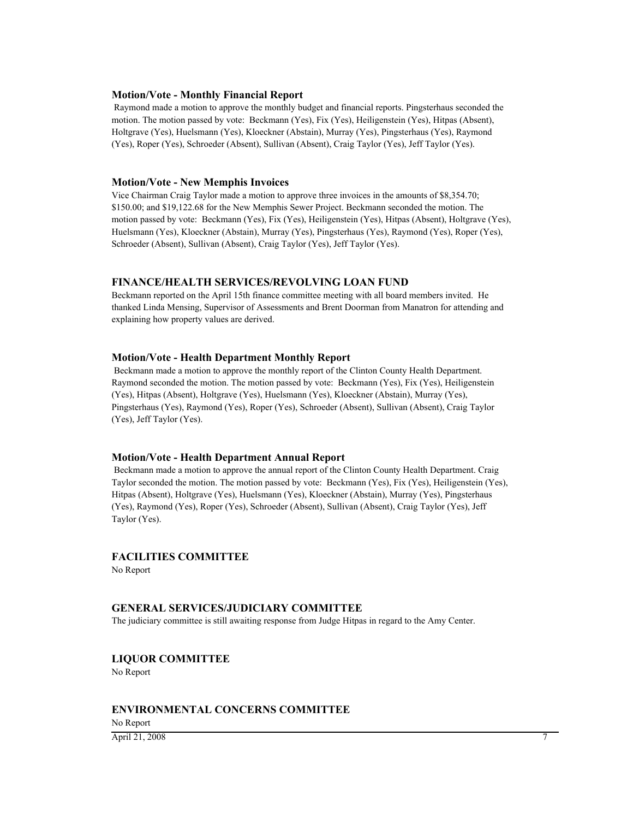#### **Motion/Vote - Monthly Financial Report**

 Raymond made a motion to approve the monthly budget and financial reports. Pingsterhaus seconded the motion. The motion passed by vote: Beckmann (Yes), Fix (Yes), Heiligenstein (Yes), Hitpas (Absent), Holtgrave (Yes), Huelsmann (Yes), Kloeckner (Abstain), Murray (Yes), Pingsterhaus (Yes), Raymond (Yes), Roper (Yes), Schroeder (Absent), Sullivan (Absent), Craig Taylor (Yes), Jeff Taylor (Yes).

#### **Motion/Vote - New Memphis Invoices**

Vice Chairman Craig Taylor made a motion to approve three invoices in the amounts of \$8,354.70; \$150.00; and \$19,122.68 for the New Memphis Sewer Project. Beckmann seconded the motion. The motion passed by vote: Beckmann (Yes), Fix (Yes), Heiligenstein (Yes), Hitpas (Absent), Holtgrave (Yes), Huelsmann (Yes), Kloeckner (Abstain), Murray (Yes), Pingsterhaus (Yes), Raymond (Yes), Roper (Yes), Schroeder (Absent), Sullivan (Absent), Craig Taylor (Yes), Jeff Taylor (Yes).

#### **FINANCE/HEALTH SERVICES/REVOLVING LOAN FUND**

Beckmann reported on the April 15th finance committee meeting with all board members invited. He thanked Linda Mensing, Supervisor of Assessments and Brent Doorman from Manatron for attending and explaining how property values are derived.

#### **Motion/Vote - Health Department Monthly Report**

 Beckmann made a motion to approve the monthly report of the Clinton County Health Department. Raymond seconded the motion. The motion passed by vote: Beckmann (Yes), Fix (Yes), Heiligenstein (Yes), Hitpas (Absent), Holtgrave (Yes), Huelsmann (Yes), Kloeckner (Abstain), Murray (Yes), Pingsterhaus (Yes), Raymond (Yes), Roper (Yes), Schroeder (Absent), Sullivan (Absent), Craig Taylor (Yes), Jeff Taylor (Yes).

#### **Motion/Vote - Health Department Annual Report**

 Beckmann made a motion to approve the annual report of the Clinton County Health Department. Craig Taylor seconded the motion. The motion passed by vote: Beckmann (Yes), Fix (Yes), Heiligenstein (Yes), Hitpas (Absent), Holtgrave (Yes), Huelsmann (Yes), Kloeckner (Abstain), Murray (Yes), Pingsterhaus (Yes), Raymond (Yes), Roper (Yes), Schroeder (Absent), Sullivan (Absent), Craig Taylor (Yes), Jeff Taylor (Yes).

#### **FACILITIES COMMITTEE**

No Report

#### **GENERAL SERVICES/JUDICIARY COMMITTEE**

The judiciary committee is still awaiting response from Judge Hitpas in regard to the Amy Center.

#### **LIQUOR COMMITTEE**

No Report

#### **ENVIRONMENTAL CONCERNS COMMITTEE**

No Report **April 21, 2008** 7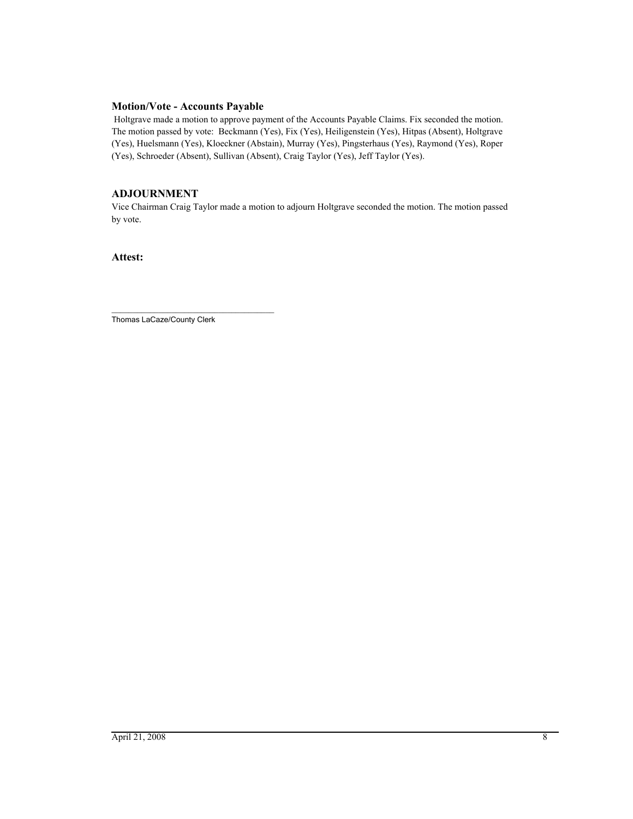#### **Motion/Vote - Accounts Payable**

 Holtgrave made a motion to approve payment of the Accounts Payable Claims. Fix seconded the motion. The motion passed by vote: Beckmann (Yes), Fix (Yes), Heiligenstein (Yes), Hitpas (Absent), Holtgrave (Yes), Huelsmann (Yes), Kloeckner (Abstain), Murray (Yes), Pingsterhaus (Yes), Raymond (Yes), Roper (Yes), Schroeder (Absent), Sullivan (Absent), Craig Taylor (Yes), Jeff Taylor (Yes).

### **ADJOURNMENT**

Vice Chairman Craig Taylor made a motion to adjourn Holtgrave seconded the motion. The motion passed by vote.

**Attest:**

\_\_\_\_\_\_\_\_\_\_\_\_\_\_\_\_\_\_\_\_\_\_\_\_\_\_\_\_\_\_\_\_\_\_\_\_\_\_ Thomas LaCaze/County Clerk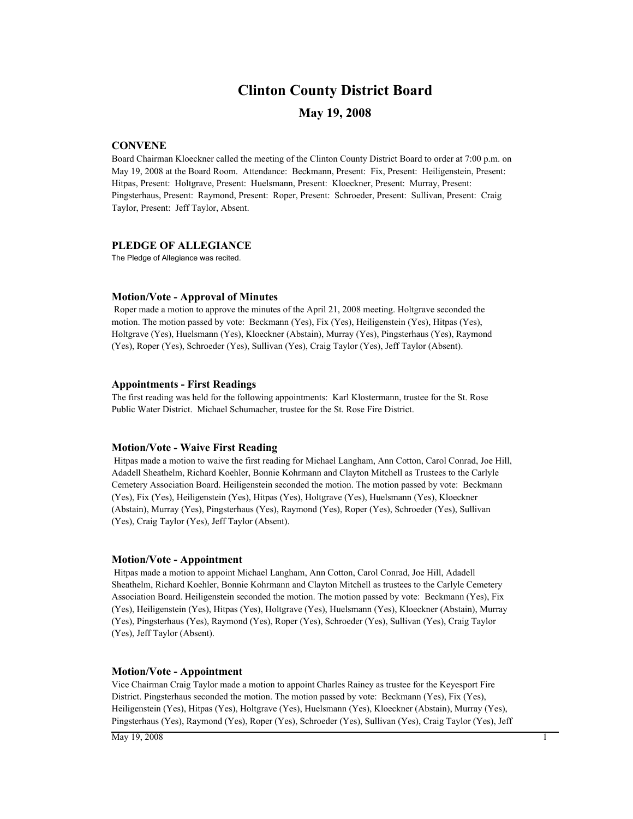### **Clinton County District Board**

#### **May 19, 2008**

#### **CONVENE**

Board Chairman Kloeckner called the meeting of the Clinton County District Board to order at 7:00 p.m. on May 19, 2008 at the Board Room. Attendance: Beckmann, Present: Fix, Present: Heiligenstein, Present: Hitpas, Present: Holtgrave, Present: Huelsmann, Present: Kloeckner, Present: Murray, Present: Pingsterhaus, Present: Raymond, Present: Roper, Present: Schroeder, Present: Sullivan, Present: Craig Taylor, Present: Jeff Taylor, Absent.

#### **PLEDGE OF ALLEGIANCE**

The Pledge of Allegiance was recited.

#### **Motion/Vote - Approval of Minutes**

 Roper made a motion to approve the minutes of the April 21, 2008 meeting. Holtgrave seconded the motion. The motion passed by vote: Beckmann (Yes), Fix (Yes), Heiligenstein (Yes), Hitpas (Yes), Holtgrave (Yes), Huelsmann (Yes), Kloeckner (Abstain), Murray (Yes), Pingsterhaus (Yes), Raymond (Yes), Roper (Yes), Schroeder (Yes), Sullivan (Yes), Craig Taylor (Yes), Jeff Taylor (Absent).

#### **Appointments - First Readings**

The first reading was held for the following appointments: Karl Klostermann, trustee for the St. Rose Public Water District. Michael Schumacher, trustee for the St. Rose Fire District.

#### **Motion/Vote - Waive First Reading**

 Hitpas made a motion to waive the first reading for Michael Langham, Ann Cotton, Carol Conrad, Joe Hill, Adadell Sheathelm, Richard Koehler, Bonnie Kohrmann and Clayton Mitchell as Trustees to the Carlyle Cemetery Association Board. Heiligenstein seconded the motion. The motion passed by vote: Beckmann (Yes), Fix (Yes), Heiligenstein (Yes), Hitpas (Yes), Holtgrave (Yes), Huelsmann (Yes), Kloeckner (Abstain), Murray (Yes), Pingsterhaus (Yes), Raymond (Yes), Roper (Yes), Schroeder (Yes), Sullivan (Yes), Craig Taylor (Yes), Jeff Taylor (Absent).

#### **Motion/Vote - Appointment**

 Hitpas made a motion to appoint Michael Langham, Ann Cotton, Carol Conrad, Joe Hill, Adadell Sheathelm, Richard Koehler, Bonnie Kohrmann and Clayton Mitchell as trustees to the Carlyle Cemetery Association Board. Heiligenstein seconded the motion. The motion passed by vote: Beckmann (Yes), Fix (Yes), Heiligenstein (Yes), Hitpas (Yes), Holtgrave (Yes), Huelsmann (Yes), Kloeckner (Abstain), Murray (Yes), Pingsterhaus (Yes), Raymond (Yes), Roper (Yes), Schroeder (Yes), Sullivan (Yes), Craig Taylor (Yes), Jeff Taylor (Absent).

#### **Motion/Vote - Appointment**

Vice Chairman Craig Taylor made a motion to appoint Charles Rainey as trustee for the Keyesport Fire District. Pingsterhaus seconded the motion. The motion passed by vote: Beckmann (Yes), Fix (Yes), Heiligenstein (Yes), Hitpas (Yes), Holtgrave (Yes), Huelsmann (Yes), Kloeckner (Abstain), Murray (Yes), Pingsterhaus (Yes), Raymond (Yes), Roper (Yes), Schroeder (Yes), Sullivan (Yes), Craig Taylor (Yes), Jeff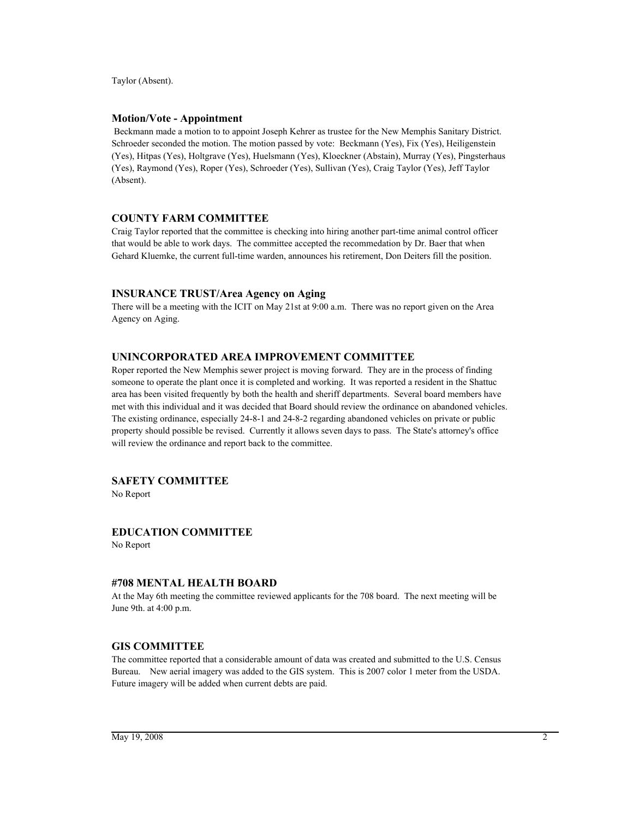Taylor (Absent).

#### **Motion/Vote - Appointment**

 Beckmann made a motion to to appoint Joseph Kehrer as trustee for the New Memphis Sanitary District. Schroeder seconded the motion. The motion passed by vote: Beckmann (Yes), Fix (Yes), Heiligenstein (Yes), Hitpas (Yes), Holtgrave (Yes), Huelsmann (Yes), Kloeckner (Abstain), Murray (Yes), Pingsterhaus (Yes), Raymond (Yes), Roper (Yes), Schroeder (Yes), Sullivan (Yes), Craig Taylor (Yes), Jeff Taylor (Absent).

#### **COUNTY FARM COMMITTEE**

Craig Taylor reported that the committee is checking into hiring another part-time animal control officer that would be able to work days. The committee accepted the recommedation by Dr. Baer that when Gehard Kluemke, the current full-time warden, announces his retirement, Don Deiters fill the position.

#### **INSURANCE TRUST/Area Agency on Aging**

There will be a meeting with the ICIT on May 21st at 9:00 a.m. There was no report given on the Area Agency on Aging.

#### **UNINCORPORATED AREA IMPROVEMENT COMMITTEE**

Roper reported the New Memphis sewer project is moving forward. They are in the process of finding someone to operate the plant once it is completed and working. It was reported a resident in the Shattuc area has been visited frequently by both the health and sheriff departments. Several board members have met with this individual and it was decided that Board should review the ordinance on abandoned vehicles. The existing ordinance, especially 24-8-1 and 24-8-2 regarding abandoned vehicles on private or public property should possible be revised. Currently it allows seven days to pass. The State's attorney's office will review the ordinance and report back to the committee.

#### **SAFETY COMMITTEE**

No Report

### **EDUCATION COMMITTEE**

No Report

#### **#708 MENTAL HEALTH BOARD**

At the May 6th meeting the committee reviewed applicants for the 708 board. The next meeting will be June 9th. at 4:00 p.m.

#### **GIS COMMITTEE**

The committee reported that a considerable amount of data was created and submitted to the U.S. Census Bureau. New aerial imagery was added to the GIS system. This is 2007 color 1 meter from the USDA. Future imagery will be added when current debts are paid.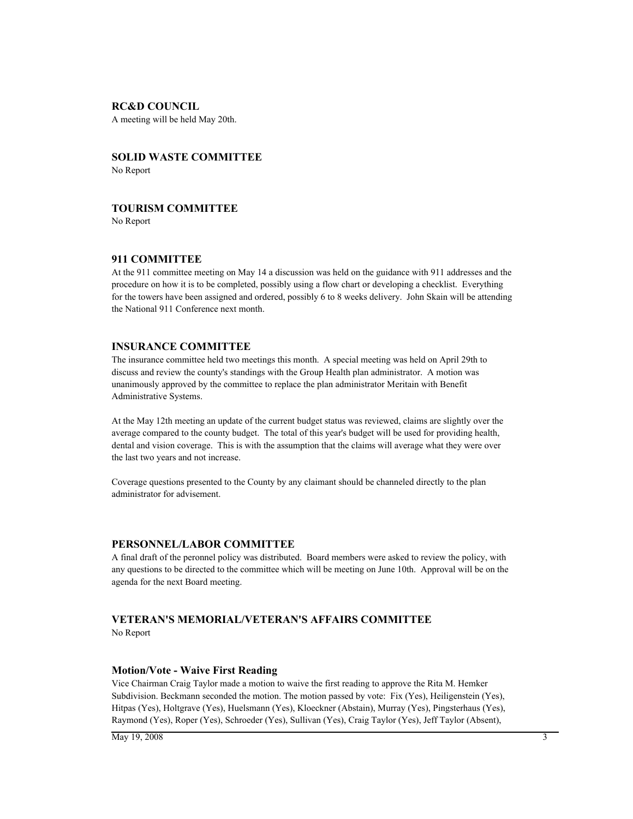#### **RC&D COUNCIL**

A meeting will be held May 20th.

#### **SOLID WASTE COMMITTEE** No Report

#### **TOURISM COMMITTEE**

No Report

#### **911 COMMITTEE**

At the 911 committee meeting on May 14 a discussion was held on the guidance with 911 addresses and the procedure on how it is to be completed, possibly using a flow chart or developing a checklist. Everything for the towers have been assigned and ordered, possibly 6 to 8 weeks delivery. John Skain will be attending the National 911 Conference next month.

#### **INSURANCE COMMITTEE**

The insurance committee held two meetings this month. A special meeting was held on April 29th to discuss and review the county's standings with the Group Health plan administrator. A motion was unanimously approved by the committee to replace the plan administrator Meritain with Benefit Administrative Systems.

At the May 12th meeting an update of the current budget status was reviewed, claims are slightly over the average compared to the county budget. The total of this year's budget will be used for providing health, dental and vision coverage. This is with the assumption that the claims will average what they were over the last two years and not increase.

Coverage questions presented to the County by any claimant should be channeled directly to the plan administrator for advisement.

#### **PERSONNEL/LABOR COMMITTEE**

A final draft of the peronnel policy was distributed. Board members were asked to review the policy, with any questions to be directed to the committee which will be meeting on June 10th. Approval will be on the agenda for the next Board meeting.

#### **VETERAN'S MEMORIAL/VETERAN'S AFFAIRS COMMITTEE**

No Report

#### **Motion/Vote - Waive First Reading**

Vice Chairman Craig Taylor made a motion to waive the first reading to approve the Rita M. Hemker Subdivision. Beckmann seconded the motion. The motion passed by vote: Fix (Yes), Heiligenstein (Yes), Hitpas (Yes), Holtgrave (Yes), Huelsmann (Yes), Kloeckner (Abstain), Murray (Yes), Pingsterhaus (Yes), Raymond (Yes), Roper (Yes), Schroeder (Yes), Sullivan (Yes), Craig Taylor (Yes), Jeff Taylor (Absent),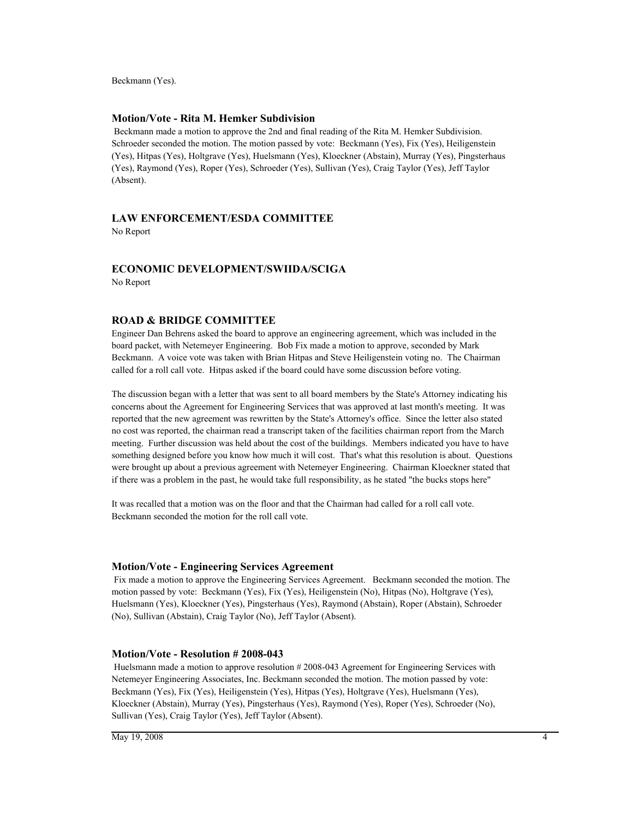Beckmann (Yes).

#### **Motion/Vote - Rita M. Hemker Subdivision**

 Beckmann made a motion to approve the 2nd and final reading of the Rita M. Hemker Subdivision. Schroeder seconded the motion. The motion passed by vote: Beckmann (Yes), Fix (Yes), Heiligenstein (Yes), Hitpas (Yes), Holtgrave (Yes), Huelsmann (Yes), Kloeckner (Abstain), Murray (Yes), Pingsterhaus (Yes), Raymond (Yes), Roper (Yes), Schroeder (Yes), Sullivan (Yes), Craig Taylor (Yes), Jeff Taylor (Absent).

#### **LAW ENFORCEMENT/ESDA COMMITTEE**

No Report

#### **ECONOMIC DEVELOPMENT/SWIIDA/SCIGA**

No Report

#### **ROAD & BRIDGE COMMITTEE**

Engineer Dan Behrens asked the board to approve an engineering agreement, which was included in the board packet, with Netemeyer Engineering. Bob Fix made a motion to approve, seconded by Mark Beckmann. A voice vote was taken with Brian Hitpas and Steve Heiligenstein voting no. The Chairman called for a roll call vote. Hitpas asked if the board could have some discussion before voting.

The discussion began with a letter that was sent to all board members by the State's Attorney indicating his concerns about the Agreement for Engineering Services that was approved at last month's meeting. It was reported that the new agreement was rewritten by the State's Attorney's office. Since the letter also stated no cost was reported, the chairman read a transcript taken of the facilities chairman report from the March meeting. Further discussion was held about the cost of the buildings. Members indicated you have to have something designed before you know how much it will cost. That's what this resolution is about. Questions were brought up about a previous agreement with Netemeyer Engineering. Chairman Kloeckner stated that if there was a problem in the past, he would take full responsibility, as he stated "the bucks stops here"

It was recalled that a motion was on the floor and that the Chairman had called for a roll call vote. Beckmann seconded the motion for the roll call vote.

#### **Motion/Vote - Engineering Services Agreement**

 Fix made a motion to approve the Engineering Services Agreement. Beckmann seconded the motion. The motion passed by vote: Beckmann (Yes), Fix (Yes), Heiligenstein (No), Hitpas (No), Holtgrave (Yes), Huelsmann (Yes), Kloeckner (Yes), Pingsterhaus (Yes), Raymond (Abstain), Roper (Abstain), Schroeder (No), Sullivan (Abstain), Craig Taylor (No), Jeff Taylor (Absent).

#### **Motion/Vote - Resolution # 2008-043**

 Huelsmann made a motion to approve resolution # 2008-043 Agreement for Engineering Services with Netemeyer Engineering Associates, Inc. Beckmann seconded the motion. The motion passed by vote: Beckmann (Yes), Fix (Yes), Heiligenstein (Yes), Hitpas (Yes), Holtgrave (Yes), Huelsmann (Yes), Kloeckner (Abstain), Murray (Yes), Pingsterhaus (Yes), Raymond (Yes), Roper (Yes), Schroeder (No), Sullivan (Yes), Craig Taylor (Yes), Jeff Taylor (Absent).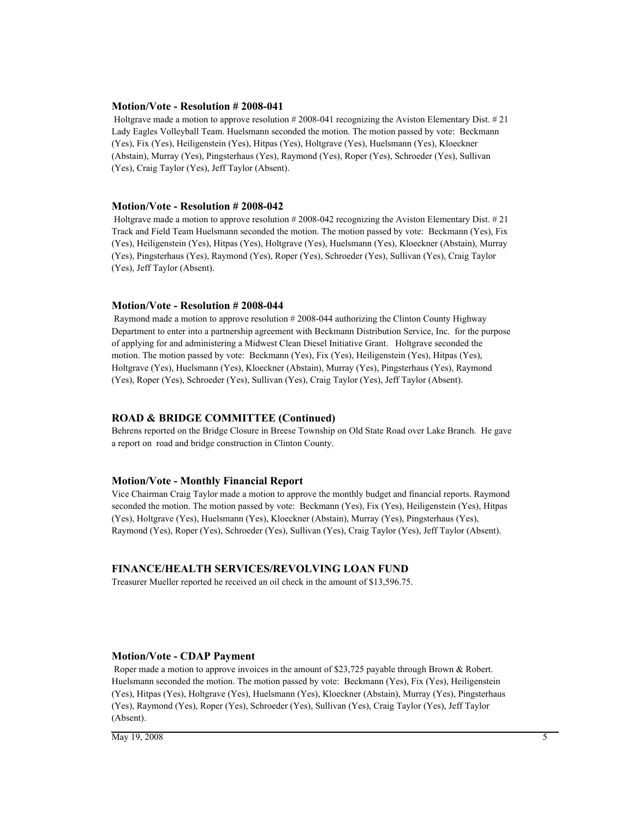#### **Motion/Vote - Resolution # 2008-041**

 Holtgrave made a motion to approve resolution # 2008-041 recognizing the Aviston Elementary Dist. # 21 Lady Eagles Volleyball Team. Huelsmann seconded the motion. The motion passed by vote: Beckmann (Yes), Fix (Yes), Heiligenstein (Yes), Hitpas (Yes), Holtgrave (Yes), Huelsmann (Yes), Kloeckner (Abstain), Murray (Yes), Pingsterhaus (Yes), Raymond (Yes), Roper (Yes), Schroeder (Yes), Sullivan (Yes), Craig Taylor (Yes), Jeff Taylor (Absent).

#### **Motion/Vote - Resolution # 2008-042**

 Holtgrave made a motion to approve resolution # 2008-042 recognizing the Aviston Elementary Dist. # 21 Track and Field Team Huelsmann seconded the motion. The motion passed by vote: Beckmann (Yes), Fix (Yes), Heiligenstein (Yes), Hitpas (Yes), Holtgrave (Yes), Huelsmann (Yes), Kloeckner (Abstain), Murray (Yes), Pingsterhaus (Yes), Raymond (Yes), Roper (Yes), Schroeder (Yes), Sullivan (Yes), Craig Taylor (Yes), Jeff Taylor (Absent).

#### **Motion/Vote - Resolution # 2008-044**

 Raymond made a motion to approve resolution # 2008-044 authorizing the Clinton County Highway Department to enter into a partnership agreement with Beckmann Distribution Service, Inc. for the purpose of applying for and administering a Midwest Clean Diesel Initiative Grant. Holtgrave seconded the motion. The motion passed by vote: Beckmann (Yes), Fix (Yes), Heiligenstein (Yes), Hitpas (Yes), Holtgrave (Yes), Huelsmann (Yes), Kloeckner (Abstain), Murray (Yes), Pingsterhaus (Yes), Raymond (Yes), Roper (Yes), Schroeder (Yes), Sullivan (Yes), Craig Taylor (Yes), Jeff Taylor (Absent).

#### **ROAD & BRIDGE COMMITTEE (Continued)**

Behrens reported on the Bridge Closure in Breese Township on Old State Road over Lake Branch. He gave a report on road and bridge construction in Clinton County.

#### **Motion/Vote - Monthly Financial Report**

Vice Chairman Craig Taylor made a motion to approve the monthly budget and financial reports. Raymond seconded the motion. The motion passed by vote: Beckmann (Yes), Fix (Yes), Heiligenstein (Yes), Hitpas (Yes), Holtgrave (Yes), Huelsmann (Yes), Kloeckner (Abstain), Murray (Yes), Pingsterhaus (Yes), Raymond (Yes), Roper (Yes), Schroeder (Yes), Sullivan (Yes), Craig Taylor (Yes), Jeff Taylor (Absent).

#### **FINANCE/HEALTH SERVICES/REVOLVING LOAN FUND**

Treasurer Mueller reported he received an oil check in the amount of \$13,596.75.

#### **Motion/Vote - CDAP Payment**

 Roper made a motion to approve invoices in the amount of \$23,725 payable through Brown & Robert. Huelsmann seconded the motion. The motion passed by vote: Beckmann (Yes), Fix (Yes), Heiligenstein (Yes), Hitpas (Yes), Holtgrave (Yes), Huelsmann (Yes), Kloeckner (Abstain), Murray (Yes), Pingsterhaus (Yes), Raymond (Yes), Roper (Yes), Schroeder (Yes), Sullivan (Yes), Craig Taylor (Yes), Jeff Taylor (Absent).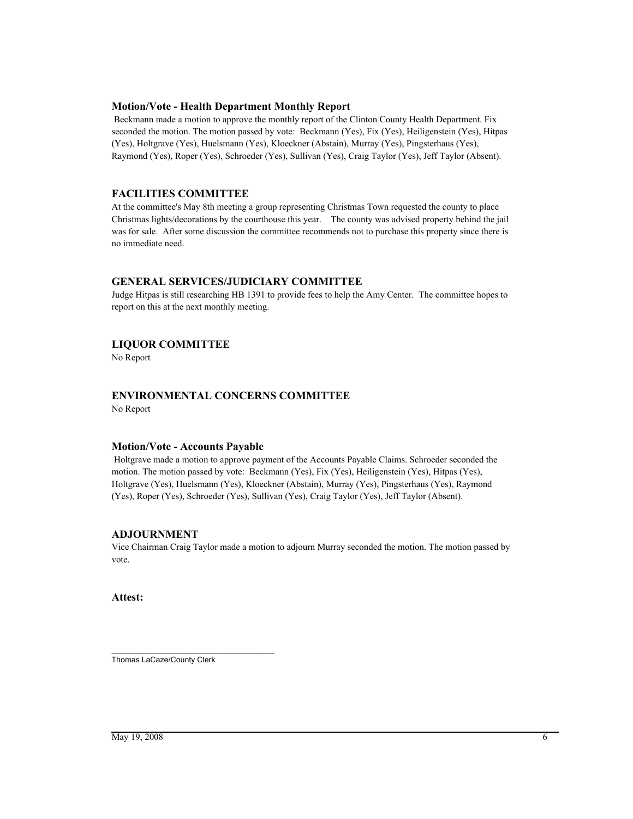### **Motion/Vote - Health Department Monthly Report**

 Beckmann made a motion to approve the monthly report of the Clinton County Health Department. Fix seconded the motion. The motion passed by vote: Beckmann (Yes), Fix (Yes), Heiligenstein (Yes), Hitpas (Yes), Holtgrave (Yes), Huelsmann (Yes), Kloeckner (Abstain), Murray (Yes), Pingsterhaus (Yes), Raymond (Yes), Roper (Yes), Schroeder (Yes), Sullivan (Yes), Craig Taylor (Yes), Jeff Taylor (Absent).

# **FACILITIES COMMITTEE**

At the committee's May 8th meeting a group representing Christmas Town requested the county to place Christmas lights/decorations by the courthouse this year. The county was advised property behind the jail was for sale. After some discussion the committee recommends not to purchase this property since there is no immediate need.

# **GENERAL SERVICES/JUDICIARY COMMITTEE**

Judge Hitpas is still researching HB 1391 to provide fees to help the Amy Center. The committee hopes to report on this at the next monthly meeting.

# **LIQUOR COMMITTEE**

No Report

# **ENVIRONMENTAL CONCERNS COMMITTEE**

No Report

# **Motion/Vote - Accounts Payable**

 Holtgrave made a motion to approve payment of the Accounts Payable Claims. Schroeder seconded the motion. The motion passed by vote: Beckmann (Yes), Fix (Yes), Heiligenstein (Yes), Hitpas (Yes), Holtgrave (Yes), Huelsmann (Yes), Kloeckner (Abstain), Murray (Yes), Pingsterhaus (Yes), Raymond (Yes), Roper (Yes), Schroeder (Yes), Sullivan (Yes), Craig Taylor (Yes), Jeff Taylor (Absent).

# **ADJOURNMENT**

Vice Chairman Craig Taylor made a motion to adjourn Murray seconded the motion. The motion passed by vote.

**Attest:**

\_\_\_\_\_\_\_\_\_\_\_\_\_\_\_\_\_\_\_\_\_\_\_\_\_\_\_\_\_\_\_\_\_\_\_\_\_\_ Thomas LaCaze/County Clerk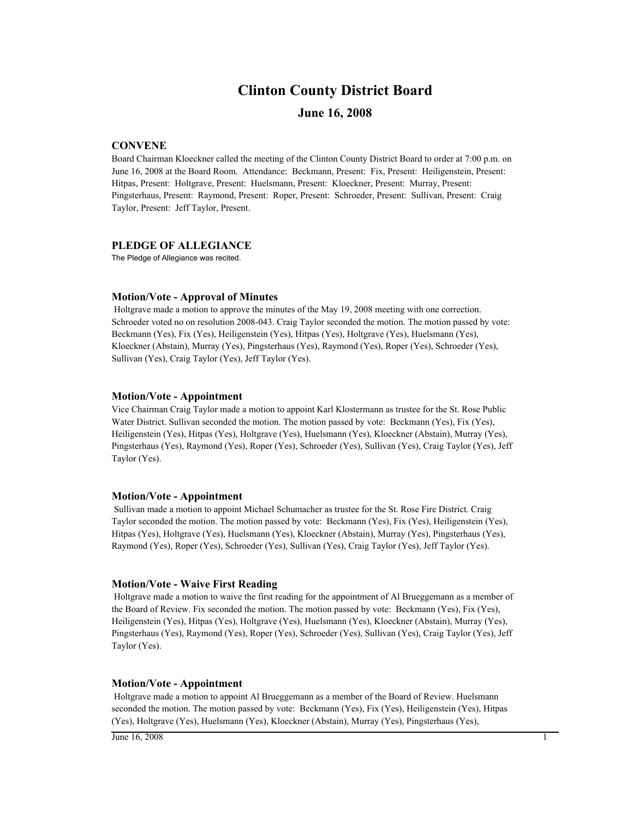# **Clinton County District Board**

# **June 16, 2008**

# **CONVENE**

Board Chairman Kloeckner called the meeting of the Clinton County District Board to order at 7:00 p.m. on June 16, 2008 at the Board Room. Attendance: Beckmann, Present: Fix, Present: Heiligenstein, Present: Hitpas, Present: Holtgrave, Present: Huelsmann, Present: Kloeckner, Present: Murray, Present: Pingsterhaus, Present: Raymond, Present: Roper, Present: Schroeder, Present: Sullivan, Present: Craig Taylor, Present: Jeff Taylor, Present.

### **PLEDGE OF ALLEGIANCE**

The Pledge of Allegiance was recited.

#### **Motion/Vote - Approval of Minutes**

 Holtgrave made a motion to approve the minutes of the May 19, 2008 meeting with one correction. Schroeder voted no on resolution 2008-043. Craig Taylor seconded the motion. The motion passed by vote: Beckmann (Yes), Fix (Yes), Heiligenstein (Yes), Hitpas (Yes), Holtgrave (Yes), Huelsmann (Yes), Kloeckner (Abstain), Murray (Yes), Pingsterhaus (Yes), Raymond (Yes), Roper (Yes), Schroeder (Yes), Sullivan (Yes), Craig Taylor (Yes), Jeff Taylor (Yes).

#### **Motion/Vote - Appointment**

Vice Chairman Craig Taylor made a motion to appoint Karl Klostermann as trustee for the St. Rose Public Water District. Sullivan seconded the motion. The motion passed by vote: Beckmann (Yes), Fix (Yes), Heiligenstein (Yes), Hitpas (Yes), Holtgrave (Yes), Huelsmann (Yes), Kloeckner (Abstain), Murray (Yes), Pingsterhaus (Yes), Raymond (Yes), Roper (Yes), Schroeder (Yes), Sullivan (Yes), Craig Taylor (Yes), Jeff Taylor (Yes).

#### **Motion/Vote - Appointment**

 Sullivan made a motion to appoint Michael Schumacher as trustee for the St. Rose Fire District. Craig Taylor seconded the motion. The motion passed by vote: Beckmann (Yes), Fix (Yes), Heiligenstein (Yes), Hitpas (Yes), Holtgrave (Yes), Huelsmann (Yes), Kloeckner (Abstain), Murray (Yes), Pingsterhaus (Yes), Raymond (Yes), Roper (Yes), Schroeder (Yes), Sullivan (Yes), Craig Taylor (Yes), Jeff Taylor (Yes).

#### **Motion/Vote - Waive First Reading**

 Holtgrave made a motion to waive the first reading for the appointment of Al Brueggemann as a member of the Board of Review. Fix seconded the motion. The motion passed by vote: Beckmann (Yes), Fix (Yes), Heiligenstein (Yes), Hitpas (Yes), Holtgrave (Yes), Huelsmann (Yes), Kloeckner (Abstain), Murray (Yes), Pingsterhaus (Yes), Raymond (Yes), Roper (Yes), Schroeder (Yes), Sullivan (Yes), Craig Taylor (Yes), Jeff Taylor (Yes).

#### **Motion/Vote - Appointment**

 Holtgrave made a motion to appoint Al Brueggemann as a member of the Board of Review. Huelsmann seconded the motion. The motion passed by vote: Beckmann (Yes), Fix (Yes), Heiligenstein (Yes), Hitpas (Yes), Holtgrave (Yes), Huelsmann (Yes), Kloeckner (Abstain), Murray (Yes), Pingsterhaus (Yes),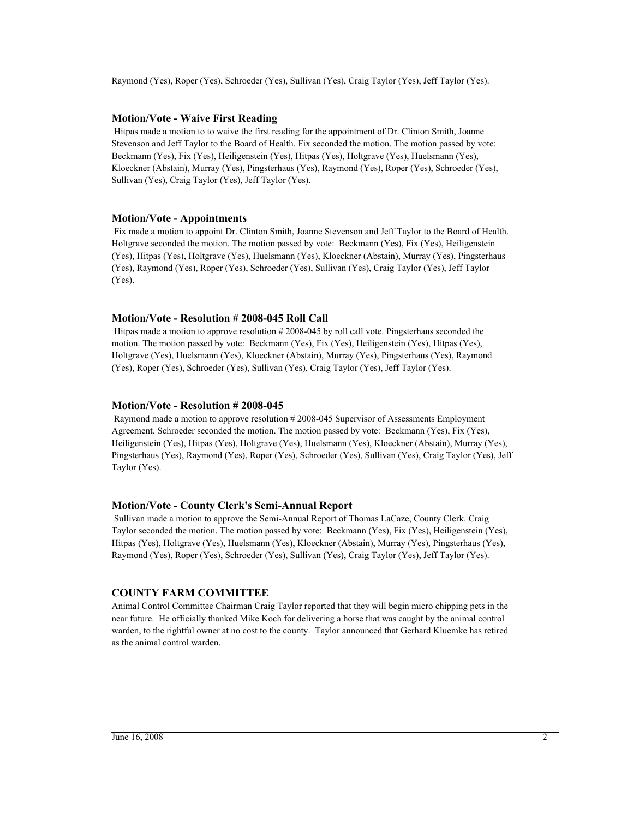Raymond (Yes), Roper (Yes), Schroeder (Yes), Sullivan (Yes), Craig Taylor (Yes), Jeff Taylor (Yes).

# **Motion/Vote - Waive First Reading**

 Hitpas made a motion to to waive the first reading for the appointment of Dr. Clinton Smith, Joanne Stevenson and Jeff Taylor to the Board of Health. Fix seconded the motion. The motion passed by vote: Beckmann (Yes), Fix (Yes), Heiligenstein (Yes), Hitpas (Yes), Holtgrave (Yes), Huelsmann (Yes), Kloeckner (Abstain), Murray (Yes), Pingsterhaus (Yes), Raymond (Yes), Roper (Yes), Schroeder (Yes), Sullivan (Yes), Craig Taylor (Yes), Jeff Taylor (Yes).

## **Motion/Vote - Appointments**

 Fix made a motion to appoint Dr. Clinton Smith, Joanne Stevenson and Jeff Taylor to the Board of Health. Holtgrave seconded the motion. The motion passed by vote: Beckmann (Yes), Fix (Yes), Heiligenstein (Yes), Hitpas (Yes), Holtgrave (Yes), Huelsmann (Yes), Kloeckner (Abstain), Murray (Yes), Pingsterhaus (Yes), Raymond (Yes), Roper (Yes), Schroeder (Yes), Sullivan (Yes), Craig Taylor (Yes), Jeff Taylor (Yes).

## **Motion/Vote - Resolution # 2008-045 Roll Call**

 Hitpas made a motion to approve resolution # 2008-045 by roll call vote. Pingsterhaus seconded the motion. The motion passed by vote: Beckmann (Yes), Fix (Yes), Heiligenstein (Yes), Hitpas (Yes), Holtgrave (Yes), Huelsmann (Yes), Kloeckner (Abstain), Murray (Yes), Pingsterhaus (Yes), Raymond (Yes), Roper (Yes), Schroeder (Yes), Sullivan (Yes), Craig Taylor (Yes), Jeff Taylor (Yes).

### **Motion/Vote - Resolution # 2008-045**

 Raymond made a motion to approve resolution # 2008-045 Supervisor of Assessments Employment Agreement. Schroeder seconded the motion. The motion passed by vote: Beckmann (Yes), Fix (Yes), Heiligenstein (Yes), Hitpas (Yes), Holtgrave (Yes), Huelsmann (Yes), Kloeckner (Abstain), Murray (Yes), Pingsterhaus (Yes), Raymond (Yes), Roper (Yes), Schroeder (Yes), Sullivan (Yes), Craig Taylor (Yes), Jeff Taylor (Yes).

# **Motion/Vote - County Clerk's Semi-Annual Report**

 Sullivan made a motion to approve the Semi-Annual Report of Thomas LaCaze, County Clerk. Craig Taylor seconded the motion. The motion passed by vote: Beckmann (Yes), Fix (Yes), Heiligenstein (Yes), Hitpas (Yes), Holtgrave (Yes), Huelsmann (Yes), Kloeckner (Abstain), Murray (Yes), Pingsterhaus (Yes), Raymond (Yes), Roper (Yes), Schroeder (Yes), Sullivan (Yes), Craig Taylor (Yes), Jeff Taylor (Yes).

### **COUNTY FARM COMMITTEE**

Animal Control Committee Chairman Craig Taylor reported that they will begin micro chipping pets in the near future. He officially thanked Mike Koch for delivering a horse that was caught by the animal control warden, to the rightful owner at no cost to the county. Taylor announced that Gerhard Kluemke has retired as the animal control warden.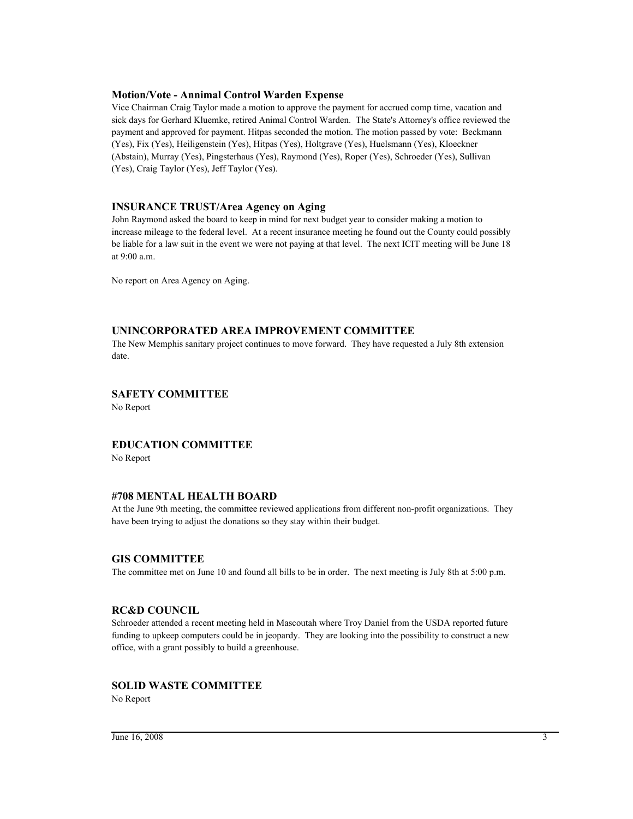# **Motion/Vote - Annimal Control Warden Expense**

Vice Chairman Craig Taylor made a motion to approve the payment for accrued comp time, vacation and sick days for Gerhard Kluemke, retired Animal Control Warden. The State's Attorney's office reviewed the payment and approved for payment. Hitpas seconded the motion. The motion passed by vote: Beckmann (Yes), Fix (Yes), Heiligenstein (Yes), Hitpas (Yes), Holtgrave (Yes), Huelsmann (Yes), Kloeckner (Abstain), Murray (Yes), Pingsterhaus (Yes), Raymond (Yes), Roper (Yes), Schroeder (Yes), Sullivan (Yes), Craig Taylor (Yes), Jeff Taylor (Yes).

### **INSURANCE TRUST/Area Agency on Aging**

John Raymond asked the board to keep in mind for next budget year to consider making a motion to increase mileage to the federal level. At a recent insurance meeting he found out the County could possibly be liable for a law suit in the event we were not paying at that level. The next ICIT meeting will be June 18 at 9:00 a.m.

No report on Area Agency on Aging.

# **UNINCORPORATED AREA IMPROVEMENT COMMITTEE**

The New Memphis sanitary project continues to move forward. They have requested a July 8th extension date.

# **SAFETY COMMITTEE**

No Report

# **EDUCATION COMMITTEE**

No Report

# **#708 MENTAL HEALTH BOARD**

At the June 9th meeting, the committee reviewed applications from different non-profit organizations. They have been trying to adjust the donations so they stay within their budget.

# **GIS COMMITTEE**

The committee met on June 10 and found all bills to be in order. The next meeting is July 8th at 5:00 p.m.

# **RC&D COUNCIL**

Schroeder attended a recent meeting held in Mascoutah where Troy Daniel from the USDA reported future funding to upkeep computers could be in jeopardy. They are looking into the possibility to construct a new office, with a grant possibly to build a greenhouse.

# **SOLID WASTE COMMITTEE**

No Report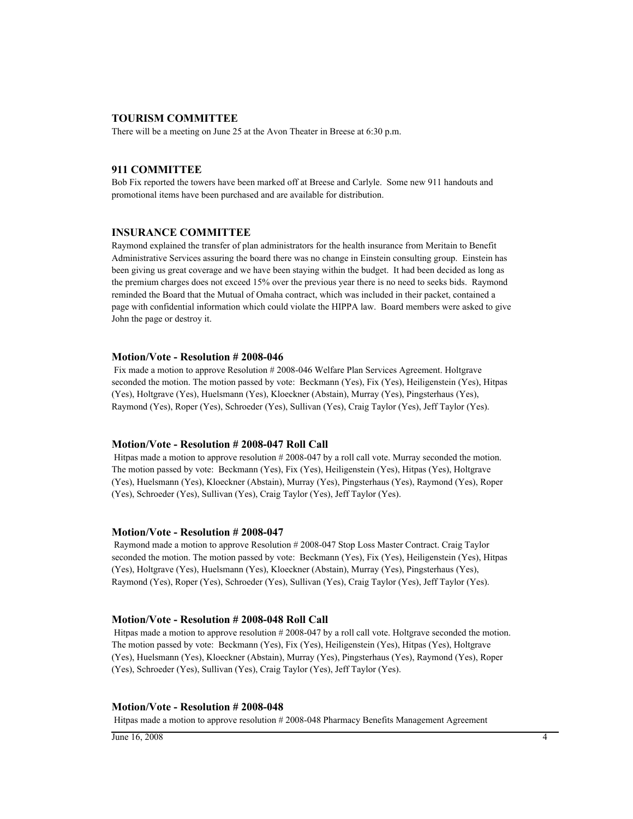## **TOURISM COMMITTEE**

There will be a meeting on June 25 at the Avon Theater in Breese at 6:30 p.m.

### **911 COMMITTEE**

Bob Fix reported the towers have been marked off at Breese and Carlyle. Some new 911 handouts and promotional items have been purchased and are available for distribution.

### **INSURANCE COMMITTEE**

Raymond explained the transfer of plan administrators for the health insurance from Meritain to Benefit Administrative Services assuring the board there was no change in Einstein consulting group. Einstein has been giving us great coverage and we have been staying within the budget. It had been decided as long as the premium charges does not exceed 15% over the previous year there is no need to seeks bids. Raymond reminded the Board that the Mutual of Omaha contract, which was included in their packet, contained a page with confidential information which could violate the HIPPA law. Board members were asked to give John the page or destroy it.

### **Motion/Vote - Resolution # 2008-046**

 Fix made a motion to approve Resolution # 2008-046 Welfare Plan Services Agreement. Holtgrave seconded the motion. The motion passed by vote: Beckmann (Yes), Fix (Yes), Heiligenstein (Yes), Hitpas (Yes), Holtgrave (Yes), Huelsmann (Yes), Kloeckner (Abstain), Murray (Yes), Pingsterhaus (Yes), Raymond (Yes), Roper (Yes), Schroeder (Yes), Sullivan (Yes), Craig Taylor (Yes), Jeff Taylor (Yes).

#### **Motion/Vote - Resolution # 2008-047 Roll Call**

 Hitpas made a motion to approve resolution # 2008-047 by a roll call vote. Murray seconded the motion. The motion passed by vote: Beckmann (Yes), Fix (Yes), Heiligenstein (Yes), Hitpas (Yes), Holtgrave (Yes), Huelsmann (Yes), Kloeckner (Abstain), Murray (Yes), Pingsterhaus (Yes), Raymond (Yes), Roper (Yes), Schroeder (Yes), Sullivan (Yes), Craig Taylor (Yes), Jeff Taylor (Yes).

#### **Motion/Vote - Resolution # 2008-047**

 Raymond made a motion to approve Resolution # 2008-047 Stop Loss Master Contract. Craig Taylor seconded the motion. The motion passed by vote: Beckmann (Yes), Fix (Yes), Heiligenstein (Yes), Hitpas (Yes), Holtgrave (Yes), Huelsmann (Yes), Kloeckner (Abstain), Murray (Yes), Pingsterhaus (Yes), Raymond (Yes), Roper (Yes), Schroeder (Yes), Sullivan (Yes), Craig Taylor (Yes), Jeff Taylor (Yes).

### **Motion/Vote - Resolution # 2008-048 Roll Call**

 Hitpas made a motion to approve resolution # 2008-047 by a roll call vote. Holtgrave seconded the motion. The motion passed by vote: Beckmann (Yes), Fix (Yes), Heiligenstein (Yes), Hitpas (Yes), Holtgrave (Yes), Huelsmann (Yes), Kloeckner (Abstain), Murray (Yes), Pingsterhaus (Yes), Raymond (Yes), Roper (Yes), Schroeder (Yes), Sullivan (Yes), Craig Taylor (Yes), Jeff Taylor (Yes).

#### **Motion/Vote - Resolution # 2008-048**

Hitpas made a motion to approve resolution # 2008-048 Pharmacy Benefits Management Agreement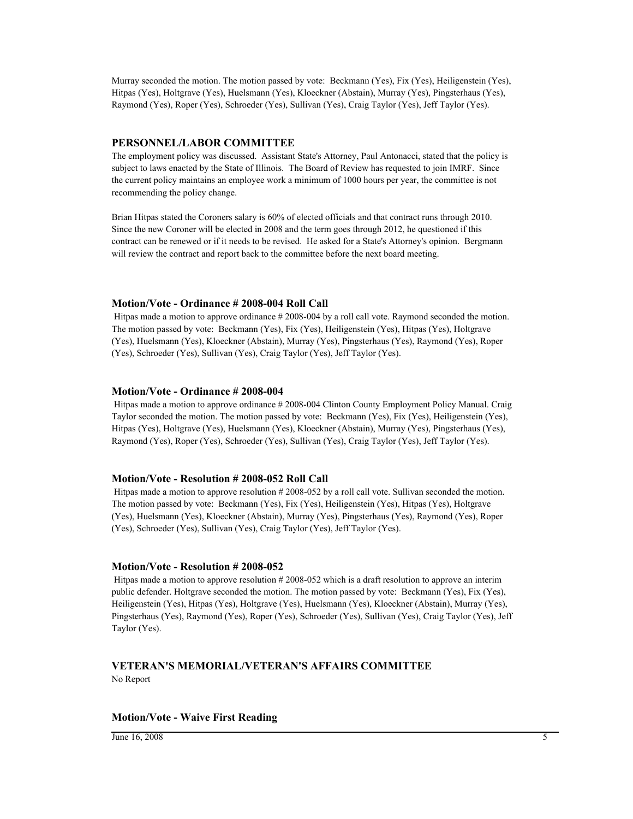Murray seconded the motion. The motion passed by vote: Beckmann (Yes), Fix (Yes), Heiligenstein (Yes), Hitpas (Yes), Holtgrave (Yes), Huelsmann (Yes), Kloeckner (Abstain), Murray (Yes), Pingsterhaus (Yes), Raymond (Yes), Roper (Yes), Schroeder (Yes), Sullivan (Yes), Craig Taylor (Yes), Jeff Taylor (Yes).

### **PERSONNEL/LABOR COMMITTEE**

The employment policy was discussed. Assistant State's Attorney, Paul Antonacci, stated that the policy is subject to laws enacted by the State of Illinois. The Board of Review has requested to join IMRF. Since the current policy maintains an employee work a minimum of 1000 hours per year, the committee is not recommending the policy change.

Brian Hitpas stated the Coroners salary is 60% of elected officials and that contract runs through 2010. Since the new Coroner will be elected in 2008 and the term goes through 2012, he questioned if this contract can be renewed or if it needs to be revised. He asked for a State's Attorney's opinion. Bergmann will review the contract and report back to the committee before the next board meeting.

#### **Motion/Vote - Ordinance # 2008-004 Roll Call**

 Hitpas made a motion to approve ordinance # 2008-004 by a roll call vote. Raymond seconded the motion. The motion passed by vote: Beckmann (Yes), Fix (Yes), Heiligenstein (Yes), Hitpas (Yes), Holtgrave (Yes), Huelsmann (Yes), Kloeckner (Abstain), Murray (Yes), Pingsterhaus (Yes), Raymond (Yes), Roper (Yes), Schroeder (Yes), Sullivan (Yes), Craig Taylor (Yes), Jeff Taylor (Yes).

#### **Motion/Vote - Ordinance # 2008-004**

 Hitpas made a motion to approve ordinance # 2008-004 Clinton County Employment Policy Manual. Craig Taylor seconded the motion. The motion passed by vote: Beckmann (Yes), Fix (Yes), Heiligenstein (Yes), Hitpas (Yes), Holtgrave (Yes), Huelsmann (Yes), Kloeckner (Abstain), Murray (Yes), Pingsterhaus (Yes), Raymond (Yes), Roper (Yes), Schroeder (Yes), Sullivan (Yes), Craig Taylor (Yes), Jeff Taylor (Yes).

#### **Motion/Vote - Resolution # 2008-052 Roll Call**

 Hitpas made a motion to approve resolution # 2008-052 by a roll call vote. Sullivan seconded the motion. The motion passed by vote: Beckmann (Yes), Fix (Yes), Heiligenstein (Yes), Hitpas (Yes), Holtgrave (Yes), Huelsmann (Yes), Kloeckner (Abstain), Murray (Yes), Pingsterhaus (Yes), Raymond (Yes), Roper (Yes), Schroeder (Yes), Sullivan (Yes), Craig Taylor (Yes), Jeff Taylor (Yes).

#### **Motion/Vote - Resolution # 2008-052**

 Hitpas made a motion to approve resolution # 2008-052 which is a draft resolution to approve an interim public defender. Holtgrave seconded the motion. The motion passed by vote: Beckmann (Yes), Fix (Yes), Heiligenstein (Yes), Hitpas (Yes), Holtgrave (Yes), Huelsmann (Yes), Kloeckner (Abstain), Murray (Yes), Pingsterhaus (Yes), Raymond (Yes), Roper (Yes), Schroeder (Yes), Sullivan (Yes), Craig Taylor (Yes), Jeff Taylor (Yes).

# **VETERAN'S MEMORIAL/VETERAN'S AFFAIRS COMMITTEE** No Report

#### **Motion/Vote - Waive First Reading**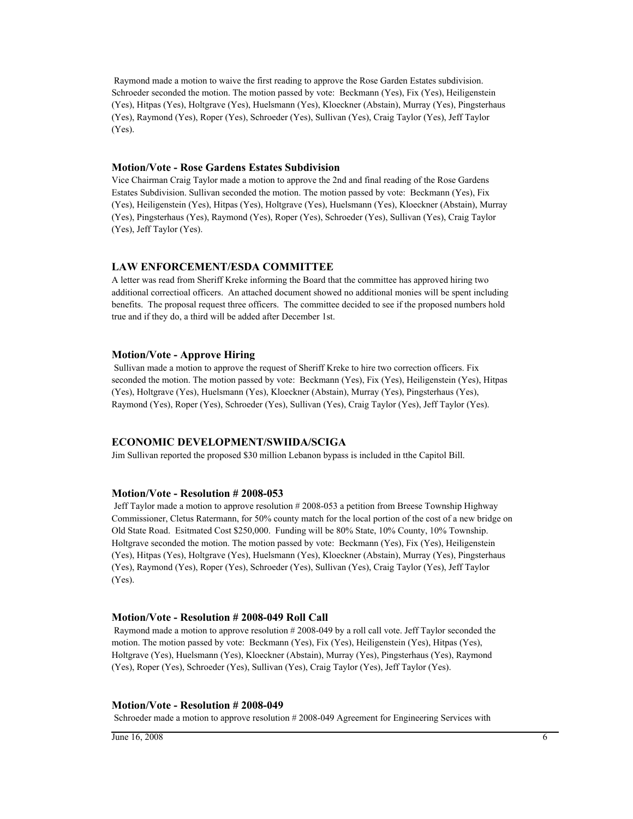Raymond made a motion to waive the first reading to approve the Rose Garden Estates subdivision. Schroeder seconded the motion. The motion passed by vote: Beckmann (Yes), Fix (Yes), Heiligenstein (Yes), Hitpas (Yes), Holtgrave (Yes), Huelsmann (Yes), Kloeckner (Abstain), Murray (Yes), Pingsterhaus (Yes), Raymond (Yes), Roper (Yes), Schroeder (Yes), Sullivan (Yes), Craig Taylor (Yes), Jeff Taylor (Yes).

#### **Motion/Vote - Rose Gardens Estates Subdivision**

Vice Chairman Craig Taylor made a motion to approve the 2nd and final reading of the Rose Gardens Estates Subdivision. Sullivan seconded the motion. The motion passed by vote: Beckmann (Yes), Fix (Yes), Heiligenstein (Yes), Hitpas (Yes), Holtgrave (Yes), Huelsmann (Yes), Kloeckner (Abstain), Murray (Yes), Pingsterhaus (Yes), Raymond (Yes), Roper (Yes), Schroeder (Yes), Sullivan (Yes), Craig Taylor (Yes), Jeff Taylor (Yes).

### **LAW ENFORCEMENT/ESDA COMMITTEE**

A letter was read from Sheriff Kreke informing the Board that the committee has approved hiring two additional correctioal officers. An attached document showed no additional monies will be spent including benefits. The proposal request three officers. The committee decided to see if the proposed numbers hold true and if they do, a third will be added after December 1st.

### **Motion/Vote - Approve Hiring**

 Sullivan made a motion to approve the request of Sheriff Kreke to hire two correction officers. Fix seconded the motion. The motion passed by vote: Beckmann (Yes), Fix (Yes), Heiligenstein (Yes), Hitpas (Yes), Holtgrave (Yes), Huelsmann (Yes), Kloeckner (Abstain), Murray (Yes), Pingsterhaus (Yes), Raymond (Yes), Roper (Yes), Schroeder (Yes), Sullivan (Yes), Craig Taylor (Yes), Jeff Taylor (Yes).

## **ECONOMIC DEVELOPMENT/SWIIDA/SCIGA**

Jim Sullivan reported the proposed \$30 million Lebanon bypass is included in tthe Capitol Bill.

#### **Motion/Vote - Resolution # 2008-053**

 Jeff Taylor made a motion to approve resolution # 2008-053 a petition from Breese Township Highway Commissioner, Cletus Ratermann, for 50% county match for the local portion of the cost of a new bridge on Old State Road. Esitmated Cost \$250,000. Funding will be 80% State, 10% County, 10% Township. Holtgrave seconded the motion. The motion passed by vote: Beckmann (Yes), Fix (Yes), Heiligenstein (Yes), Hitpas (Yes), Holtgrave (Yes), Huelsmann (Yes), Kloeckner (Abstain), Murray (Yes), Pingsterhaus (Yes), Raymond (Yes), Roper (Yes), Schroeder (Yes), Sullivan (Yes), Craig Taylor (Yes), Jeff Taylor (Yes).

### **Motion/Vote - Resolution # 2008-049 Roll Call**

 Raymond made a motion to approve resolution # 2008-049 by a roll call vote. Jeff Taylor seconded the motion. The motion passed by vote: Beckmann (Yes), Fix (Yes), Heiligenstein (Yes), Hitpas (Yes), Holtgrave (Yes), Huelsmann (Yes), Kloeckner (Abstain), Murray (Yes), Pingsterhaus (Yes), Raymond (Yes), Roper (Yes), Schroeder (Yes), Sullivan (Yes), Craig Taylor (Yes), Jeff Taylor (Yes).

#### **Motion/Vote - Resolution # 2008-049**

Schroeder made a motion to approve resolution # 2008-049 Agreement for Engineering Services with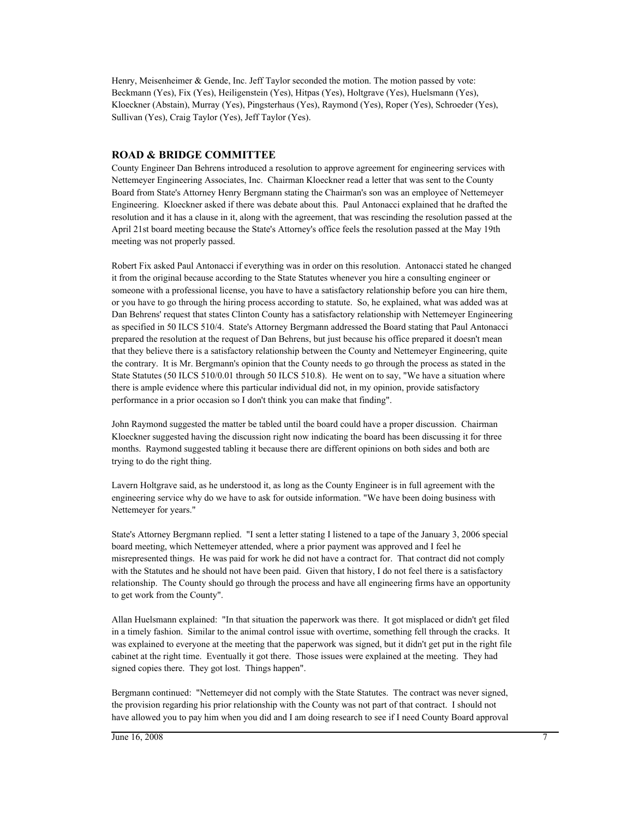Henry, Meisenheimer & Gende, Inc. Jeff Taylor seconded the motion. The motion passed by vote: Beckmann (Yes), Fix (Yes), Heiligenstein (Yes), Hitpas (Yes), Holtgrave (Yes), Huelsmann (Yes), Kloeckner (Abstain), Murray (Yes), Pingsterhaus (Yes), Raymond (Yes), Roper (Yes), Schroeder (Yes), Sullivan (Yes), Craig Taylor (Yes), Jeff Taylor (Yes).

### **ROAD & BRIDGE COMMITTEE**

County Engineer Dan Behrens introduced a resolution to approve agreement for engineering services with Nettemeyer Engineering Associates, Inc. Chairman Kloeckner read a letter that was sent to the County Board from State's Attorney Henry Bergmann stating the Chairman's son was an employee of Nettemeyer Engineering. Kloeckner asked if there was debate about this. Paul Antonacci explained that he drafted the resolution and it has a clause in it, along with the agreement, that was rescinding the resolution passed at the April 21st board meeting because the State's Attorney's office feels the resolution passed at the May 19th meeting was not properly passed.

Robert Fix asked Paul Antonacci if everything was in order on this resolution. Antonacci stated he changed it from the original because according to the State Statutes whenever you hire a consulting engineer or someone with a professional license, you have to have a satisfactory relationship before you can hire them, or you have to go through the hiring process according to statute. So, he explained, what was added was at Dan Behrens' request that states Clinton County has a satisfactory relationship with Nettemeyer Engineering as specified in 50 ILCS 510/4. State's Attorney Bergmann addressed the Board stating that Paul Antonacci prepared the resolution at the request of Dan Behrens, but just because his office prepared it doesn't mean that they believe there is a satisfactory relationship between the County and Nettemeyer Engineering, quite the contrary. It is Mr. Bergmann's opinion that the County needs to go through the process as stated in the State Statutes (50 ILCS 510/0.01 through 50 ILCS 510.8). He went on to say, "We have a situation where there is ample evidence where this particular individual did not, in my opinion, provide satisfactory performance in a prior occasion so I don't think you can make that finding".

John Raymond suggested the matter be tabled until the board could have a proper discussion. Chairman Kloeckner suggested having the discussion right now indicating the board has been discussing it for three months. Raymond suggested tabling it because there are different opinions on both sides and both are trying to do the right thing.

Lavern Holtgrave said, as he understood it, as long as the County Engineer is in full agreement with the engineering service why do we have to ask for outside information. "We have been doing business with Nettemeyer for years."

State's Attorney Bergmann replied. "I sent a letter stating I listened to a tape of the January 3, 2006 special board meeting, which Nettemeyer attended, where a prior payment was approved and I feel he misrepresented things. He was paid for work he did not have a contract for. That contract did not comply with the Statutes and he should not have been paid. Given that history, I do not feel there is a satisfactory relationship. The County should go through the process and have all engineering firms have an opportunity to get work from the County".

Allan Huelsmann explained: "In that situation the paperwork was there. It got misplaced or didn't get filed in a timely fashion. Similar to the animal control issue with overtime, something fell through the cracks. It was explained to everyone at the meeting that the paperwork was signed, but it didn't get put in the right file cabinet at the right time. Eventually it got there. Those issues were explained at the meeting. They had signed copies there. They got lost. Things happen".

Bergmann continued: "Nettemeyer did not comply with the State Statutes. The contract was never signed, the provision regarding his prior relationship with the County was not part of that contract. I should not have allowed you to pay him when you did and I am doing research to see if I need County Board approval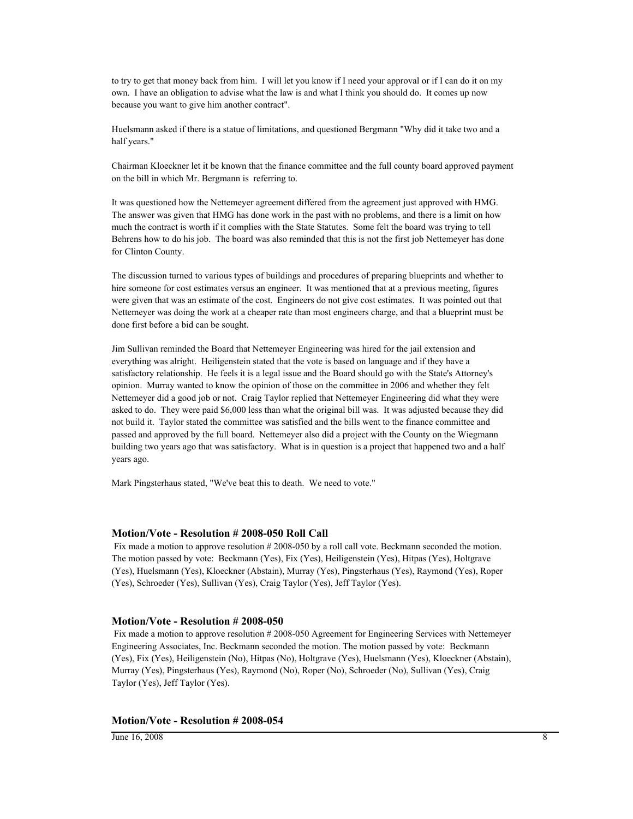to try to get that money back from him. I will let you know if I need your approval or if I can do it on my own. I have an obligation to advise what the law is and what I think you should do. It comes up now because you want to give him another contract".

Huelsmann asked if there is a statue of limitations, and questioned Bergmann "Why did it take two and a half years."

Chairman Kloeckner let it be known that the finance committee and the full county board approved payment on the bill in which Mr. Bergmann is referring to.

It was questioned how the Nettemeyer agreement differed from the agreement just approved with HMG. The answer was given that HMG has done work in the past with no problems, and there is a limit on how much the contract is worth if it complies with the State Statutes. Some felt the board was trying to tell Behrens how to do his job. The board was also reminded that this is not the first job Nettemeyer has done for Clinton County.

The discussion turned to various types of buildings and procedures of preparing blueprints and whether to hire someone for cost estimates versus an engineer. It was mentioned that at a previous meeting, figures were given that was an estimate of the cost. Engineers do not give cost estimates. It was pointed out that Nettemeyer was doing the work at a cheaper rate than most engineers charge, and that a blueprint must be done first before a bid can be sought.

Jim Sullivan reminded the Board that Nettemeyer Engineering was hired for the jail extension and everything was alright. Heiligenstein stated that the vote is based on language and if they have a satisfactory relationship. He feels it is a legal issue and the Board should go with the State's Attorney's opinion. Murray wanted to know the opinion of those on the committee in 2006 and whether they felt Nettemeyer did a good job or not. Craig Taylor replied that Nettemeyer Engineering did what they were asked to do. They were paid \$6,000 less than what the original bill was. It was adjusted because they did not build it. Taylor stated the committee was satisfied and the bills went to the finance committee and passed and approved by the full board. Nettemeyer also did a project with the County on the Wiegmann building two years ago that was satisfactory. What is in question is a project that happened two and a half years ago.

Mark Pingsterhaus stated, "We've beat this to death. We need to vote."

#### **Motion/Vote - Resolution # 2008-050 Roll Call**

Fix made a motion to approve resolution # 2008-050 by a roll call vote. Beckmann seconded the motion. The motion passed by vote: Beckmann (Yes), Fix (Yes), Heiligenstein (Yes), Hitpas (Yes), Holtgrave (Yes), Huelsmann (Yes), Kloeckner (Abstain), Murray (Yes), Pingsterhaus (Yes), Raymond (Yes), Roper (Yes), Schroeder (Yes), Sullivan (Yes), Craig Taylor (Yes), Jeff Taylor (Yes).

#### **Motion/Vote - Resolution # 2008-050**

 Fix made a motion to approve resolution # 2008-050 Agreement for Engineering Services with Nettemeyer Engineering Associates, Inc. Beckmann seconded the motion. The motion passed by vote: Beckmann (Yes), Fix (Yes), Heiligenstein (No), Hitpas (No), Holtgrave (Yes), Huelsmann (Yes), Kloeckner (Abstain), Murray (Yes), Pingsterhaus (Yes), Raymond (No), Roper (No), Schroeder (No), Sullivan (Yes), Craig Taylor (Yes), Jeff Taylor (Yes).

#### **Motion/Vote - Resolution # 2008-054**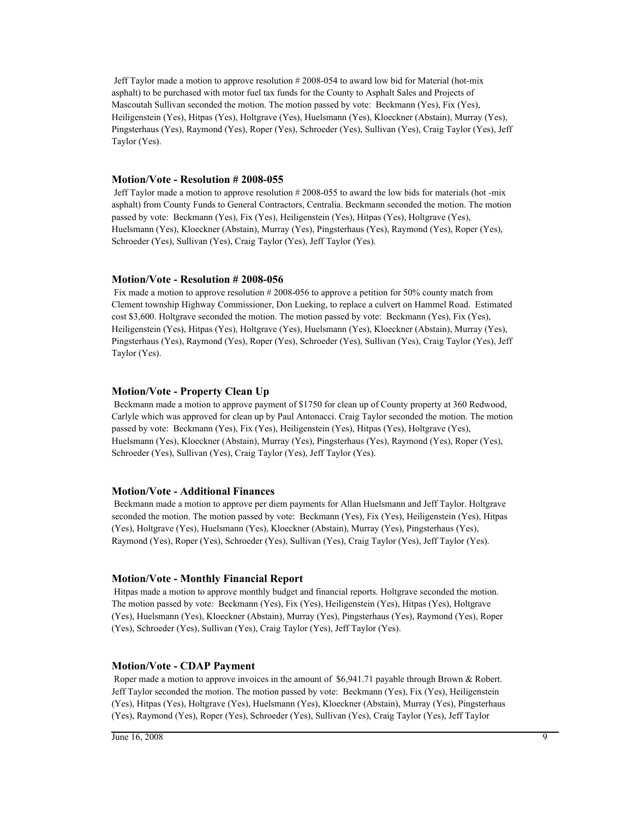Jeff Taylor made a motion to approve resolution # 2008-054 to award low bid for Material (hot-mix asphalt) to be purchased with motor fuel tax funds for the County to Asphalt Sales and Projects of Mascoutah Sullivan seconded the motion. The motion passed by vote: Beckmann (Yes), Fix (Yes), Heiligenstein (Yes), Hitpas (Yes), Holtgrave (Yes), Huelsmann (Yes), Kloeckner (Abstain), Murray (Yes), Pingsterhaus (Yes), Raymond (Yes), Roper (Yes), Schroeder (Yes), Sullivan (Yes), Craig Taylor (Yes), Jeff Taylor (Yes).

### **Motion/Vote - Resolution # 2008-055**

 Jeff Taylor made a motion to approve resolution # 2008-055 to award the low bids for materials (hot -mix asphalt) from County Funds to General Contractors, Centralia. Beckmann seconded the motion. The motion passed by vote: Beckmann (Yes), Fix (Yes), Heiligenstein (Yes), Hitpas (Yes), Holtgrave (Yes), Huelsmann (Yes), Kloeckner (Abstain), Murray (Yes), Pingsterhaus (Yes), Raymond (Yes), Roper (Yes), Schroeder (Yes), Sullivan (Yes), Craig Taylor (Yes), Jeff Taylor (Yes).

### **Motion/Vote - Resolution # 2008-056**

Fix made a motion to approve resolution # 2008-056 to approve a petition for 50% county match from Clement township Highway Commissioner, Don Lueking, to replace a culvert on Hammel Road. Estimated cost \$3,600. Holtgrave seconded the motion. The motion passed by vote: Beckmann (Yes), Fix (Yes), Heiligenstein (Yes), Hitpas (Yes), Holtgrave (Yes), Huelsmann (Yes), Kloeckner (Abstain), Murray (Yes), Pingsterhaus (Yes), Raymond (Yes), Roper (Yes), Schroeder (Yes), Sullivan (Yes), Craig Taylor (Yes), Jeff Taylor (Yes).

### **Motion/Vote - Property Clean Up**

 Beckmann made a motion to approve payment of \$1750 for clean up of County property at 360 Redwood, Carlyle which was approved for clean up by Paul Antonacci. Craig Taylor seconded the motion. The motion passed by vote: Beckmann (Yes), Fix (Yes), Heiligenstein (Yes), Hitpas (Yes), Holtgrave (Yes), Huelsmann (Yes), Kloeckner (Abstain), Murray (Yes), Pingsterhaus (Yes), Raymond (Yes), Roper (Yes), Schroeder (Yes), Sullivan (Yes), Craig Taylor (Yes), Jeff Taylor (Yes).

#### **Motion/Vote - Additional Finances**

 Beckmann made a motion to approve per diem payments for Allan Huelsmann and Jeff Taylor. Holtgrave seconded the motion. The motion passed by vote: Beckmann (Yes), Fix (Yes), Heiligenstein (Yes), Hitpas (Yes), Holtgrave (Yes), Huelsmann (Yes), Kloeckner (Abstain), Murray (Yes), Pingsterhaus (Yes), Raymond (Yes), Roper (Yes), Schroeder (Yes), Sullivan (Yes), Craig Taylor (Yes), Jeff Taylor (Yes).

### **Motion/Vote - Monthly Financial Report**

 Hitpas made a motion to approve monthly budget and financial reports. Holtgrave seconded the motion. The motion passed by vote: Beckmann (Yes), Fix (Yes), Heiligenstein (Yes), Hitpas (Yes), Holtgrave (Yes), Huelsmann (Yes), Kloeckner (Abstain), Murray (Yes), Pingsterhaus (Yes), Raymond (Yes), Roper (Yes), Schroeder (Yes), Sullivan (Yes), Craig Taylor (Yes), Jeff Taylor (Yes).

### **Motion/Vote - CDAP Payment**

Roper made a motion to approve invoices in the amount of \$6,941.71 payable through Brown & Robert. Jeff Taylor seconded the motion. The motion passed by vote: Beckmann (Yes), Fix (Yes), Heiligenstein (Yes), Hitpas (Yes), Holtgrave (Yes), Huelsmann (Yes), Kloeckner (Abstain), Murray (Yes), Pingsterhaus (Yes), Raymond (Yes), Roper (Yes), Schroeder (Yes), Sullivan (Yes), Craig Taylor (Yes), Jeff Taylor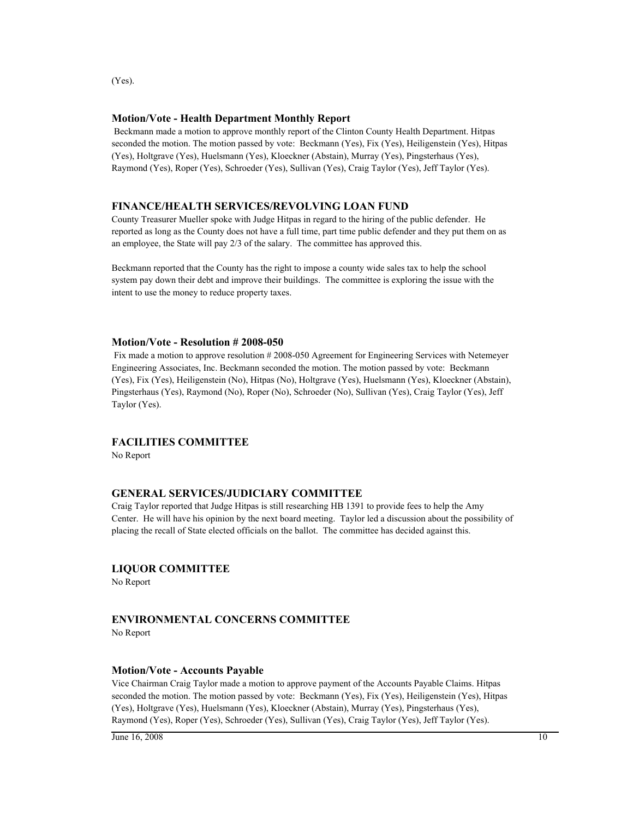(Yes).

# **Motion/Vote - Health Department Monthly Report**

 Beckmann made a motion to approve monthly report of the Clinton County Health Department. Hitpas seconded the motion. The motion passed by vote: Beckmann (Yes), Fix (Yes), Heiligenstein (Yes), Hitpas (Yes), Holtgrave (Yes), Huelsmann (Yes), Kloeckner (Abstain), Murray (Yes), Pingsterhaus (Yes), Raymond (Yes), Roper (Yes), Schroeder (Yes), Sullivan (Yes), Craig Taylor (Yes), Jeff Taylor (Yes).

# **FINANCE/HEALTH SERVICES/REVOLVING LOAN FUND**

County Treasurer Mueller spoke with Judge Hitpas in regard to the hiring of the public defender. He reported as long as the County does not have a full time, part time public defender and they put them on as an employee, the State will pay 2/3 of the salary. The committee has approved this.

Beckmann reported that the County has the right to impose a county wide sales tax to help the school system pay down their debt and improve their buildings. The committee is exploring the issue with the intent to use the money to reduce property taxes.

# **Motion/Vote - Resolution # 2008-050**

Fix made a motion to approve resolution #2008-050 Agreement for Engineering Services with Netemeyer Engineering Associates, Inc. Beckmann seconded the motion. The motion passed by vote: Beckmann (Yes), Fix (Yes), Heiligenstein (No), Hitpas (No), Holtgrave (Yes), Huelsmann (Yes), Kloeckner (Abstain), Pingsterhaus (Yes), Raymond (No), Roper (No), Schroeder (No), Sullivan (Yes), Craig Taylor (Yes), Jeff Taylor (Yes).

# **FACILITIES COMMITTEE**

No Report

# **GENERAL SERVICES/JUDICIARY COMMITTEE**

Craig Taylor reported that Judge Hitpas is still researching HB 1391 to provide fees to help the Amy Center. He will have his opinion by the next board meeting. Taylor led a discussion about the possibility of placing the recall of State elected officials on the ballot. The committee has decided against this.

# **LIQUOR COMMITTEE**

No Report

# **ENVIRONMENTAL CONCERNS COMMITTEE**

No Report

# **Motion/Vote - Accounts Payable**

Vice Chairman Craig Taylor made a motion to approve payment of the Accounts Payable Claims. Hitpas seconded the motion. The motion passed by vote: Beckmann (Yes), Fix (Yes), Heiligenstein (Yes), Hitpas (Yes), Holtgrave (Yes), Huelsmann (Yes), Kloeckner (Abstain), Murray (Yes), Pingsterhaus (Yes), Raymond (Yes), Roper (Yes), Schroeder (Yes), Sullivan (Yes), Craig Taylor (Yes), Jeff Taylor (Yes).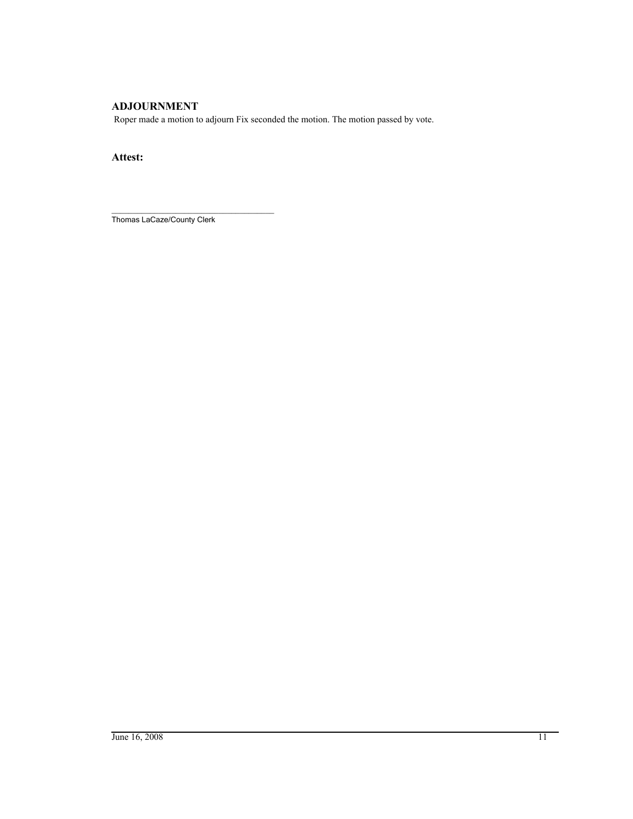# **ADJOURNMENT**

Roper made a motion to adjourn Fix seconded the motion. The motion passed by vote.

**Attest:**

\_\_\_\_\_\_\_\_\_\_\_\_\_\_\_\_\_\_\_\_\_\_\_\_\_\_\_\_\_\_\_\_\_\_\_\_\_\_ Thomas LaCaze/County Clerk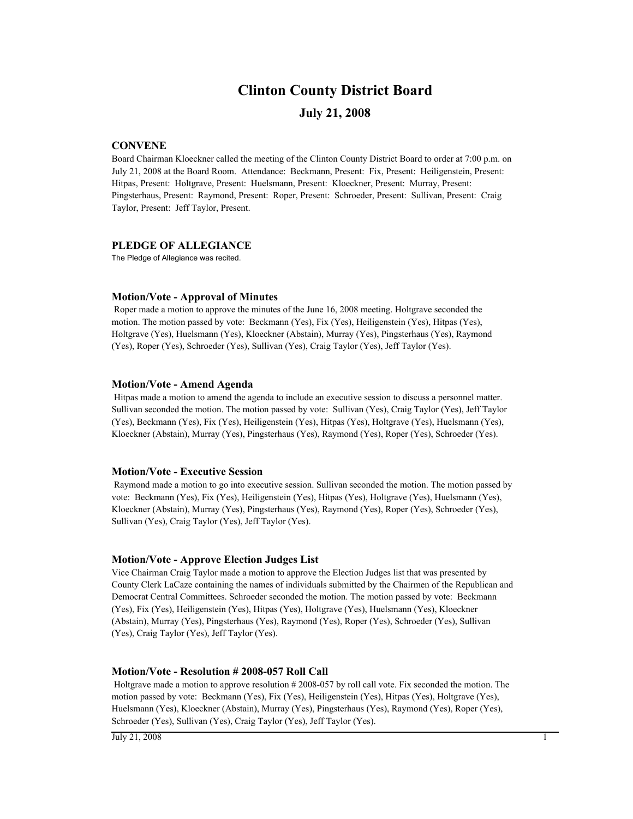# **Clinton County District Board**

# **July 21, 2008**

## **CONVENE**

Board Chairman Kloeckner called the meeting of the Clinton County District Board to order at 7:00 p.m. on July 21, 2008 at the Board Room. Attendance: Beckmann, Present: Fix, Present: Heiligenstein, Present: Hitpas, Present: Holtgrave, Present: Huelsmann, Present: Kloeckner, Present: Murray, Present: Pingsterhaus, Present: Raymond, Present: Roper, Present: Schroeder, Present: Sullivan, Present: Craig Taylor, Present: Jeff Taylor, Present.

### **PLEDGE OF ALLEGIANCE**

The Pledge of Allegiance was recited.

### **Motion/Vote - Approval of Minutes**

 Roper made a motion to approve the minutes of the June 16, 2008 meeting. Holtgrave seconded the motion. The motion passed by vote: Beckmann (Yes), Fix (Yes), Heiligenstein (Yes), Hitpas (Yes), Holtgrave (Yes), Huelsmann (Yes), Kloeckner (Abstain), Murray (Yes), Pingsterhaus (Yes), Raymond (Yes), Roper (Yes), Schroeder (Yes), Sullivan (Yes), Craig Taylor (Yes), Jeff Taylor (Yes).

#### **Motion/Vote - Amend Agenda**

 Hitpas made a motion to amend the agenda to include an executive session to discuss a personnel matter. Sullivan seconded the motion. The motion passed by vote: Sullivan (Yes), Craig Taylor (Yes), Jeff Taylor (Yes), Beckmann (Yes), Fix (Yes), Heiligenstein (Yes), Hitpas (Yes), Holtgrave (Yes), Huelsmann (Yes), Kloeckner (Abstain), Murray (Yes), Pingsterhaus (Yes), Raymond (Yes), Roper (Yes), Schroeder (Yes).

#### **Motion/Vote - Executive Session**

 Raymond made a motion to go into executive session. Sullivan seconded the motion. The motion passed by vote: Beckmann (Yes), Fix (Yes), Heiligenstein (Yes), Hitpas (Yes), Holtgrave (Yes), Huelsmann (Yes), Kloeckner (Abstain), Murray (Yes), Pingsterhaus (Yes), Raymond (Yes), Roper (Yes), Schroeder (Yes), Sullivan (Yes), Craig Taylor (Yes), Jeff Taylor (Yes).

### **Motion/Vote - Approve Election Judges List**

Vice Chairman Craig Taylor made a motion to approve the Election Judges list that was presented by County Clerk LaCaze containing the names of individuals submitted by the Chairmen of the Republican and Democrat Central Committees. Schroeder seconded the motion. The motion passed by vote: Beckmann (Yes), Fix (Yes), Heiligenstein (Yes), Hitpas (Yes), Holtgrave (Yes), Huelsmann (Yes), Kloeckner (Abstain), Murray (Yes), Pingsterhaus (Yes), Raymond (Yes), Roper (Yes), Schroeder (Yes), Sullivan (Yes), Craig Taylor (Yes), Jeff Taylor (Yes).

### **Motion/Vote - Resolution # 2008-057 Roll Call**

 Holtgrave made a motion to approve resolution # 2008-057 by roll call vote. Fix seconded the motion. The motion passed by vote: Beckmann (Yes), Fix (Yes), Heiligenstein (Yes), Hitpas (Yes), Holtgrave (Yes), Huelsmann (Yes), Kloeckner (Abstain), Murray (Yes), Pingsterhaus (Yes), Raymond (Yes), Roper (Yes), Schroeder (Yes), Sullivan (Yes), Craig Taylor (Yes), Jeff Taylor (Yes).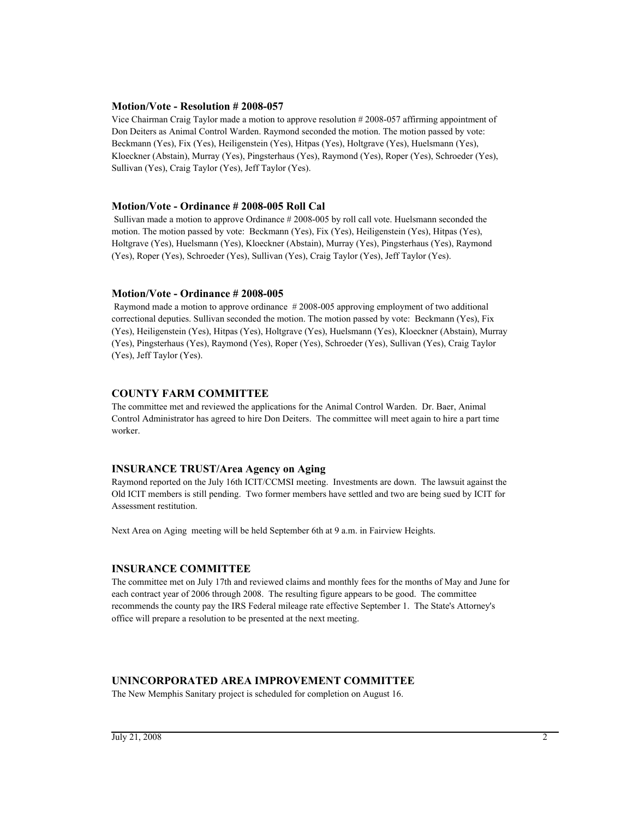### **Motion/Vote - Resolution # 2008-057**

Vice Chairman Craig Taylor made a motion to approve resolution # 2008-057 affirming appointment of Don Deiters as Animal Control Warden. Raymond seconded the motion. The motion passed by vote: Beckmann (Yes), Fix (Yes), Heiligenstein (Yes), Hitpas (Yes), Holtgrave (Yes), Huelsmann (Yes), Kloeckner (Abstain), Murray (Yes), Pingsterhaus (Yes), Raymond (Yes), Roper (Yes), Schroeder (Yes), Sullivan (Yes), Craig Taylor (Yes), Jeff Taylor (Yes).

## **Motion/Vote - Ordinance # 2008-005 Roll Cal**

 Sullivan made a motion to approve Ordinance # 2008-005 by roll call vote. Huelsmann seconded the motion. The motion passed by vote: Beckmann (Yes), Fix (Yes), Heiligenstein (Yes), Hitpas (Yes), Holtgrave (Yes), Huelsmann (Yes), Kloeckner (Abstain), Murray (Yes), Pingsterhaus (Yes), Raymond (Yes), Roper (Yes), Schroeder (Yes), Sullivan (Yes), Craig Taylor (Yes), Jeff Taylor (Yes).

## **Motion/Vote - Ordinance # 2008-005**

 Raymond made a motion to approve ordinance # 2008-005 approving employment of two additional correctional deputies. Sullivan seconded the motion. The motion passed by vote: Beckmann (Yes), Fix (Yes), Heiligenstein (Yes), Hitpas (Yes), Holtgrave (Yes), Huelsmann (Yes), Kloeckner (Abstain), Murray (Yes), Pingsterhaus (Yes), Raymond (Yes), Roper (Yes), Schroeder (Yes), Sullivan (Yes), Craig Taylor (Yes), Jeff Taylor (Yes).

# **COUNTY FARM COMMITTEE**

The committee met and reviewed the applications for the Animal Control Warden. Dr. Baer, Animal Control Administrator has agreed to hire Don Deiters. The committee will meet again to hire a part time worker.

# **INSURANCE TRUST/Area Agency on Aging**

Raymond reported on the July 16th ICIT/CCMSI meeting. Investments are down. The lawsuit against the Old ICIT members is still pending. Two former members have settled and two are being sued by ICIT for Assessment restitution.

Next Area on Aging meeting will be held September 6th at 9 a.m. in Fairview Heights.

# **INSURANCE COMMITTEE**

The committee met on July 17th and reviewed claims and monthly fees for the months of May and June for each contract year of 2006 through 2008. The resulting figure appears to be good. The committee recommends the county pay the IRS Federal mileage rate effective September 1. The State's Attorney's office will prepare a resolution to be presented at the next meeting.

# **UNINCORPORATED AREA IMPROVEMENT COMMITTEE**

The New Memphis Sanitary project is scheduled for completion on August 16.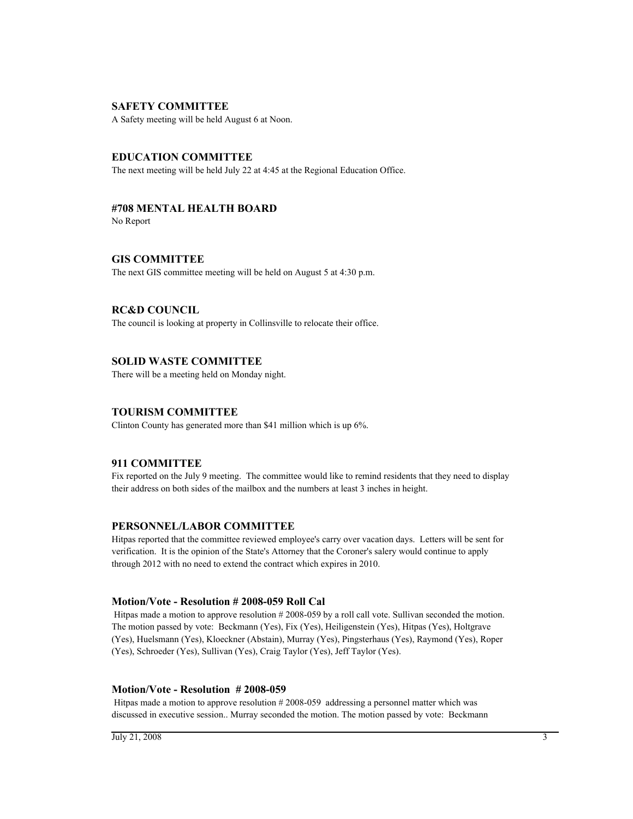## **SAFETY COMMITTEE**

A Safety meeting will be held August 6 at Noon.

# **EDUCATION COMMITTEE**

The next meeting will be held July 22 at 4:45 at the Regional Education Office.

# **#708 MENTAL HEALTH BOARD**

No Report

**GIS COMMITTEE** The next GIS committee meeting will be held on August 5 at 4:30 p.m.

# **RC&D COUNCIL**

The council is looking at property in Collinsville to relocate their office.

# **SOLID WASTE COMMITTEE**

There will be a meeting held on Monday night.

# **TOURISM COMMITTEE**

Clinton County has generated more than \$41 million which is up 6%.

# **911 COMMITTEE**

Fix reported on the July 9 meeting. The committee would like to remind residents that they need to display their address on both sides of the mailbox and the numbers at least 3 inches in height.

# **PERSONNEL/LABOR COMMITTEE**

Hitpas reported that the committee reviewed employee's carry over vacation days. Letters will be sent for verification. It is the opinion of the State's Attorney that the Coroner's salery would continue to apply through 2012 with no need to extend the contract which expires in 2010.

### **Motion/Vote - Resolution # 2008-059 Roll Cal**

 Hitpas made a motion to approve resolution # 2008-059 by a roll call vote. Sullivan seconded the motion. The motion passed by vote: Beckmann (Yes), Fix (Yes), Heiligenstein (Yes), Hitpas (Yes), Holtgrave (Yes), Huelsmann (Yes), Kloeckner (Abstain), Murray (Yes), Pingsterhaus (Yes), Raymond (Yes), Roper (Yes), Schroeder (Yes), Sullivan (Yes), Craig Taylor (Yes), Jeff Taylor (Yes).

### **Motion/Vote - Resolution # 2008-059**

 Hitpas made a motion to approve resolution # 2008-059 addressing a personnel matter which was discussed in executive session.. Murray seconded the motion. The motion passed by vote: Beckmann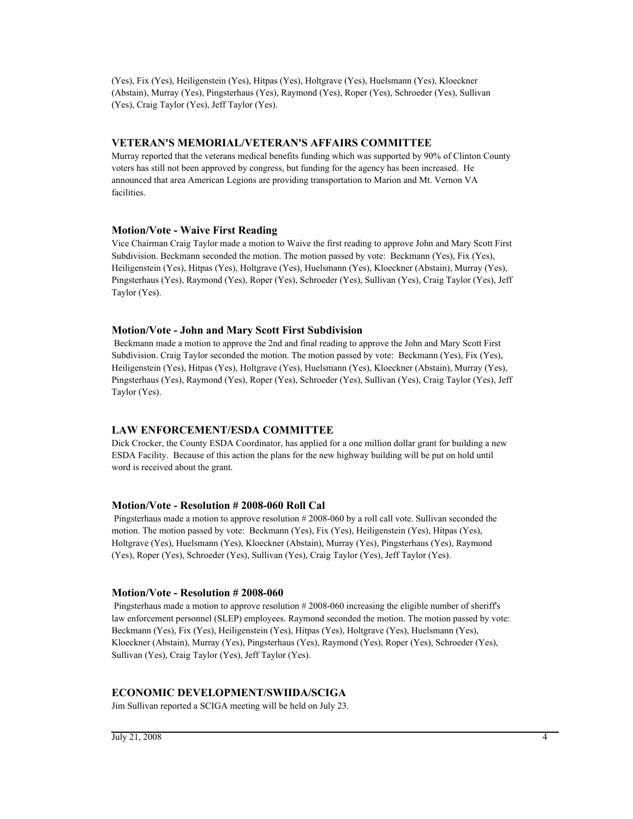(Yes), Fix (Yes), Heiligenstein (Yes), Hitpas (Yes), Holtgrave (Yes), Huelsmann (Yes), Kloeckner (Abstain), Murray (Yes), Pingsterhaus (Yes), Raymond (Yes), Roper (Yes), Schroeder (Yes), Sullivan (Yes), Craig Taylor (Yes), Jeff Taylor (Yes).

# **VETERAN'S MEMORIAL/VETERAN'S AFFAIRS COMMITTEE**

Murray reported that the veterans medical benefits funding which was supported by 90% of Clinton County voters has still not been approved by congress, but funding for the agency has been increased. He announced that area American Legions are providing transportation to Marion and Mt. Vernon VA facilities.

#### **Motion/Vote - Waive First Reading**

Vice Chairman Craig Taylor made a motion to Waive the first reading to approve John and Mary Scott First Subdivision. Beckmann seconded the motion. The motion passed by vote: Beckmann (Yes), Fix (Yes), Heiligenstein (Yes), Hitpas (Yes), Holtgrave (Yes), Huelsmann (Yes), Kloeckner (Abstain), Murray (Yes), Pingsterhaus (Yes), Raymond (Yes), Roper (Yes), Schroeder (Yes), Sullivan (Yes), Craig Taylor (Yes), Jeff Taylor (Yes).

### **Motion/Vote - John and Mary Scott First Subdivision**

 Beckmann made a motion to approve the 2nd and final reading to approve the John and Mary Scott First Subdivision. Craig Taylor seconded the motion. The motion passed by vote: Beckmann (Yes), Fix (Yes), Heiligenstein (Yes), Hitpas (Yes), Holtgrave (Yes), Huelsmann (Yes), Kloeckner (Abstain), Murray (Yes), Pingsterhaus (Yes), Raymond (Yes), Roper (Yes), Schroeder (Yes), Sullivan (Yes), Craig Taylor (Yes), Jeff Taylor (Yes).

# **LAW ENFORCEMENT/ESDA COMMITTEE**

Dick Crocker, the County ESDA Coordinator, has applied for a one million dollar grant for building a new ESDA Facility. Because of this action the plans for the new highway building will be put on hold until word is received about the grant.

### **Motion/Vote - Resolution # 2008-060 Roll Cal**

 Pingsterhaus made a motion to approve resolution # 2008-060 by a roll call vote. Sullivan seconded the motion. The motion passed by vote: Beckmann (Yes), Fix (Yes), Heiligenstein (Yes), Hitpas (Yes), Holtgrave (Yes), Huelsmann (Yes), Kloeckner (Abstain), Murray (Yes), Pingsterhaus (Yes), Raymond (Yes), Roper (Yes), Schroeder (Yes), Sullivan (Yes), Craig Taylor (Yes), Jeff Taylor (Yes).

#### **Motion/Vote - Resolution # 2008-060**

 Pingsterhaus made a motion to approve resolution # 2008-060 increasing the eligible number of sheriff's law enforcement personnel (SLEP) employees. Raymond seconded the motion. The motion passed by vote: Beckmann (Yes), Fix (Yes), Heiligenstein (Yes), Hitpas (Yes), Holtgrave (Yes), Huelsmann (Yes), Kloeckner (Abstain), Murray (Yes), Pingsterhaus (Yes), Raymond (Yes), Roper (Yes), Schroeder (Yes), Sullivan (Yes), Craig Taylor (Yes), Jeff Taylor (Yes).

# **ECONOMIC DEVELOPMENT/SWIIDA/SCIGA**

Jim Sullivan reported a SCIGA meeting will be held on July 23.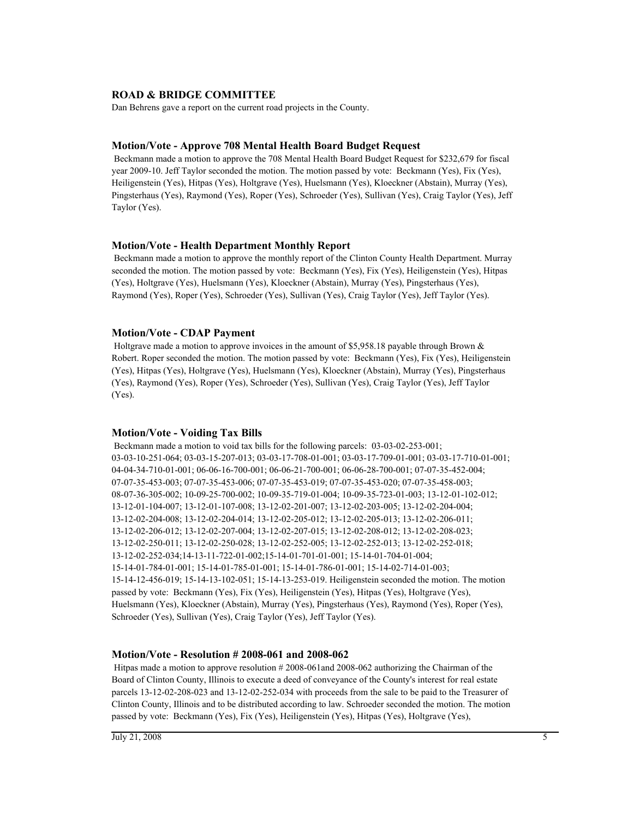## **ROAD & BRIDGE COMMITTEE**

Dan Behrens gave a report on the current road projects in the County.

## **Motion/Vote - Approve 708 Mental Health Board Budget Request**

 Beckmann made a motion to approve the 708 Mental Health Board Budget Request for \$232,679 for fiscal year 2009-10. Jeff Taylor seconded the motion. The motion passed by vote: Beckmann (Yes), Fix (Yes), Heiligenstein (Yes), Hitpas (Yes), Holtgrave (Yes), Huelsmann (Yes), Kloeckner (Abstain), Murray (Yes), Pingsterhaus (Yes), Raymond (Yes), Roper (Yes), Schroeder (Yes), Sullivan (Yes), Craig Taylor (Yes), Jeff Taylor (Yes).

### **Motion/Vote - Health Department Monthly Report**

 Beckmann made a motion to approve the monthly report of the Clinton County Health Department. Murray seconded the motion. The motion passed by vote: Beckmann (Yes), Fix (Yes), Heiligenstein (Yes), Hitpas (Yes), Holtgrave (Yes), Huelsmann (Yes), Kloeckner (Abstain), Murray (Yes), Pingsterhaus (Yes), Raymond (Yes), Roper (Yes), Schroeder (Yes), Sullivan (Yes), Craig Taylor (Yes), Jeff Taylor (Yes).

### **Motion/Vote - CDAP Payment**

 Holtgrave made a motion to approve invoices in the amount of \$5,958.18 payable through Brown & Robert. Roper seconded the motion. The motion passed by vote: Beckmann (Yes), Fix (Yes), Heiligenstein (Yes), Hitpas (Yes), Holtgrave (Yes), Huelsmann (Yes), Kloeckner (Abstain), Murray (Yes), Pingsterhaus (Yes), Raymond (Yes), Roper (Yes), Schroeder (Yes), Sullivan (Yes), Craig Taylor (Yes), Jeff Taylor (Yes).

### **Motion/Vote - Voiding Tax Bills**

 Beckmann made a motion to void tax bills for the following parcels: 03-03-02-253-001; 03-03-10-251-064; 03-03-15-207-013; 03-03-17-708-01-001; 03-03-17-709-01-001; 03-03-17-710-01-001; 04-04-34-710-01-001; 06-06-16-700-001; 06-06-21-700-001; 06-06-28-700-001; 07-07-35-452-004; 07-07-35-453-003; 07-07-35-453-006; 07-07-35-453-019; 07-07-35-453-020; 07-07-35-458-003; 08-07-36-305-002; 10-09-25-700-002; 10-09-35-719-01-004; 10-09-35-723-01-003; 13-12-01-102-012; 13-12-01-104-007; 13-12-01-107-008; 13-12-02-201-007; 13-12-02-203-005; 13-12-02-204-004; 13-12-02-204-008; 13-12-02-204-014; 13-12-02-205-012; 13-12-02-205-013; 13-12-02-206-011; 13-12-02-206-012; 13-12-02-207-004; 13-12-02-207-015; 13-12-02-208-012; 13-12-02-208-023; 13-12-02-250-011; 13-12-02-250-028; 13-12-02-252-005; 13-12-02-252-013; 13-12-02-252-018; 13-12-02-252-034;14-13-11-722-01-002;15-14-01-701-01-001; 15-14-01-704-01-004; 15-14-01-784-01-001; 15-14-01-785-01-001; 15-14-01-786-01-001; 15-14-02-714-01-003; 15-14-12-456-019; 15-14-13-102-051; 15-14-13-253-019. Heiligenstein seconded the motion. The motion passed by vote: Beckmann (Yes), Fix (Yes), Heiligenstein (Yes), Hitpas (Yes), Holtgrave (Yes), Huelsmann (Yes), Kloeckner (Abstain), Murray (Yes), Pingsterhaus (Yes), Raymond (Yes), Roper (Yes), Schroeder (Yes), Sullivan (Yes), Craig Taylor (Yes), Jeff Taylor (Yes).

### **Motion/Vote - Resolution # 2008-061 and 2008-062**

 Hitpas made a motion to approve resolution # 2008-061and 2008-062 authorizing the Chairman of the Board of Clinton County, Illinois to execute a deed of conveyance of the County's interest for real estate parcels 13-12-02-208-023 and 13-12-02-252-034 with proceeds from the sale to be paid to the Treasurer of Clinton County, Illinois and to be distributed according to law. Schroeder seconded the motion. The motion passed by vote: Beckmann (Yes), Fix (Yes), Heiligenstein (Yes), Hitpas (Yes), Holtgrave (Yes),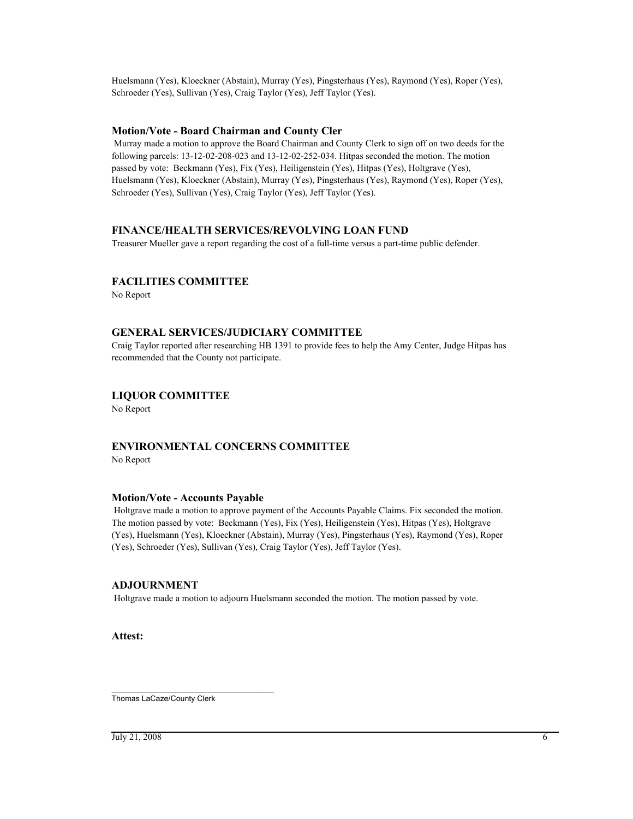Huelsmann (Yes), Kloeckner (Abstain), Murray (Yes), Pingsterhaus (Yes), Raymond (Yes), Roper (Yes), Schroeder (Yes), Sullivan (Yes), Craig Taylor (Yes), Jeff Taylor (Yes).

# **Motion/Vote - Board Chairman and County Cler**

 Murray made a motion to approve the Board Chairman and County Clerk to sign off on two deeds for the following parcels: 13-12-02-208-023 and 13-12-02-252-034. Hitpas seconded the motion. The motion passed by vote: Beckmann (Yes), Fix (Yes), Heiligenstein (Yes), Hitpas (Yes), Holtgrave (Yes), Huelsmann (Yes), Kloeckner (Abstain), Murray (Yes), Pingsterhaus (Yes), Raymond (Yes), Roper (Yes), Schroeder (Yes), Sullivan (Yes), Craig Taylor (Yes), Jeff Taylor (Yes).

# **FINANCE/HEALTH SERVICES/REVOLVING LOAN FUND**

Treasurer Mueller gave a report regarding the cost of a full-time versus a part-time public defender.

# **FACILITIES COMMITTEE**

No Report

# **GENERAL SERVICES/JUDICIARY COMMITTEE**

Craig Taylor reported after researching HB 1391 to provide fees to help the Amy Center, Judge Hitpas has recommended that the County not participate.

# **LIQUOR COMMITTEE**

No Report

# **ENVIRONMENTAL CONCERNS COMMITTEE**

No Report

### **Motion/Vote - Accounts Payable**

 Holtgrave made a motion to approve payment of the Accounts Payable Claims. Fix seconded the motion. The motion passed by vote: Beckmann (Yes), Fix (Yes), Heiligenstein (Yes), Hitpas (Yes), Holtgrave (Yes), Huelsmann (Yes), Kloeckner (Abstain), Murray (Yes), Pingsterhaus (Yes), Raymond (Yes), Roper (Yes), Schroeder (Yes), Sullivan (Yes), Craig Taylor (Yes), Jeff Taylor (Yes).

# **ADJOURNMENT**

Holtgrave made a motion to adjourn Huelsmann seconded the motion. The motion passed by vote.

**Attest:**

\_\_\_\_\_\_\_\_\_\_\_\_\_\_\_\_\_\_\_\_\_\_\_\_\_\_\_\_\_\_\_\_\_\_\_\_\_\_ Thomas LaCaze/County Clerk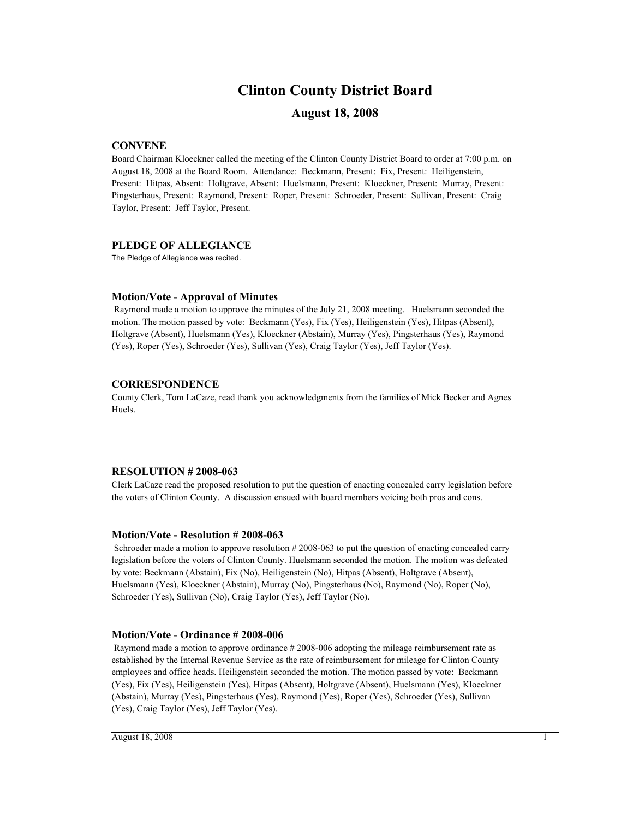# **Clinton County District Board**

# **August 18, 2008**

# **CONVENE**

Board Chairman Kloeckner called the meeting of the Clinton County District Board to order at 7:00 p.m. on August 18, 2008 at the Board Room. Attendance: Beckmann, Present: Fix, Present: Heiligenstein, Present: Hitpas, Absent: Holtgrave, Absent: Huelsmann, Present: Kloeckner, Present: Murray, Present: Pingsterhaus, Present: Raymond, Present: Roper, Present: Schroeder, Present: Sullivan, Present: Craig Taylor, Present: Jeff Taylor, Present.

## **PLEDGE OF ALLEGIANCE**

The Pledge of Allegiance was recited.

# **Motion/Vote - Approval of Minutes**

 Raymond made a motion to approve the minutes of the July 21, 2008 meeting. Huelsmann seconded the motion. The motion passed by vote: Beckmann (Yes), Fix (Yes), Heiligenstein (Yes), Hitpas (Absent), Holtgrave (Absent), Huelsmann (Yes), Kloeckner (Abstain), Murray (Yes), Pingsterhaus (Yes), Raymond (Yes), Roper (Yes), Schroeder (Yes), Sullivan (Yes), Craig Taylor (Yes), Jeff Taylor (Yes).

# **CORRESPONDENCE**

County Clerk, Tom LaCaze, read thank you acknowledgments from the families of Mick Becker and Agnes Huels.

# **RESOLUTION # 2008-063**

Clerk LaCaze read the proposed resolution to put the question of enacting concealed carry legislation before the voters of Clinton County. A discussion ensued with board members voicing both pros and cons.

# **Motion/Vote - Resolution # 2008-063**

 Schroeder made a motion to approve resolution # 2008-063 to put the question of enacting concealed carry legislation before the voters of Clinton County. Huelsmann seconded the motion. The motion was defeated by vote: Beckmann (Abstain), Fix (No), Heiligenstein (No), Hitpas (Absent), Holtgrave (Absent), Huelsmann (Yes), Kloeckner (Abstain), Murray (No), Pingsterhaus (No), Raymond (No), Roper (No), Schroeder (Yes), Sullivan (No), Craig Taylor (Yes), Jeff Taylor (No).

# **Motion/Vote - Ordinance # 2008-006**

 Raymond made a motion to approve ordinance # 2008-006 adopting the mileage reimbursement rate as established by the Internal Revenue Service as the rate of reimbursement for mileage for Clinton County employees and office heads. Heiligenstein seconded the motion. The motion passed by vote: Beckmann (Yes), Fix (Yes), Heiligenstein (Yes), Hitpas (Absent), Holtgrave (Absent), Huelsmann (Yes), Kloeckner (Abstain), Murray (Yes), Pingsterhaus (Yes), Raymond (Yes), Roper (Yes), Schroeder (Yes), Sullivan (Yes), Craig Taylor (Yes), Jeff Taylor (Yes).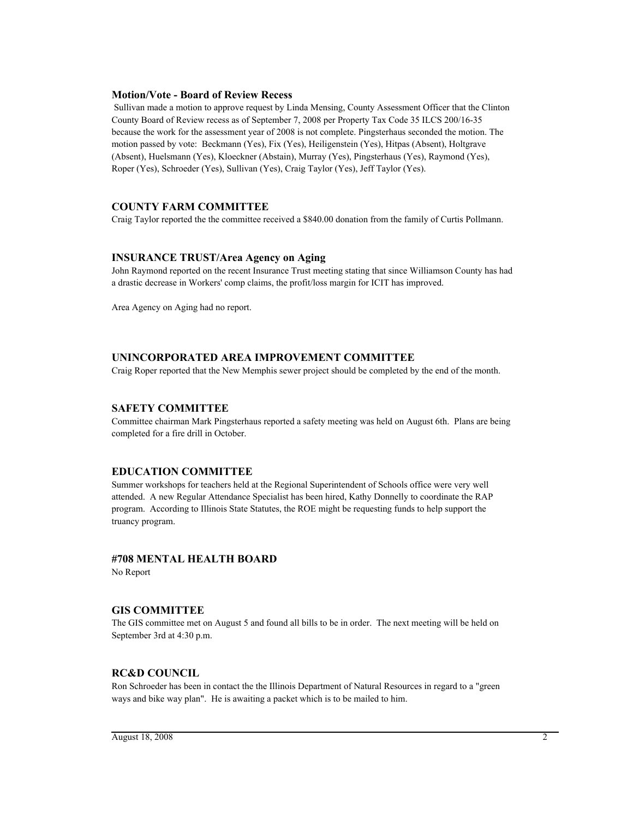## **Motion/Vote - Board of Review Recess**

 Sullivan made a motion to approve request by Linda Mensing, County Assessment Officer that the Clinton County Board of Review recess as of September 7, 2008 per Property Tax Code 35 ILCS 200/16-35 because the work for the assessment year of 2008 is not complete. Pingsterhaus seconded the motion. The motion passed by vote: Beckmann (Yes), Fix (Yes), Heiligenstein (Yes), Hitpas (Absent), Holtgrave (Absent), Huelsmann (Yes), Kloeckner (Abstain), Murray (Yes), Pingsterhaus (Yes), Raymond (Yes), Roper (Yes), Schroeder (Yes), Sullivan (Yes), Craig Taylor (Yes), Jeff Taylor (Yes).

# **COUNTY FARM COMMITTEE**

Craig Taylor reported the the committee received a \$840.00 donation from the family of Curtis Pollmann.

## **INSURANCE TRUST/Area Agency on Aging**

John Raymond reported on the recent Insurance Trust meeting stating that since Williamson County has had a drastic decrease in Workers' comp claims, the profit/loss margin for ICIT has improved.

Area Agency on Aging had no report.

# **UNINCORPORATED AREA IMPROVEMENT COMMITTEE**

Craig Roper reported that the New Memphis sewer project should be completed by the end of the month.

## **SAFETY COMMITTEE**

Committee chairman Mark Pingsterhaus reported a safety meeting was held on August 6th. Plans are being completed for a fire drill in October.

# **EDUCATION COMMITTEE**

Summer workshops for teachers held at the Regional Superintendent of Schools office were very well attended. A new Regular Attendance Specialist has been hired, Kathy Donnelly to coordinate the RAP program. According to Illinois State Statutes, the ROE might be requesting funds to help support the truancy program.

# **#708 MENTAL HEALTH BOARD**

No Report

### **GIS COMMITTEE**

The GIS committee met on August 5 and found all bills to be in order. The next meeting will be held on September 3rd at 4:30 p.m.

# **RC&D COUNCIL**

Ron Schroeder has been in contact the the Illinois Department of Natural Resources in regard to a "green ways and bike way plan". He is awaiting a packet which is to be mailed to him.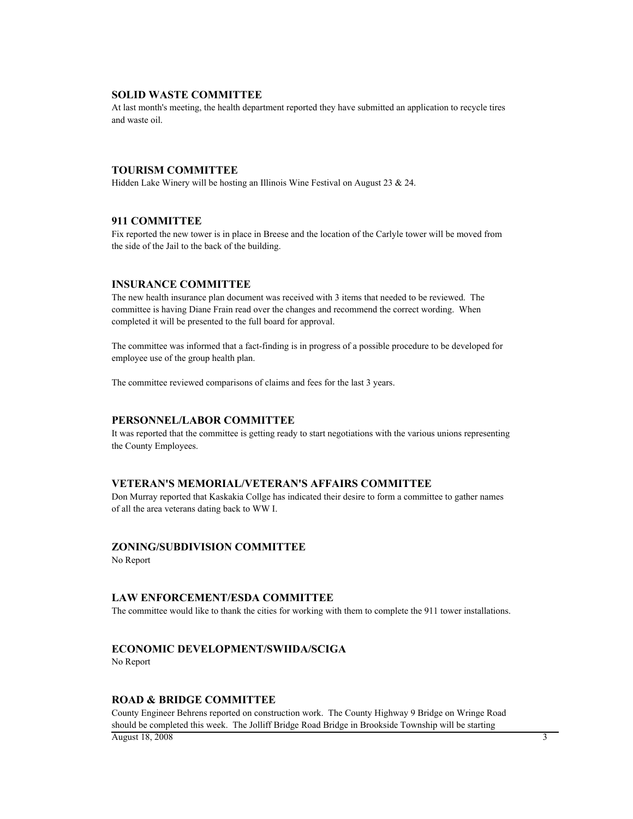### **SOLID WASTE COMMITTEE**

At last month's meeting, the health department reported they have submitted an application to recycle tires and waste oil.

## **TOURISM COMMITTEE**

Hidden Lake Winery will be hosting an Illinois Wine Festival on August 23 & 24.

### **911 COMMITTEE**

Fix reported the new tower is in place in Breese and the location of the Carlyle tower will be moved from the side of the Jail to the back of the building.

# **INSURANCE COMMITTEE**

The new health insurance plan document was received with 3 items that needed to be reviewed. The committee is having Diane Frain read over the changes and recommend the correct wording. When completed it will be presented to the full board for approval.

The committee was informed that a fact-finding is in progress of a possible procedure to be developed for employee use of the group health plan.

The committee reviewed comparisons of claims and fees for the last 3 years.

### **PERSONNEL/LABOR COMMITTEE**

It was reported that the committee is getting ready to start negotiations with the various unions representing the County Employees.

# **VETERAN'S MEMORIAL/VETERAN'S AFFAIRS COMMITTEE**

Don Murray reported that Kaskakia Collge has indicated their desire to form a committee to gather names of all the area veterans dating back to WW I.

# **ZONING/SUBDIVISION COMMITTEE**

No Report

### **LAW ENFORCEMENT/ESDA COMMITTEE**

The committee would like to thank the cities for working with them to complete the 911 tower installations.

# **ECONOMIC DEVELOPMENT/SWIIDA/SCIGA**

No Report

# **ROAD & BRIDGE COMMITTEE**

County Engineer Behrens reported on construction work. The County Highway 9 Bridge on Wringe Road should be completed this week. The Jolliff Bridge Road Bridge in Brookside Township will be starting  $\overline{A}$ ugust 18, 2008  $\overline{A}$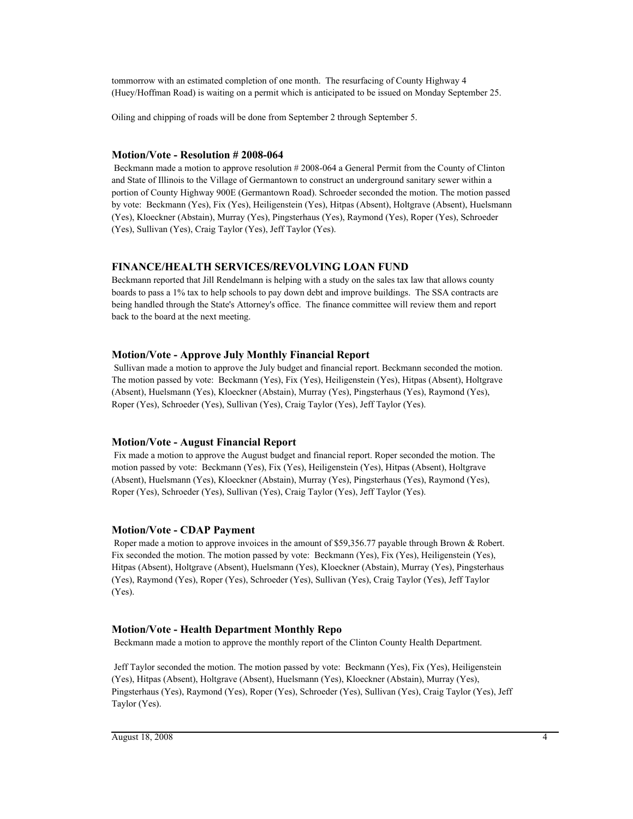tommorrow with an estimated completion of one month. The resurfacing of County Highway 4 (Huey/Hoffman Road) is waiting on a permit which is anticipated to be issued on Monday September 25.

Oiling and chipping of roads will be done from September 2 through September 5.

# **Motion/Vote - Resolution # 2008-064**

 Beckmann made a motion to approve resolution # 2008-064 a General Permit from the County of Clinton and State of Illinois to the Village of Germantown to construct an underground sanitary sewer within a portion of County Highway 900E (Germantown Road). Schroeder seconded the motion. The motion passed by vote: Beckmann (Yes), Fix (Yes), Heiligenstein (Yes), Hitpas (Absent), Holtgrave (Absent), Huelsmann (Yes), Kloeckner (Abstain), Murray (Yes), Pingsterhaus (Yes), Raymond (Yes), Roper (Yes), Schroeder (Yes), Sullivan (Yes), Craig Taylor (Yes), Jeff Taylor (Yes).

# **FINANCE/HEALTH SERVICES/REVOLVING LOAN FUND**

Beckmann reported that Jill Rendelmann is helping with a study on the sales tax law that allows county boards to pass a 1% tax to help schools to pay down debt and improve buildings. The SSA contracts are being handled through the State's Attorney's office. The finance committee will review them and report back to the board at the next meeting.

# **Motion/Vote - Approve July Monthly Financial Report**

 Sullivan made a motion to approve the July budget and financial report. Beckmann seconded the motion. The motion passed by vote: Beckmann (Yes), Fix (Yes), Heiligenstein (Yes), Hitpas (Absent), Holtgrave (Absent), Huelsmann (Yes), Kloeckner (Abstain), Murray (Yes), Pingsterhaus (Yes), Raymond (Yes), Roper (Yes), Schroeder (Yes), Sullivan (Yes), Craig Taylor (Yes), Jeff Taylor (Yes).

# **Motion/Vote - August Financial Report**

 Fix made a motion to approve the August budget and financial report. Roper seconded the motion. The motion passed by vote: Beckmann (Yes), Fix (Yes), Heiligenstein (Yes), Hitpas (Absent), Holtgrave (Absent), Huelsmann (Yes), Kloeckner (Abstain), Murray (Yes), Pingsterhaus (Yes), Raymond (Yes), Roper (Yes), Schroeder (Yes), Sullivan (Yes), Craig Taylor (Yes), Jeff Taylor (Yes).

# **Motion/Vote - CDAP Payment**

Roper made a motion to approve invoices in the amount of \$59,356.77 payable through Brown & Robert. Fix seconded the motion. The motion passed by vote: Beckmann (Yes), Fix (Yes), Heiligenstein (Yes), Hitpas (Absent), Holtgrave (Absent), Huelsmann (Yes), Kloeckner (Abstain), Murray (Yes), Pingsterhaus (Yes), Raymond (Yes), Roper (Yes), Schroeder (Yes), Sullivan (Yes), Craig Taylor (Yes), Jeff Taylor (Yes).

# **Motion/Vote - Health Department Monthly Repo**

Beckmann made a motion to approve the monthly report of the Clinton County Health Department.

 Jeff Taylor seconded the motion. The motion passed by vote: Beckmann (Yes), Fix (Yes), Heiligenstein (Yes), Hitpas (Absent), Holtgrave (Absent), Huelsmann (Yes), Kloeckner (Abstain), Murray (Yes), Pingsterhaus (Yes), Raymond (Yes), Roper (Yes), Schroeder (Yes), Sullivan (Yes), Craig Taylor (Yes), Jeff Taylor (Yes).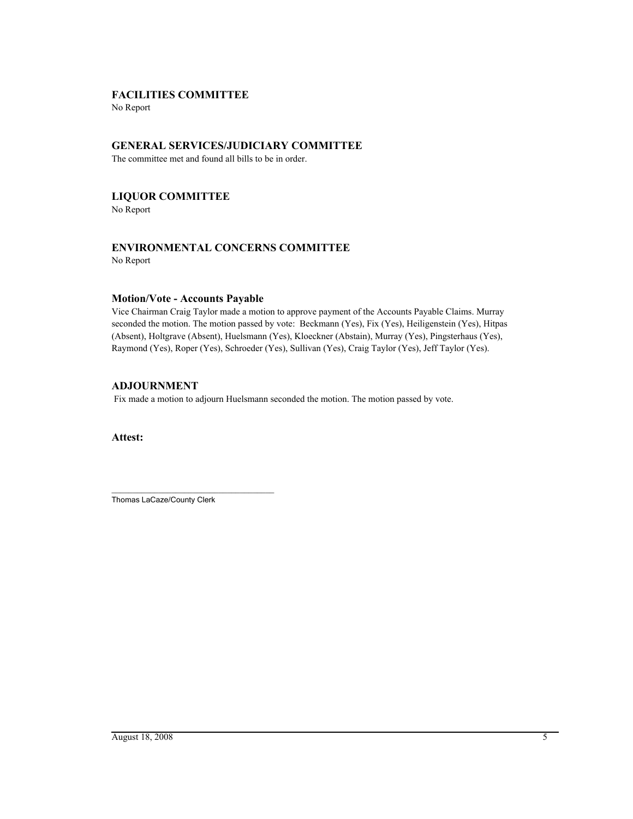# **FACILITIES COMMITTEE**

No Report

# **GENERAL SERVICES/JUDICIARY COMMITTEE**

The committee met and found all bills to be in order.

# **LIQUOR COMMITTEE**

No Report

# **ENVIRONMENTAL CONCERNS COMMITTEE**

No Report

# **Motion/Vote - Accounts Payable**

Vice Chairman Craig Taylor made a motion to approve payment of the Accounts Payable Claims. Murray seconded the motion. The motion passed by vote: Beckmann (Yes), Fix (Yes), Heiligenstein (Yes), Hitpas (Absent), Holtgrave (Absent), Huelsmann (Yes), Kloeckner (Abstain), Murray (Yes), Pingsterhaus (Yes), Raymond (Yes), Roper (Yes), Schroeder (Yes), Sullivan (Yes), Craig Taylor (Yes), Jeff Taylor (Yes).

# **ADJOURNMENT**

Fix made a motion to adjourn Huelsmann seconded the motion. The motion passed by vote.

**Attest:**

\_\_\_\_\_\_\_\_\_\_\_\_\_\_\_\_\_\_\_\_\_\_\_\_\_\_\_\_\_\_\_\_\_\_\_\_\_\_ Thomas LaCaze/County Clerk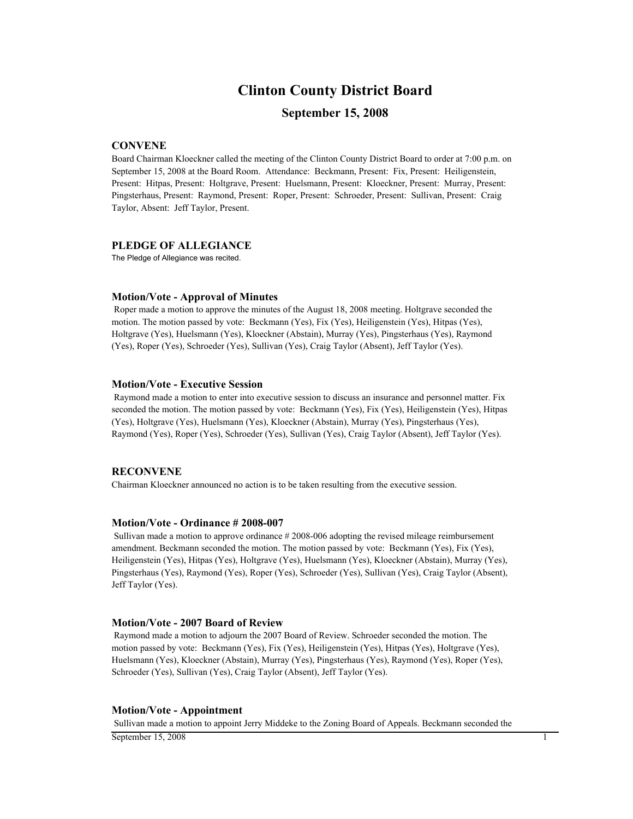# **Clinton County District Board**

# **September 15, 2008**

# **CONVENE**

Board Chairman Kloeckner called the meeting of the Clinton County District Board to order at 7:00 p.m. on September 15, 2008 at the Board Room. Attendance: Beckmann, Present: Fix, Present: Heiligenstein, Present: Hitpas, Present: Holtgrave, Present: Huelsmann, Present: Kloeckner, Present: Murray, Present: Pingsterhaus, Present: Raymond, Present: Roper, Present: Schroeder, Present: Sullivan, Present: Craig Taylor, Absent: Jeff Taylor, Present.

### **PLEDGE OF ALLEGIANCE**

The Pledge of Allegiance was recited.

#### **Motion/Vote - Approval of Minutes**

 Roper made a motion to approve the minutes of the August 18, 2008 meeting. Holtgrave seconded the motion. The motion passed by vote: Beckmann (Yes), Fix (Yes), Heiligenstein (Yes), Hitpas (Yes), Holtgrave (Yes), Huelsmann (Yes), Kloeckner (Abstain), Murray (Yes), Pingsterhaus (Yes), Raymond (Yes), Roper (Yes), Schroeder (Yes), Sullivan (Yes), Craig Taylor (Absent), Jeff Taylor (Yes).

#### **Motion/Vote - Executive Session**

 Raymond made a motion to enter into executive session to discuss an insurance and personnel matter. Fix seconded the motion. The motion passed by vote: Beckmann (Yes), Fix (Yes), Heiligenstein (Yes), Hitpas (Yes), Holtgrave (Yes), Huelsmann (Yes), Kloeckner (Abstain), Murray (Yes), Pingsterhaus (Yes), Raymond (Yes), Roper (Yes), Schroeder (Yes), Sullivan (Yes), Craig Taylor (Absent), Jeff Taylor (Yes).

# **RECONVENE**

Chairman Kloeckner announced no action is to be taken resulting from the executive session.

#### **Motion/Vote - Ordinance # 2008-007**

 Sullivan made a motion to approve ordinance # 2008-006 adopting the revised mileage reimbursement amendment. Beckmann seconded the motion. The motion passed by vote: Beckmann (Yes), Fix (Yes), Heiligenstein (Yes), Hitpas (Yes), Holtgrave (Yes), Huelsmann (Yes), Kloeckner (Abstain), Murray (Yes), Pingsterhaus (Yes), Raymond (Yes), Roper (Yes), Schroeder (Yes), Sullivan (Yes), Craig Taylor (Absent), Jeff Taylor (Yes).

### **Motion/Vote - 2007 Board of Review**

 Raymond made a motion to adjourn the 2007 Board of Review. Schroeder seconded the motion. The motion passed by vote: Beckmann (Yes), Fix (Yes), Heiligenstein (Yes), Hitpas (Yes), Holtgrave (Yes), Huelsmann (Yes), Kloeckner (Abstain), Murray (Yes), Pingsterhaus (Yes), Raymond (Yes), Roper (Yes), Schroeder (Yes), Sullivan (Yes), Craig Taylor (Absent), Jeff Taylor (Yes).

### **Motion/Vote - Appointment**

Sullivan made a motion to appoint Jerry Middeke to the Zoning Board of Appeals. Beckmann seconded the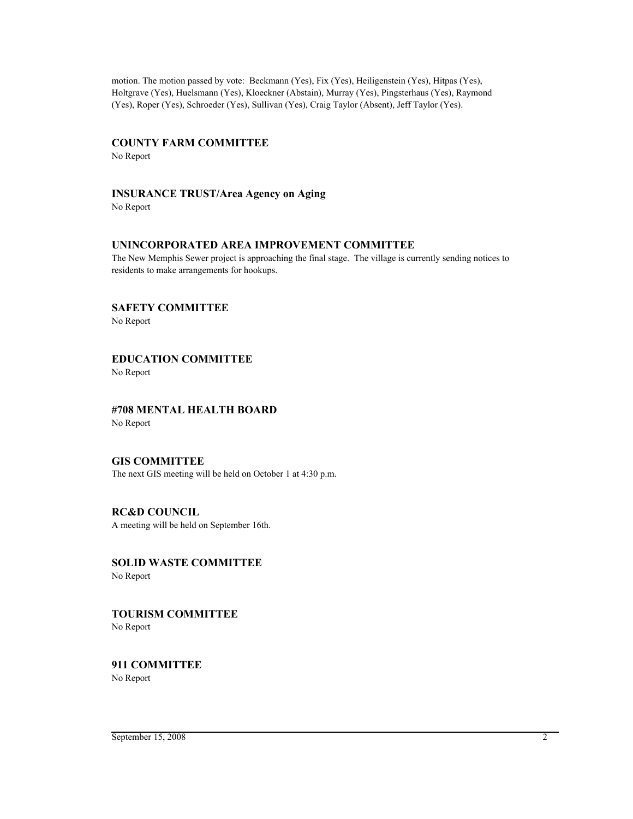motion. The motion passed by vote: Beckmann (Yes), Fix (Yes), Heiligenstein (Yes), Hitpas (Yes), Holtgrave (Yes), Huelsmann (Yes), Kloeckner (Abstain), Murray (Yes), Pingsterhaus (Yes), Raymond (Yes), Roper (Yes), Schroeder (Yes), Sullivan (Yes), Craig Taylor (Absent), Jeff Taylor (Yes).

# **COUNTY FARM COMMITTEE**

No Report

# **INSURANCE TRUST/Area Agency on Aging**

No Report

# **UNINCORPORATED AREA IMPROVEMENT COMMITTEE**

The New Memphis Sewer project is approaching the final stage. The village is currently sending notices to residents to make arrangements for hookups.

# **SAFETY COMMITTEE**

No Report

# **EDUCATION COMMITTEE**

No Report

## **#708 MENTAL HEALTH BOARD** No Report

# **GIS COMMITTEE**

The next GIS meeting will be held on October 1 at 4:30 p.m.

# **RC&D COUNCIL** A meeting will be held on September 16th.

**SOLID WASTE COMMITTEE**

No Report

# **TOURISM COMMITTEE** No Report

**911 COMMITTEE** No Report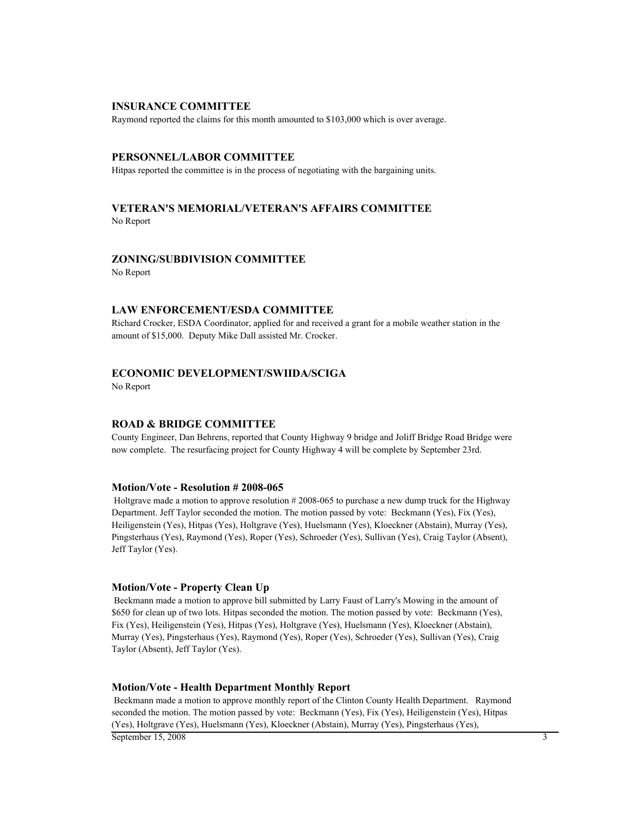#### **INSURANCE COMMITTEE**

Raymond reported the claims for this month amounted to \$103,000 which is over average.

#### **PERSONNEL/LABOR COMMITTEE**

Hitpas reported the committee is in the process of negotiating with the bargaining units.

### **VETERAN'S MEMORIAL/VETERAN'S AFFAIRS COMMITTEE** No Report

#### **ZONING/SUBDIVISION COMMITTEE**

No Report

### **LAW ENFORCEMENT/ESDA COMMITTEE**

Richard Crocker, ESDA Coordinator, applied for and received a grant for a mobile weather station in the amount of \$15,000. Deputy Mike Dall assisted Mr. Crocker.

# **ECONOMIC DEVELOPMENT/SWIIDA/SCIGA**

No Report

### **ROAD & BRIDGE COMMITTEE**

County Engineer, Dan Behrens, reported that County Highway 9 bridge and Joliff Bridge Road Bridge were now complete. The resurfacing project for County Highway 4 will be complete by September 23rd.

#### **Motion/Vote - Resolution # 2008-065**

 Holtgrave made a motion to approve resolution # 2008-065 to purchase a new dump truck for the Highway Department. Jeff Taylor seconded the motion. The motion passed by vote: Beckmann (Yes), Fix (Yes), Heiligenstein (Yes), Hitpas (Yes), Holtgrave (Yes), Huelsmann (Yes), Kloeckner (Abstain), Murray (Yes), Pingsterhaus (Yes), Raymond (Yes), Roper (Yes), Schroeder (Yes), Sullivan (Yes), Craig Taylor (Absent), Jeff Taylor (Yes).

### **Motion/Vote - Property Clean Up**

 Beckmann made a motion to approve bill submitted by Larry Faust of Larry's Mowing in the amount of \$650 for clean up of two lots. Hitpas seconded the motion. The motion passed by vote: Beckmann (Yes), Fix (Yes), Heiligenstein (Yes), Hitpas (Yes), Holtgrave (Yes), Huelsmann (Yes), Kloeckner (Abstain), Murray (Yes), Pingsterhaus (Yes), Raymond (Yes), Roper (Yes), Schroeder (Yes), Sullivan (Yes), Craig Taylor (Absent), Jeff Taylor (Yes).

### **Motion/Vote - Health Department Monthly Report**

 Beckmann made a motion to approve monthly report of the Clinton County Health Department. Raymond seconded the motion. The motion passed by vote: Beckmann (Yes), Fix (Yes), Heiligenstein (Yes), Hitpas (Yes), Holtgrave (Yes), Huelsmann (Yes), Kloeckner (Abstain), Murray (Yes), Pingsterhaus (Yes),

September 15, 2008 3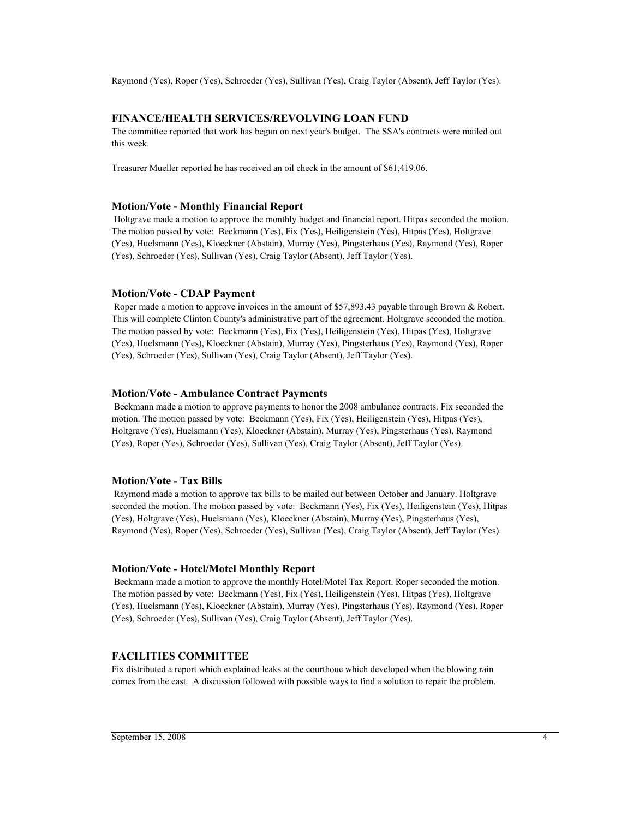Raymond (Yes), Roper (Yes), Schroeder (Yes), Sullivan (Yes), Craig Taylor (Absent), Jeff Taylor (Yes).

# **FINANCE/HEALTH SERVICES/REVOLVING LOAN FUND**

The committee reported that work has begun on next year's budget. The SSA's contracts were mailed out this week.

Treasurer Mueller reported he has received an oil check in the amount of \$61,419.06.

#### **Motion/Vote - Monthly Financial Report**

 Holtgrave made a motion to approve the monthly budget and financial report. Hitpas seconded the motion. The motion passed by vote: Beckmann (Yes), Fix (Yes), Heiligenstein (Yes), Hitpas (Yes), Holtgrave (Yes), Huelsmann (Yes), Kloeckner (Abstain), Murray (Yes), Pingsterhaus (Yes), Raymond (Yes), Roper (Yes), Schroeder (Yes), Sullivan (Yes), Craig Taylor (Absent), Jeff Taylor (Yes).

#### **Motion/Vote - CDAP Payment**

Roper made a motion to approve invoices in the amount of \$57,893.43 payable through Brown & Robert. This will complete Clinton County's administrative part of the agreement. Holtgrave seconded the motion. The motion passed by vote: Beckmann (Yes), Fix (Yes), Heiligenstein (Yes), Hitpas (Yes), Holtgrave (Yes), Huelsmann (Yes), Kloeckner (Abstain), Murray (Yes), Pingsterhaus (Yes), Raymond (Yes), Roper (Yes), Schroeder (Yes), Sullivan (Yes), Craig Taylor (Absent), Jeff Taylor (Yes).

#### **Motion/Vote - Ambulance Contract Payments**

 Beckmann made a motion to approve payments to honor the 2008 ambulance contracts. Fix seconded the motion. The motion passed by vote: Beckmann (Yes), Fix (Yes), Heiligenstein (Yes), Hitpas (Yes), Holtgrave (Yes), Huelsmann (Yes), Kloeckner (Abstain), Murray (Yes), Pingsterhaus (Yes), Raymond (Yes), Roper (Yes), Schroeder (Yes), Sullivan (Yes), Craig Taylor (Absent), Jeff Taylor (Yes).

### **Motion/Vote - Tax Bills**

 Raymond made a motion to approve tax bills to be mailed out between October and January. Holtgrave seconded the motion. The motion passed by vote: Beckmann (Yes), Fix (Yes), Heiligenstein (Yes), Hitpas (Yes), Holtgrave (Yes), Huelsmann (Yes), Kloeckner (Abstain), Murray (Yes), Pingsterhaus (Yes), Raymond (Yes), Roper (Yes), Schroeder (Yes), Sullivan (Yes), Craig Taylor (Absent), Jeff Taylor (Yes).

## **Motion/Vote - Hotel/Motel Monthly Report**

 Beckmann made a motion to approve the monthly Hotel/Motel Tax Report. Roper seconded the motion. The motion passed by vote: Beckmann (Yes), Fix (Yes), Heiligenstein (Yes), Hitpas (Yes), Holtgrave (Yes), Huelsmann (Yes), Kloeckner (Abstain), Murray (Yes), Pingsterhaus (Yes), Raymond (Yes), Roper (Yes), Schroeder (Yes), Sullivan (Yes), Craig Taylor (Absent), Jeff Taylor (Yes).

# **FACILITIES COMMITTEE**

Fix distributed a report which explained leaks at the courthoue which developed when the blowing rain comes from the east. A discussion followed with possible ways to find a solution to repair the problem.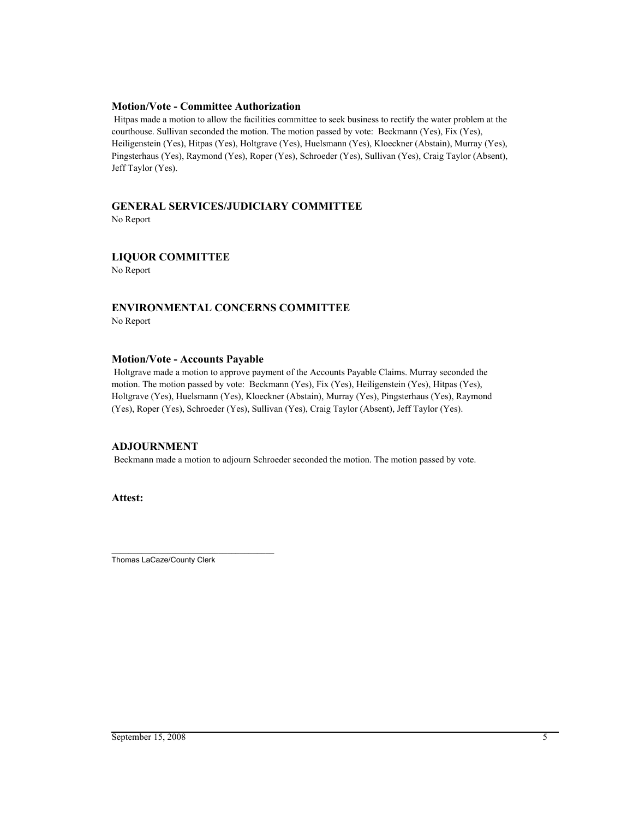## **Motion/Vote - Committee Authorization**

 Hitpas made a motion to allow the facilities committee to seek business to rectify the water problem at the courthouse. Sullivan seconded the motion. The motion passed by vote: Beckmann (Yes), Fix (Yes), Heiligenstein (Yes), Hitpas (Yes), Holtgrave (Yes), Huelsmann (Yes), Kloeckner (Abstain), Murray (Yes), Pingsterhaus (Yes), Raymond (Yes), Roper (Yes), Schroeder (Yes), Sullivan (Yes), Craig Taylor (Absent), Jeff Taylor (Yes).

# **GENERAL SERVICES/JUDICIARY COMMITTEE**

No Report

# **LIQUOR COMMITTEE**

No Report

# **ENVIRONMENTAL CONCERNS COMMITTEE**

No Report

# **Motion/Vote - Accounts Payable**

 Holtgrave made a motion to approve payment of the Accounts Payable Claims. Murray seconded the motion. The motion passed by vote: Beckmann (Yes), Fix (Yes), Heiligenstein (Yes), Hitpas (Yes), Holtgrave (Yes), Huelsmann (Yes), Kloeckner (Abstain), Murray (Yes), Pingsterhaus (Yes), Raymond (Yes), Roper (Yes), Schroeder (Yes), Sullivan (Yes), Craig Taylor (Absent), Jeff Taylor (Yes).

# **ADJOURNMENT**

Beckmann made a motion to adjourn Schroeder seconded the motion. The motion passed by vote.

**Attest:**

\_\_\_\_\_\_\_\_\_\_\_\_\_\_\_\_\_\_\_\_\_\_\_\_\_\_\_\_\_\_\_\_\_\_\_\_\_\_ Thomas LaCaze/County Clerk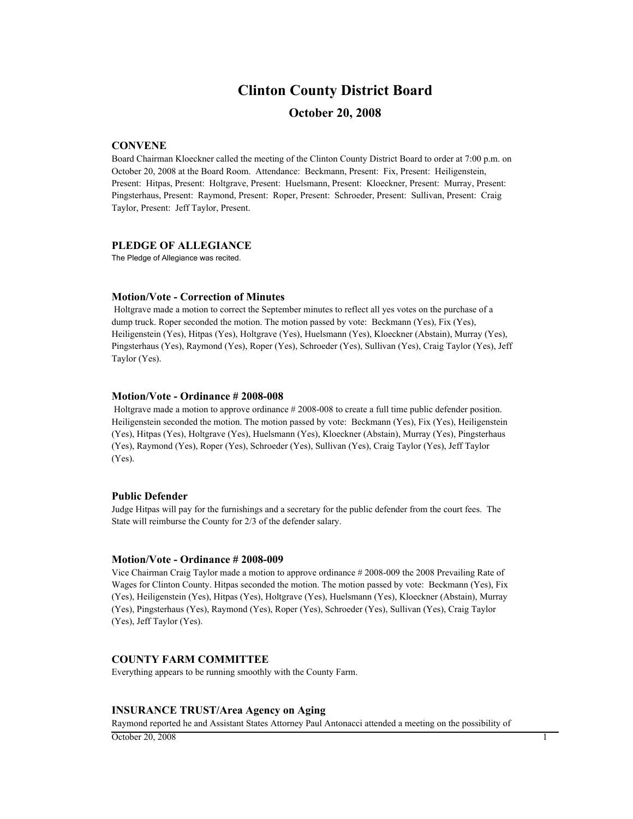# **Clinton County District Board**

# **October 20, 2008**

# **CONVENE**

Board Chairman Kloeckner called the meeting of the Clinton County District Board to order at 7:00 p.m. on October 20, 2008 at the Board Room. Attendance: Beckmann, Present: Fix, Present: Heiligenstein, Present: Hitpas, Present: Holtgrave, Present: Huelsmann, Present: Kloeckner, Present: Murray, Present: Pingsterhaus, Present: Raymond, Present: Roper, Present: Schroeder, Present: Sullivan, Present: Craig Taylor, Present: Jeff Taylor, Present.

### **PLEDGE OF ALLEGIANCE**

The Pledge of Allegiance was recited.

### **Motion/Vote - Correction of Minutes**

 Holtgrave made a motion to correct the September minutes to reflect all yes votes on the purchase of a dump truck. Roper seconded the motion. The motion passed by vote: Beckmann (Yes), Fix (Yes), Heiligenstein (Yes), Hitpas (Yes), Holtgrave (Yes), Huelsmann (Yes), Kloeckner (Abstain), Murray (Yes), Pingsterhaus (Yes), Raymond (Yes), Roper (Yes), Schroeder (Yes), Sullivan (Yes), Craig Taylor (Yes), Jeff Taylor (Yes).

#### **Motion/Vote - Ordinance # 2008-008**

 Holtgrave made a motion to approve ordinance # 2008-008 to create a full time public defender position. Heiligenstein seconded the motion. The motion passed by vote: Beckmann (Yes), Fix (Yes), Heiligenstein (Yes), Hitpas (Yes), Holtgrave (Yes), Huelsmann (Yes), Kloeckner (Abstain), Murray (Yes), Pingsterhaus (Yes), Raymond (Yes), Roper (Yes), Schroeder (Yes), Sullivan (Yes), Craig Taylor (Yes), Jeff Taylor (Yes).

#### **Public Defender**

Judge Hitpas will pay for the furnishings and a secretary for the public defender from the court fees. The State will reimburse the County for 2/3 of the defender salary.

#### **Motion/Vote - Ordinance # 2008-009**

Vice Chairman Craig Taylor made a motion to approve ordinance # 2008-009 the 2008 Prevailing Rate of Wages for Clinton County. Hitpas seconded the motion. The motion passed by vote: Beckmann (Yes), Fix (Yes), Heiligenstein (Yes), Hitpas (Yes), Holtgrave (Yes), Huelsmann (Yes), Kloeckner (Abstain), Murray (Yes), Pingsterhaus (Yes), Raymond (Yes), Roper (Yes), Schroeder (Yes), Sullivan (Yes), Craig Taylor (Yes), Jeff Taylor (Yes).

# **COUNTY FARM COMMITTEE**

Everything appears to be running smoothly with the County Farm.

## **INSURANCE TRUST/Area Agency on Aging**

Raymond reported he and Assistant States Attorney Paul Antonacci attended a meeting on the possibility of

 $\overline{\text{October 20, 2008}}$  1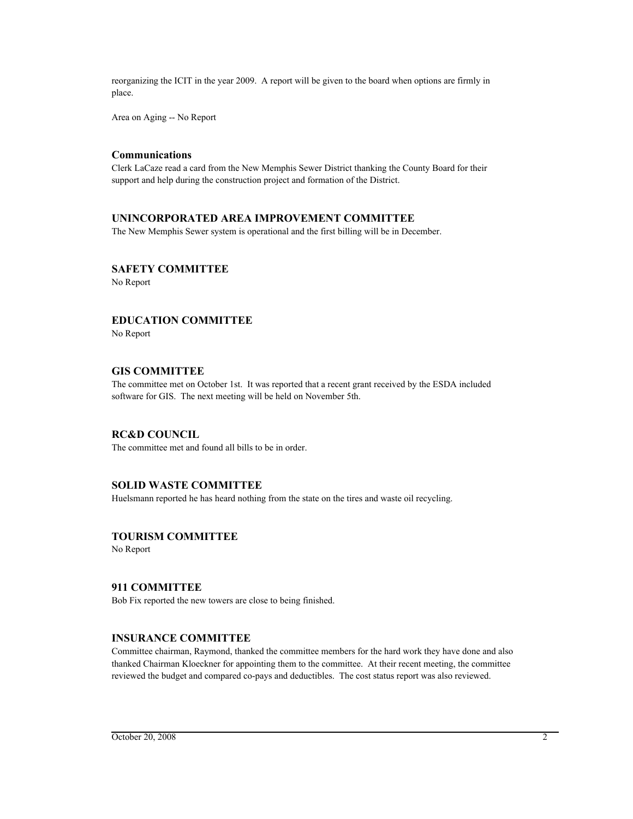reorganizing the ICIT in the year 2009. A report will be given to the board when options are firmly in place.

Area on Aging -- No Report

## **Communications**

Clerk LaCaze read a card from the New Memphis Sewer District thanking the County Board for their support and help during the construction project and formation of the District.

# **UNINCORPORATED AREA IMPROVEMENT COMMITTEE**

The New Memphis Sewer system is operational and the first billing will be in December.

# **SAFETY COMMITTEE**

No Report

# **EDUCATION COMMITTEE**

No Report

# **GIS COMMITTEE**

The committee met on October 1st. It was reported that a recent grant received by the ESDA included software for GIS. The next meeting will be held on November 5th.

# **RC&D COUNCIL**

The committee met and found all bills to be in order.

# **SOLID WASTE COMMITTEE**

Huelsmann reported he has heard nothing from the state on the tires and waste oil recycling.

# **TOURISM COMMITTEE**

No Report

# **911 COMMITTEE**

Bob Fix reported the new towers are close to being finished.

### **INSURANCE COMMITTEE**

Committee chairman, Raymond, thanked the committee members for the hard work they have done and also thanked Chairman Kloeckner for appointing them to the committee. At their recent meeting, the committee reviewed the budget and compared co-pays and deductibles. The cost status report was also reviewed.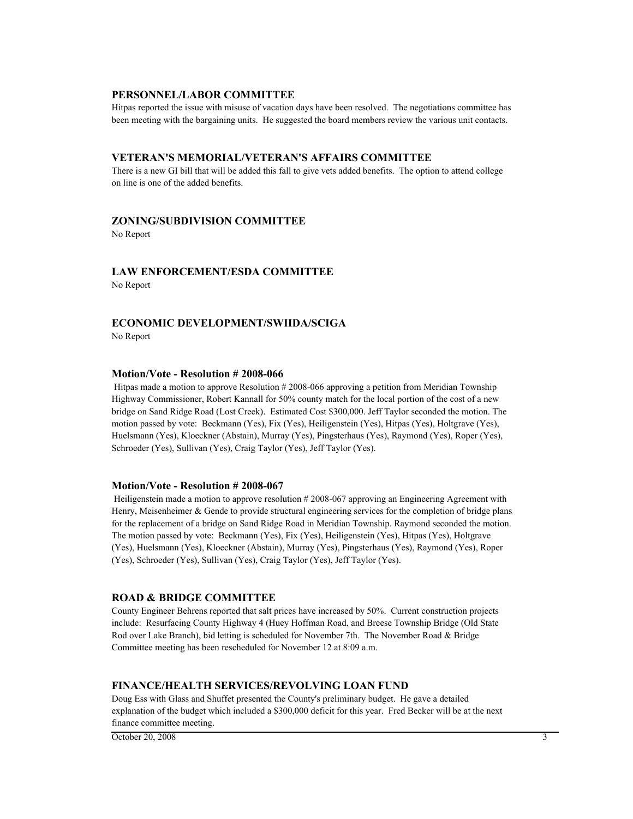### **PERSONNEL/LABOR COMMITTEE**

Hitpas reported the issue with misuse of vacation days have been resolved. The negotiations committee has been meeting with the bargaining units. He suggested the board members review the various unit contacts.

#### **VETERAN'S MEMORIAL/VETERAN'S AFFAIRS COMMITTEE**

There is a new GI bill that will be added this fall to give vets added benefits. The option to attend college on line is one of the added benefits.

### **ZONING/SUBDIVISION COMMITTEE**

No Report

# **LAW ENFORCEMENT/ESDA COMMITTEE**

No Report

# **ECONOMIC DEVELOPMENT/SWIIDA/SCIGA**

No Report

#### **Motion/Vote - Resolution # 2008-066**

 Hitpas made a motion to approve Resolution # 2008-066 approving a petition from Meridian Township Highway Commissioner, Robert Kannall for 50% county match for the local portion of the cost of a new bridge on Sand Ridge Road (Lost Creek). Estimated Cost \$300,000. Jeff Taylor seconded the motion. The motion passed by vote: Beckmann (Yes), Fix (Yes), Heiligenstein (Yes), Hitpas (Yes), Holtgrave (Yes), Huelsmann (Yes), Kloeckner (Abstain), Murray (Yes), Pingsterhaus (Yes), Raymond (Yes), Roper (Yes), Schroeder (Yes), Sullivan (Yes), Craig Taylor (Yes), Jeff Taylor (Yes).

#### **Motion/Vote - Resolution # 2008-067**

 Heiligenstein made a motion to approve resolution # 2008-067 approving an Engineering Agreement with Henry, Meisenheimer & Gende to provide structural engineering services for the completion of bridge plans for the replacement of a bridge on Sand Ridge Road in Meridian Township. Raymond seconded the motion. The motion passed by vote: Beckmann (Yes), Fix (Yes), Heiligenstein (Yes), Hitpas (Yes), Holtgrave (Yes), Huelsmann (Yes), Kloeckner (Abstain), Murray (Yes), Pingsterhaus (Yes), Raymond (Yes), Roper (Yes), Schroeder (Yes), Sullivan (Yes), Craig Taylor (Yes), Jeff Taylor (Yes).

### **ROAD & BRIDGE COMMITTEE**

County Engineer Behrens reported that salt prices have increased by 50%. Current construction projects include: Resurfacing County Highway 4 (Huey Hoffman Road, and Breese Township Bridge (Old State Rod over Lake Branch), bid letting is scheduled for November 7th. The November Road & Bridge Committee meeting has been rescheduled for November 12 at 8:09 a.m.

#### **FINANCE/HEALTH SERVICES/REVOLVING LOAN FUND**

Doug Ess with Glass and Shuffet presented the County's preliminary budget. He gave a detailed explanation of the budget which included a \$300,000 deficit for this year. Fred Becker will be at the next finance committee meeting.

 $\overline{\text{October 20, 2008}}$  3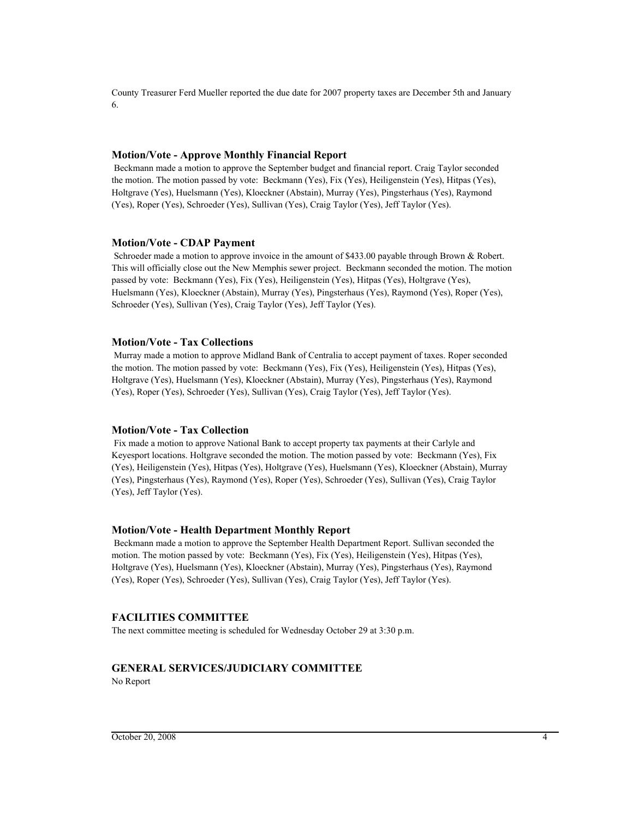County Treasurer Ferd Mueller reported the due date for 2007 property taxes are December 5th and January 6.

#### **Motion/Vote - Approve Monthly Financial Report**

 Beckmann made a motion to approve the September budget and financial report. Craig Taylor seconded the motion. The motion passed by vote: Beckmann (Yes), Fix (Yes), Heiligenstein (Yes), Hitpas (Yes), Holtgrave (Yes), Huelsmann (Yes), Kloeckner (Abstain), Murray (Yes), Pingsterhaus (Yes), Raymond (Yes), Roper (Yes), Schroeder (Yes), Sullivan (Yes), Craig Taylor (Yes), Jeff Taylor (Yes).

#### **Motion/Vote - CDAP Payment**

Schroeder made a motion to approve invoice in the amount of \$433.00 payable through Brown & Robert. This will officially close out the New Memphis sewer project. Beckmann seconded the motion. The motion passed by vote: Beckmann (Yes), Fix (Yes), Heiligenstein (Yes), Hitpas (Yes), Holtgrave (Yes), Huelsmann (Yes), Kloeckner (Abstain), Murray (Yes), Pingsterhaus (Yes), Raymond (Yes), Roper (Yes), Schroeder (Yes), Sullivan (Yes), Craig Taylor (Yes), Jeff Taylor (Yes).

### **Motion/Vote - Tax Collections**

 Murray made a motion to approve Midland Bank of Centralia to accept payment of taxes. Roper seconded the motion. The motion passed by vote: Beckmann (Yes), Fix (Yes), Heiligenstein (Yes), Hitpas (Yes), Holtgrave (Yes), Huelsmann (Yes), Kloeckner (Abstain), Murray (Yes), Pingsterhaus (Yes), Raymond (Yes), Roper (Yes), Schroeder (Yes), Sullivan (Yes), Craig Taylor (Yes), Jeff Taylor (Yes).

#### **Motion/Vote - Tax Collection**

 Fix made a motion to approve National Bank to accept property tax payments at their Carlyle and Keyesport locations. Holtgrave seconded the motion. The motion passed by vote: Beckmann (Yes), Fix (Yes), Heiligenstein (Yes), Hitpas (Yes), Holtgrave (Yes), Huelsmann (Yes), Kloeckner (Abstain), Murray (Yes), Pingsterhaus (Yes), Raymond (Yes), Roper (Yes), Schroeder (Yes), Sullivan (Yes), Craig Taylor (Yes), Jeff Taylor (Yes).

#### **Motion/Vote - Health Department Monthly Report**

 Beckmann made a motion to approve the September Health Department Report. Sullivan seconded the motion. The motion passed by vote: Beckmann (Yes), Fix (Yes), Heiligenstein (Yes), Hitpas (Yes), Holtgrave (Yes), Huelsmann (Yes), Kloeckner (Abstain), Murray (Yes), Pingsterhaus (Yes), Raymond (Yes), Roper (Yes), Schroeder (Yes), Sullivan (Yes), Craig Taylor (Yes), Jeff Taylor (Yes).

# **FACILITIES COMMITTEE**

The next committee meeting is scheduled for Wednesday October 29 at 3:30 p.m.

## **GENERAL SERVICES/JUDICIARY COMMITTEE** No Report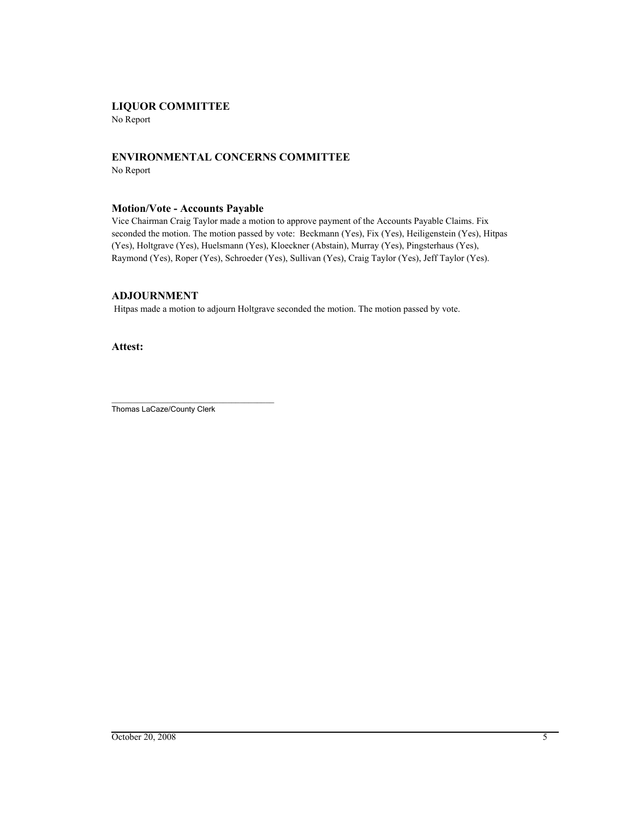# **LIQUOR COMMITTEE**

No Report

# **ENVIRONMENTAL CONCERNS COMMITTEE** No Report

# **Motion/Vote - Accounts Payable**

Vice Chairman Craig Taylor made a motion to approve payment of the Accounts Payable Claims. Fix seconded the motion. The motion passed by vote: Beckmann (Yes), Fix (Yes), Heiligenstein (Yes), Hitpas (Yes), Holtgrave (Yes), Huelsmann (Yes), Kloeckner (Abstain), Murray (Yes), Pingsterhaus (Yes), Raymond (Yes), Roper (Yes), Schroeder (Yes), Sullivan (Yes), Craig Taylor (Yes), Jeff Taylor (Yes).

# **ADJOURNMENT**

Hitpas made a motion to adjourn Holtgrave seconded the motion. The motion passed by vote.

**Attest:**

\_\_\_\_\_\_\_\_\_\_\_\_\_\_\_\_\_\_\_\_\_\_\_\_\_\_\_\_\_\_\_\_\_\_\_\_\_\_ Thomas LaCaze/County Clerk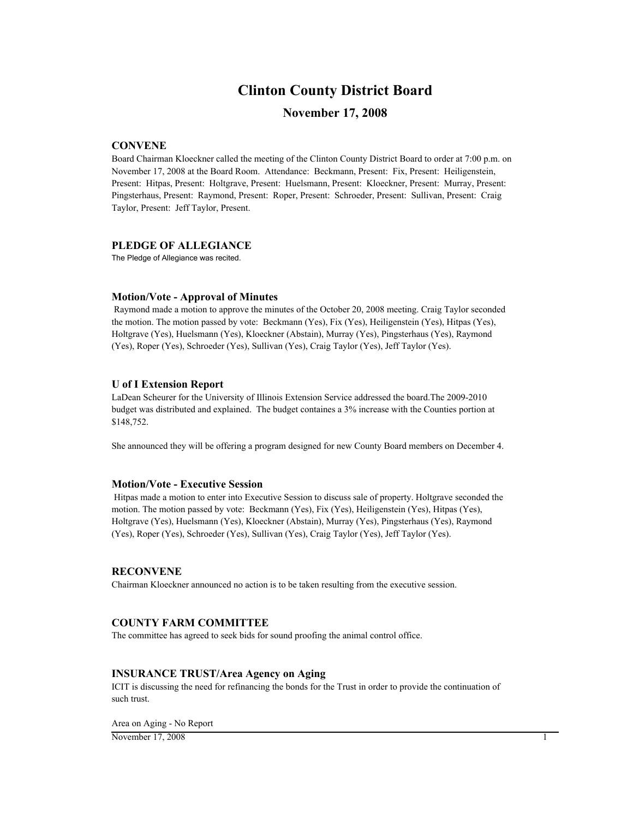# **Clinton County District Board**

# **November 17, 2008**

# **CONVENE**

Board Chairman Kloeckner called the meeting of the Clinton County District Board to order at 7:00 p.m. on November 17, 2008 at the Board Room. Attendance: Beckmann, Present: Fix, Present: Heiligenstein, Present: Hitpas, Present: Holtgrave, Present: Huelsmann, Present: Kloeckner, Present: Murray, Present: Pingsterhaus, Present: Raymond, Present: Roper, Present: Schroeder, Present: Sullivan, Present: Craig Taylor, Present: Jeff Taylor, Present.

### **PLEDGE OF ALLEGIANCE**

The Pledge of Allegiance was recited.

#### **Motion/Vote - Approval of Minutes**

 Raymond made a motion to approve the minutes of the October 20, 2008 meeting. Craig Taylor seconded the motion. The motion passed by vote: Beckmann (Yes), Fix (Yes), Heiligenstein (Yes), Hitpas (Yes), Holtgrave (Yes), Huelsmann (Yes), Kloeckner (Abstain), Murray (Yes), Pingsterhaus (Yes), Raymond (Yes), Roper (Yes), Schroeder (Yes), Sullivan (Yes), Craig Taylor (Yes), Jeff Taylor (Yes).

### **U of I Extension Report**

LaDean Scheurer for the University of Illinois Extension Service addressed the board.The 2009-2010 budget was distributed and explained. The budget containes a 3% increase with the Counties portion at \$148,752.

She announced they will be offering a program designed for new County Board members on December 4.

# **Motion/Vote - Executive Session**

 Hitpas made a motion to enter into Executive Session to discuss sale of property. Holtgrave seconded the motion. The motion passed by vote: Beckmann (Yes), Fix (Yes), Heiligenstein (Yes), Hitpas (Yes), Holtgrave (Yes), Huelsmann (Yes), Kloeckner (Abstain), Murray (Yes), Pingsterhaus (Yes), Raymond (Yes), Roper (Yes), Schroeder (Yes), Sullivan (Yes), Craig Taylor (Yes), Jeff Taylor (Yes).

#### **RECONVENE**

Chairman Kloeckner announced no action is to be taken resulting from the executive session.

# **COUNTY FARM COMMITTEE**

The committee has agreed to seek bids for sound proofing the animal control office.

### **INSURANCE TRUST/Area Agency on Aging**

ICIT is discussing the need for refinancing the bonds for the Trust in order to provide the continuation of such trust.

Area on Aging - No Report

November 17, 2008 1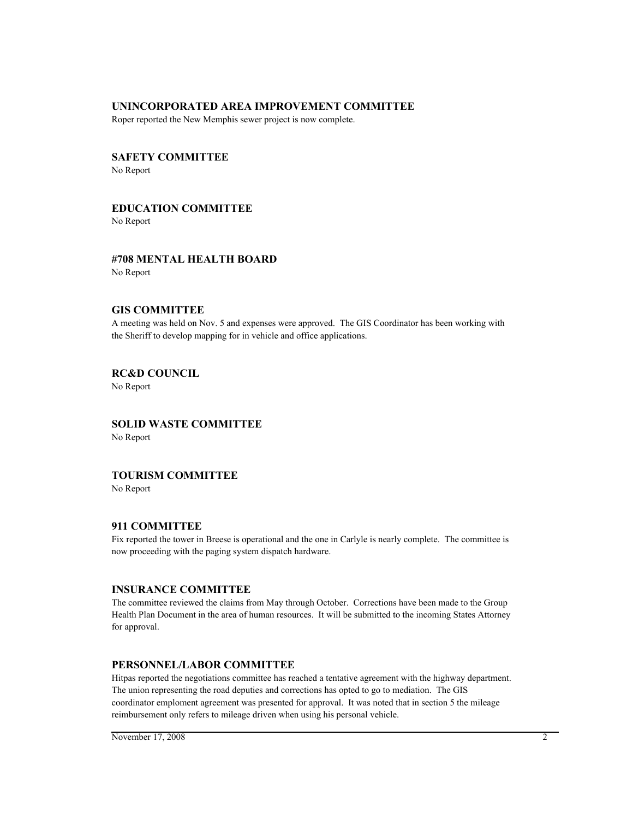### **UNINCORPORATED AREA IMPROVEMENT COMMITTEE**

Roper reported the New Memphis sewer project is now complete.

# **SAFETY COMMITTEE** No Report

# **EDUCATION COMMITTEE**

No Report

# **#708 MENTAL HEALTH BOARD** No Report

# **GIS COMMITTEE**

A meeting was held on Nov. 5 and expenses were approved. The GIS Coordinator has been working with the Sheriff to develop mapping for in vehicle and office applications.

# **RC&D COUNCIL**

No Report

# **SOLID WASTE COMMITTEE** No Report

# **TOURISM COMMITTEE**

No Report

# **911 COMMITTEE**

Fix reported the tower in Breese is operational and the one in Carlyle is nearly complete. The committee is now proceeding with the paging system dispatch hardware.

# **INSURANCE COMMITTEE**

The committee reviewed the claims from May through October. Corrections have been made to the Group Health Plan Document in the area of human resources. It will be submitted to the incoming States Attorney for approval.

# **PERSONNEL/LABOR COMMITTEE**

Hitpas reported the negotiations committee has reached a tentative agreement with the highway department. The union representing the road deputies and corrections has opted to go to mediation. The GIS coordinator emploment agreement was presented for approval. It was noted that in section 5 the mileage reimbursement only refers to mileage driven when using his personal vehicle.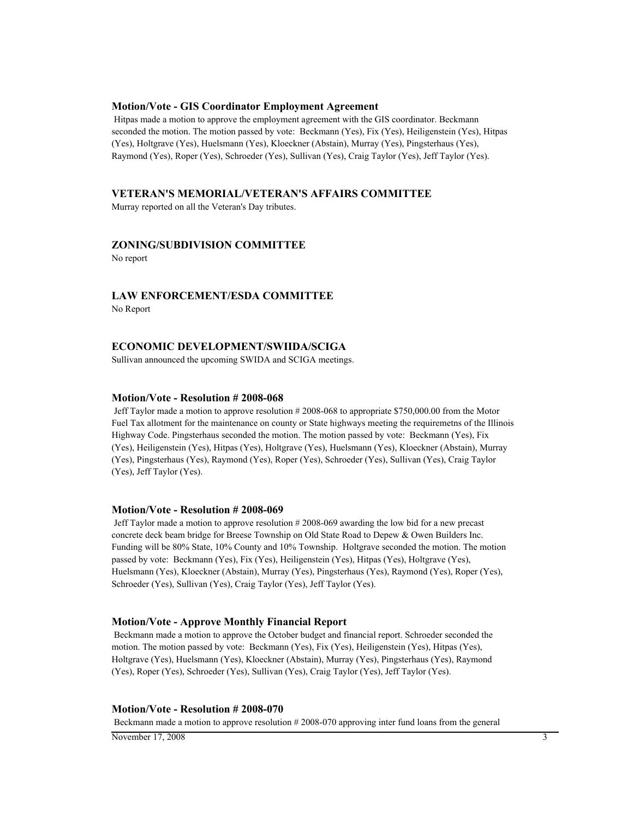### **Motion/Vote - GIS Coordinator Employment Agreement**

 Hitpas made a motion to approve the employment agreement with the GIS coordinator. Beckmann seconded the motion. The motion passed by vote: Beckmann (Yes), Fix (Yes), Heiligenstein (Yes), Hitpas (Yes), Holtgrave (Yes), Huelsmann (Yes), Kloeckner (Abstain), Murray (Yes), Pingsterhaus (Yes), Raymond (Yes), Roper (Yes), Schroeder (Yes), Sullivan (Yes), Craig Taylor (Yes), Jeff Taylor (Yes).

### **VETERAN'S MEMORIAL/VETERAN'S AFFAIRS COMMITTEE**

Murray reported on all the Veteran's Day tributes.

# **ZONING/SUBDIVISION COMMITTEE**

No report

# **LAW ENFORCEMENT/ESDA COMMITTEE**

No Report

### **ECONOMIC DEVELOPMENT/SWIIDA/SCIGA**

Sullivan announced the upcoming SWIDA and SCIGA meetings.

### **Motion/Vote - Resolution # 2008-068**

 Jeff Taylor made a motion to approve resolution # 2008-068 to appropriate \$750,000.00 from the Motor Fuel Tax allotment for the maintenance on county or State highways meeting the requiremetns of the Illinois Highway Code. Pingsterhaus seconded the motion. The motion passed by vote: Beckmann (Yes), Fix (Yes), Heiligenstein (Yes), Hitpas (Yes), Holtgrave (Yes), Huelsmann (Yes), Kloeckner (Abstain), Murray (Yes), Pingsterhaus (Yes), Raymond (Yes), Roper (Yes), Schroeder (Yes), Sullivan (Yes), Craig Taylor (Yes), Jeff Taylor (Yes).

#### **Motion/Vote - Resolution # 2008-069**

 Jeff Taylor made a motion to approve resolution # 2008-069 awarding the low bid for a new precast concrete deck beam bridge for Breese Township on Old State Road to Depew & Owen Builders Inc. Funding will be 80% State, 10% County and 10% Township. Holtgrave seconded the motion. The motion passed by vote: Beckmann (Yes), Fix (Yes), Heiligenstein (Yes), Hitpas (Yes), Holtgrave (Yes), Huelsmann (Yes), Kloeckner (Abstain), Murray (Yes), Pingsterhaus (Yes), Raymond (Yes), Roper (Yes), Schroeder (Yes), Sullivan (Yes), Craig Taylor (Yes), Jeff Taylor (Yes).

#### **Motion/Vote - Approve Monthly Financial Report**

 Beckmann made a motion to approve the October budget and financial report. Schroeder seconded the motion. The motion passed by vote: Beckmann (Yes), Fix (Yes), Heiligenstein (Yes), Hitpas (Yes), Holtgrave (Yes), Huelsmann (Yes), Kloeckner (Abstain), Murray (Yes), Pingsterhaus (Yes), Raymond (Yes), Roper (Yes), Schroeder (Yes), Sullivan (Yes), Craig Taylor (Yes), Jeff Taylor (Yes).

#### **Motion/Vote - Resolution # 2008-070**

Beckmann made a motion to approve resolution # 2008-070 approving inter fund loans from the general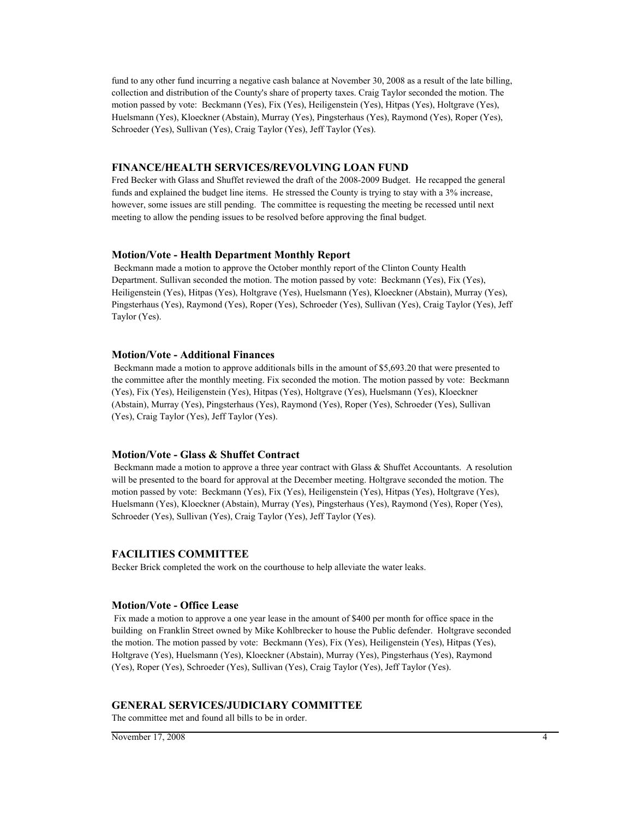fund to any other fund incurring a negative cash balance at November 30, 2008 as a result of the late billing, collection and distribution of the County's share of property taxes. Craig Taylor seconded the motion. The motion passed by vote: Beckmann (Yes), Fix (Yes), Heiligenstein (Yes), Hitpas (Yes), Holtgrave (Yes), Huelsmann (Yes), Kloeckner (Abstain), Murray (Yes), Pingsterhaus (Yes), Raymond (Yes), Roper (Yes), Schroeder (Yes), Sullivan (Yes), Craig Taylor (Yes), Jeff Taylor (Yes).

### **FINANCE/HEALTH SERVICES/REVOLVING LOAN FUND**

Fred Becker with Glass and Shuffet reviewed the draft of the 2008-2009 Budget. He recapped the general funds and explained the budget line items. He stressed the County is trying to stay with a 3% increase, however, some issues are still pending. The committee is requesting the meeting be recessed until next meeting to allow the pending issues to be resolved before approving the final budget.

#### **Motion/Vote - Health Department Monthly Report**

 Beckmann made a motion to approve the October monthly report of the Clinton County Health Department. Sullivan seconded the motion. The motion passed by vote: Beckmann (Yes), Fix (Yes), Heiligenstein (Yes), Hitpas (Yes), Holtgrave (Yes), Huelsmann (Yes), Kloeckner (Abstain), Murray (Yes), Pingsterhaus (Yes), Raymond (Yes), Roper (Yes), Schroeder (Yes), Sullivan (Yes), Craig Taylor (Yes), Jeff Taylor (Yes).

#### **Motion/Vote - Additional Finances**

 Beckmann made a motion to approve additionals bills in the amount of \$5,693.20 that were presented to the committee after the monthly meeting. Fix seconded the motion. The motion passed by vote: Beckmann (Yes), Fix (Yes), Heiligenstein (Yes), Hitpas (Yes), Holtgrave (Yes), Huelsmann (Yes), Kloeckner (Abstain), Murray (Yes), Pingsterhaus (Yes), Raymond (Yes), Roper (Yes), Schroeder (Yes), Sullivan (Yes), Craig Taylor (Yes), Jeff Taylor (Yes).

#### **Motion/Vote - Glass & Shuffet Contract**

 Beckmann made a motion to approve a three year contract with Glass & Shuffet Accountants. A resolution will be presented to the board for approval at the December meeting. Holtgrave seconded the motion. The motion passed by vote: Beckmann (Yes), Fix (Yes), Heiligenstein (Yes), Hitpas (Yes), Holtgrave (Yes), Huelsmann (Yes), Kloeckner (Abstain), Murray (Yes), Pingsterhaus (Yes), Raymond (Yes), Roper (Yes), Schroeder (Yes), Sullivan (Yes), Craig Taylor (Yes), Jeff Taylor (Yes).

#### **FACILITIES COMMITTEE**

Becker Brick completed the work on the courthouse to help alleviate the water leaks.

#### **Motion/Vote - Office Lease**

 Fix made a motion to approve a one year lease in the amount of \$400 per month for office space in the building on Franklin Street owned by Mike Kohlbrecker to house the Public defender. Holtgrave seconded the motion. The motion passed by vote: Beckmann (Yes), Fix (Yes), Heiligenstein (Yes), Hitpas (Yes), Holtgrave (Yes), Huelsmann (Yes), Kloeckner (Abstain), Murray (Yes), Pingsterhaus (Yes), Raymond (Yes), Roper (Yes), Schroeder (Yes), Sullivan (Yes), Craig Taylor (Yes), Jeff Taylor (Yes).

## **GENERAL SERVICES/JUDICIARY COMMITTEE**

The committee met and found all bills to be in order.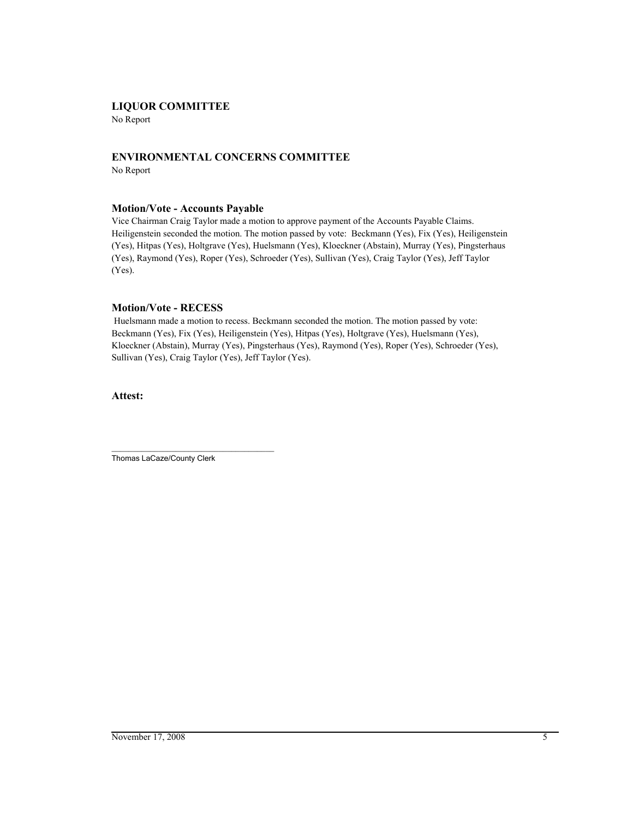## **LIQUOR COMMITTEE**

No Report

# **ENVIRONMENTAL CONCERNS COMMITTEE**

No Report

## **Motion/Vote - Accounts Payable**

Vice Chairman Craig Taylor made a motion to approve payment of the Accounts Payable Claims. Heiligenstein seconded the motion. The motion passed by vote: Beckmann (Yes), Fix (Yes), Heiligenstein (Yes), Hitpas (Yes), Holtgrave (Yes), Huelsmann (Yes), Kloeckner (Abstain), Murray (Yes), Pingsterhaus (Yes), Raymond (Yes), Roper (Yes), Schroeder (Yes), Sullivan (Yes), Craig Taylor (Yes), Jeff Taylor (Yes).

## **Motion/Vote - RECESS**

 Huelsmann made a motion to recess. Beckmann seconded the motion. The motion passed by vote: Beckmann (Yes), Fix (Yes), Heiligenstein (Yes), Hitpas (Yes), Holtgrave (Yes), Huelsmann (Yes), Kloeckner (Abstain), Murray (Yes), Pingsterhaus (Yes), Raymond (Yes), Roper (Yes), Schroeder (Yes), Sullivan (Yes), Craig Taylor (Yes), Jeff Taylor (Yes).

**Attest:**

\_\_\_\_\_\_\_\_\_\_\_\_\_\_\_\_\_\_\_\_\_\_\_\_\_\_\_\_\_\_\_\_\_\_\_\_\_\_ Thomas LaCaze/County Clerk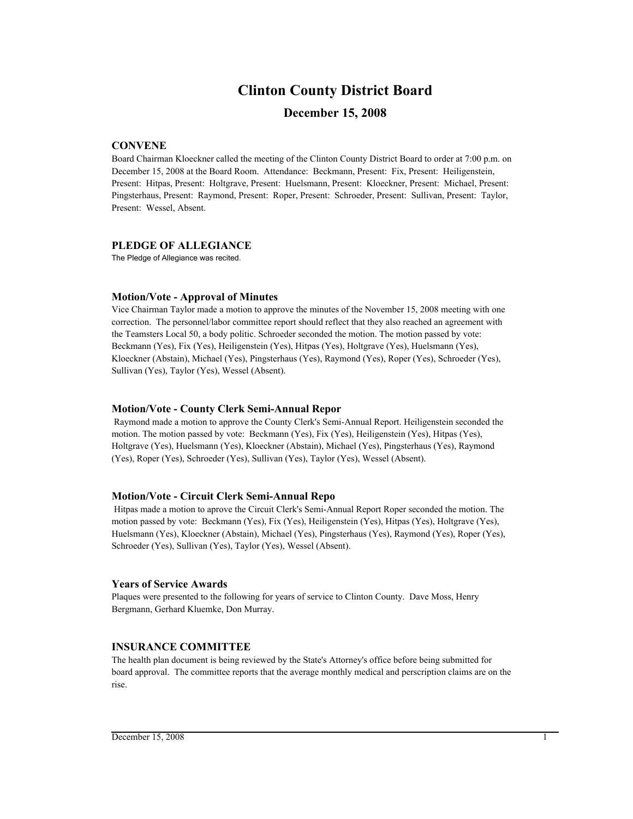## **Clinton County District Board**

## **December 15, 2008**

## **CONVENE**

Board Chairman Kloeckner called the meeting of the Clinton County District Board to order at 7:00 p.m. on December 15, 2008 at the Board Room. Attendance: Beckmann, Present: Fix, Present: Heiligenstein, Present: Hitpas, Present: Holtgrave, Present: Huelsmann, Present: Kloeckner, Present: Michael, Present: Pingsterhaus, Present: Raymond, Present: Roper, Present: Schroeder, Present: Sullivan, Present: Taylor, Present: Wessel, Absent.

### **PLEDGE OF ALLEGIANCE**

The Pledge of Allegiance was recited.

## **Motion/Vote - Approval of Minutes**

Vice Chairman Taylor made a motion to approve the minutes of the November 15, 2008 meeting with one correction. The personnel/labor committee report should reflect that they also reached an agreement with the Teamsters Local 50, a body politic. Schroeder seconded the motion. The motion passed by vote: Beckmann (Yes), Fix (Yes), Heiligenstein (Yes), Hitpas (Yes), Holtgrave (Yes), Huelsmann (Yes), Kloeckner (Abstain), Michael (Yes), Pingsterhaus (Yes), Raymond (Yes), Roper (Yes), Schroeder (Yes), Sullivan (Yes), Taylor (Yes), Wessel (Absent).

### **Motion/Vote - County Clerk Semi-Annual Repor**

 Raymond made a motion to approve the County Clerk's Semi-Annual Report. Heiligenstein seconded the motion. The motion passed by vote: Beckmann (Yes), Fix (Yes), Heiligenstein (Yes), Hitpas (Yes), Holtgrave (Yes), Huelsmann (Yes), Kloeckner (Abstain), Michael (Yes), Pingsterhaus (Yes), Raymond (Yes), Roper (Yes), Schroeder (Yes), Sullivan (Yes), Taylor (Yes), Wessel (Absent).

#### **Motion/Vote - Circuit Clerk Semi-Annual Repo**

 Hitpas made a motion to aprove the Circuit Clerk's Semi-Annual Report Roper seconded the motion. The motion passed by vote: Beckmann (Yes), Fix (Yes), Heiligenstein (Yes), Hitpas (Yes), Holtgrave (Yes), Huelsmann (Yes), Kloeckner (Abstain), Michael (Yes), Pingsterhaus (Yes), Raymond (Yes), Roper (Yes), Schroeder (Yes), Sullivan (Yes), Taylor (Yes), Wessel (Absent).

#### **Years of Service Awards**

Plaques were presented to the following for years of service to Clinton County. Dave Moss, Henry Bergmann, Gerhard Kluemke, Don Murray.

## **INSURANCE COMMITTEE**

The health plan document is being reviewed by the State's Attorney's office before being submitted for board approval. The committee reports that the average monthly medical and perscription claims are on the rise.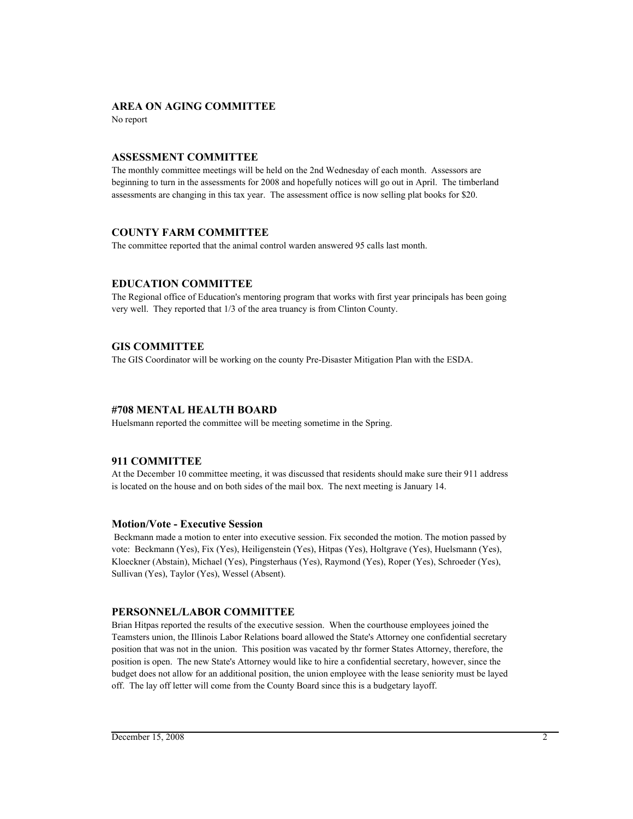## **AREA ON AGING COMMITTEE**

No report

## **ASSESSMENT COMMITTEE**

The monthly committee meetings will be held on the 2nd Wednesday of each month. Assessors are beginning to turn in the assessments for 2008 and hopefully notices will go out in April. The timberland assessments are changing in this tax year. The assessment office is now selling plat books for \$20.

## **COUNTY FARM COMMITTEE**

The committee reported that the animal control warden answered 95 calls last month.

## **EDUCATION COMMITTEE**

The Regional office of Education's mentoring program that works with first year principals has been going very well. They reported that 1/3 of the area truancy is from Clinton County.

## **GIS COMMITTEE**

The GIS Coordinator will be working on the county Pre-Disaster Mitigation Plan with the ESDA.

## **#708 MENTAL HEALTH BOARD**

Huelsmann reported the committee will be meeting sometime in the Spring.

## **911 COMMITTEE**

At the December 10 committee meeting, it was discussed that residents should make sure their 911 address is located on the house and on both sides of the mail box. The next meeting is January 14.

## **Motion/Vote - Executive Session**

 Beckmann made a motion to enter into executive session. Fix seconded the motion. The motion passed by vote: Beckmann (Yes), Fix (Yes), Heiligenstein (Yes), Hitpas (Yes), Holtgrave (Yes), Huelsmann (Yes), Kloeckner (Abstain), Michael (Yes), Pingsterhaus (Yes), Raymond (Yes), Roper (Yes), Schroeder (Yes), Sullivan (Yes), Taylor (Yes), Wessel (Absent).

## **PERSONNEL/LABOR COMMITTEE**

Brian Hitpas reported the results of the executive session. When the courthouse employees joined the Teamsters union, the Illinois Labor Relations board allowed the State's Attorney one confidential secretary position that was not in the union. This position was vacated by thr former States Attorney, therefore, the position is open. The new State's Attorney would like to hire a confidential secretary, however, since the budget does not allow for an additional position, the union employee with the lease seniority must be layed off. The lay off letter will come from the County Board since this is a budgetary layoff.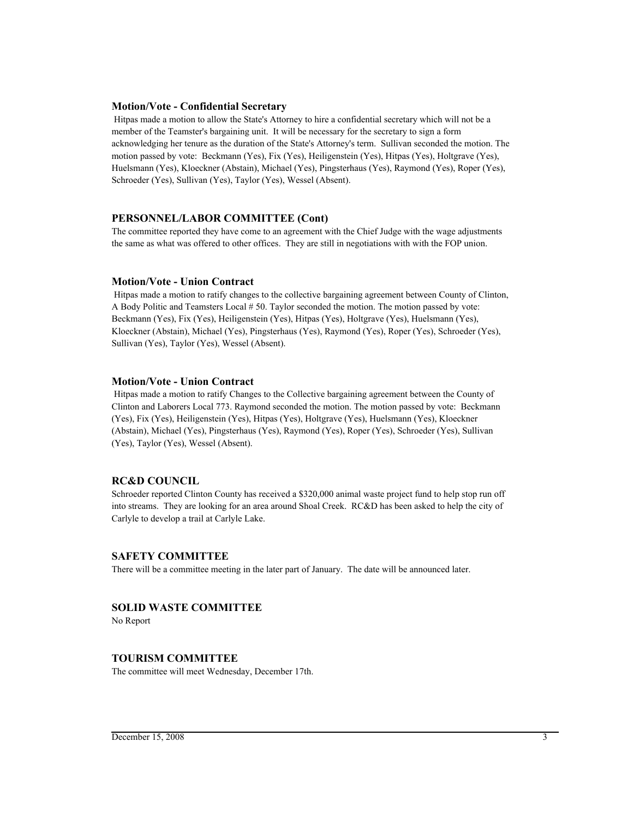#### **Motion/Vote - Confidential Secretary**

 Hitpas made a motion to allow the State's Attorney to hire a confidential secretary which will not be a member of the Teamster's bargaining unit. It will be necessary for the secretary to sign a form acknowledging her tenure as the duration of the State's Attorney's term. Sullivan seconded the motion. The motion passed by vote: Beckmann (Yes), Fix (Yes), Heiligenstein (Yes), Hitpas (Yes), Holtgrave (Yes), Huelsmann (Yes), Kloeckner (Abstain), Michael (Yes), Pingsterhaus (Yes), Raymond (Yes), Roper (Yes), Schroeder (Yes), Sullivan (Yes), Taylor (Yes), Wessel (Absent).

#### **PERSONNEL/LABOR COMMITTEE (Cont)**

The committee reported they have come to an agreement with the Chief Judge with the wage adjustments the same as what was offered to other offices. They are still in negotiations with with the FOP union.

#### **Motion/Vote - Union Contract**

 Hitpas made a motion to ratify changes to the collective bargaining agreement between County of Clinton, A Body Politic and Teamsters Local # 50. Taylor seconded the motion. The motion passed by vote: Beckmann (Yes), Fix (Yes), Heiligenstein (Yes), Hitpas (Yes), Holtgrave (Yes), Huelsmann (Yes), Kloeckner (Abstain), Michael (Yes), Pingsterhaus (Yes), Raymond (Yes), Roper (Yes), Schroeder (Yes), Sullivan (Yes), Taylor (Yes), Wessel (Absent).

### **Motion/Vote - Union Contract**

 Hitpas made a motion to ratify Changes to the Collective bargaining agreement between the County of Clinton and Laborers Local 773. Raymond seconded the motion. The motion passed by vote: Beckmann (Yes), Fix (Yes), Heiligenstein (Yes), Hitpas (Yes), Holtgrave (Yes), Huelsmann (Yes), Kloeckner (Abstain), Michael (Yes), Pingsterhaus (Yes), Raymond (Yes), Roper (Yes), Schroeder (Yes), Sullivan (Yes), Taylor (Yes), Wessel (Absent).

## **RC&D COUNCIL**

Schroeder reported Clinton County has received a \$320,000 animal waste project fund to help stop run off into streams. They are looking for an area around Shoal Creek. RC&D has been asked to help the city of Carlyle to develop a trail at Carlyle Lake.

#### **SAFETY COMMITTEE**

There will be a committee meeting in the later part of January. The date will be announced later.

#### **SOLID WASTE COMMITTEE**

No Report

#### **TOURISM COMMITTEE**

The committee will meet Wednesday, December 17th.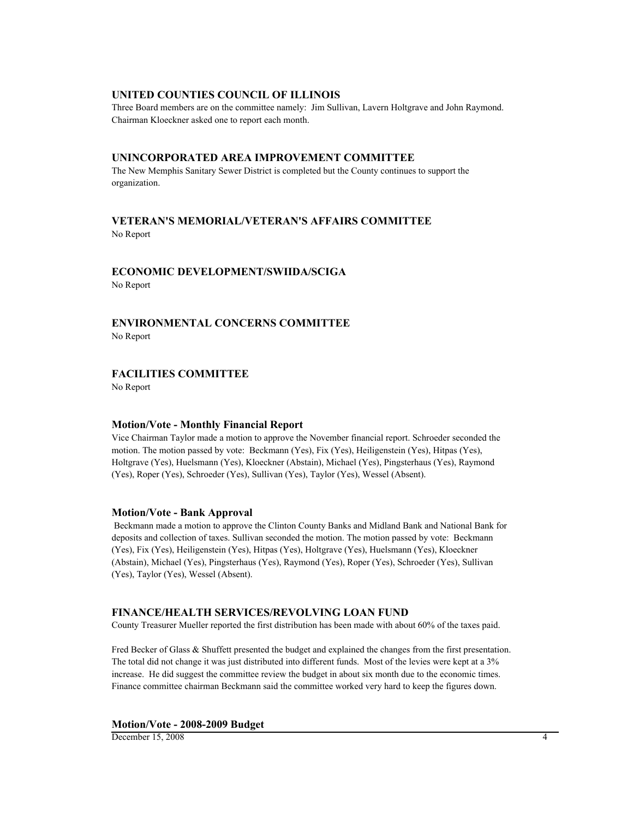## **UNITED COUNTIES COUNCIL OF ILLINOIS**

Three Board members are on the committee namely: Jim Sullivan, Lavern Holtgrave and John Raymond. Chairman Kloeckner asked one to report each month.

#### **UNINCORPORATED AREA IMPROVEMENT COMMITTEE**

The New Memphis Sanitary Sewer District is completed but the County continues to support the organization.

# **VETERAN'S MEMORIAL/VETERAN'S AFFAIRS COMMITTEE**

No Report

# **ECONOMIC DEVELOPMENT/SWIIDA/SCIGA**

No Report

# **ENVIRONMENTAL CONCERNS COMMITTEE**

No Report

## **FACILITIES COMMITTEE**

No Report

### **Motion/Vote - Monthly Financial Report**

Vice Chairman Taylor made a motion to approve the November financial report. Schroeder seconded the motion. The motion passed by vote: Beckmann (Yes), Fix (Yes), Heiligenstein (Yes), Hitpas (Yes), Holtgrave (Yes), Huelsmann (Yes), Kloeckner (Abstain), Michael (Yes), Pingsterhaus (Yes), Raymond (Yes), Roper (Yes), Schroeder (Yes), Sullivan (Yes), Taylor (Yes), Wessel (Absent).

#### **Motion/Vote - Bank Approval**

 Beckmann made a motion to approve the Clinton County Banks and Midland Bank and National Bank for deposits and collection of taxes. Sullivan seconded the motion. The motion passed by vote: Beckmann (Yes), Fix (Yes), Heiligenstein (Yes), Hitpas (Yes), Holtgrave (Yes), Huelsmann (Yes), Kloeckner (Abstain), Michael (Yes), Pingsterhaus (Yes), Raymond (Yes), Roper (Yes), Schroeder (Yes), Sullivan (Yes), Taylor (Yes), Wessel (Absent).

## **FINANCE/HEALTH SERVICES/REVOLVING LOAN FUND**

County Treasurer Mueller reported the first distribution has been made with about 60% of the taxes paid.

Fred Becker of Glass & Shuffett presented the budget and explained the changes from the first presentation. The total did not change it was just distributed into different funds. Most of the levies were kept at a 3% increase. He did suggest the committee review the budget in about six month due to the economic times. Finance committee chairman Beckmann said the committee worked very hard to keep the figures down.

#### **Motion/Vote - 2008-2009 Budget**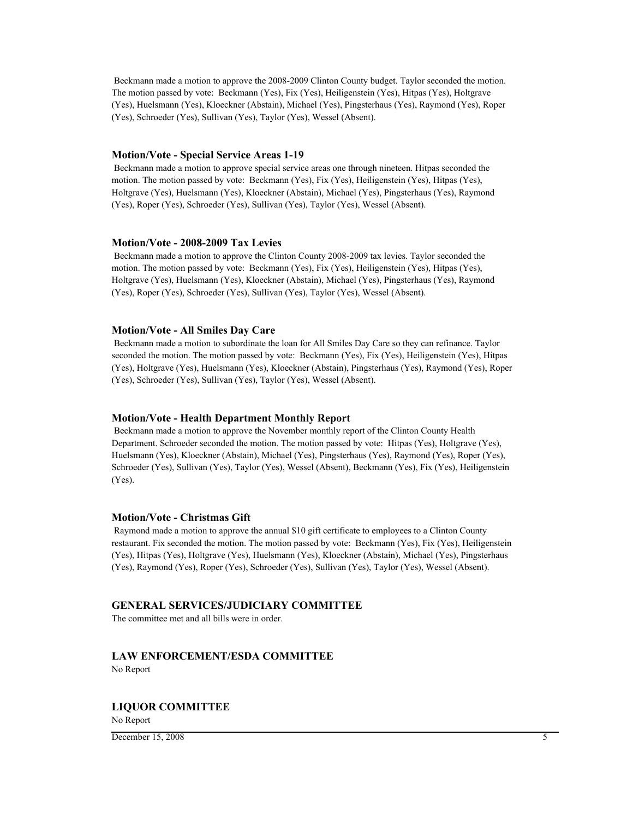Beckmann made a motion to approve the 2008-2009 Clinton County budget. Taylor seconded the motion. The motion passed by vote: Beckmann (Yes), Fix (Yes), Heiligenstein (Yes), Hitpas (Yes), Holtgrave (Yes), Huelsmann (Yes), Kloeckner (Abstain), Michael (Yes), Pingsterhaus (Yes), Raymond (Yes), Roper (Yes), Schroeder (Yes), Sullivan (Yes), Taylor (Yes), Wessel (Absent).

#### **Motion/Vote - Special Service Areas 1-19**

 Beckmann made a motion to approve special service areas one through nineteen. Hitpas seconded the motion. The motion passed by vote: Beckmann (Yes), Fix (Yes), Heiligenstein (Yes), Hitpas (Yes), Holtgrave (Yes), Huelsmann (Yes), Kloeckner (Abstain), Michael (Yes), Pingsterhaus (Yes), Raymond (Yes), Roper (Yes), Schroeder (Yes), Sullivan (Yes), Taylor (Yes), Wessel (Absent).

#### **Motion/Vote - 2008-2009 Tax Levies**

 Beckmann made a motion to approve the Clinton County 2008-2009 tax levies. Taylor seconded the motion. The motion passed by vote: Beckmann (Yes), Fix (Yes), Heiligenstein (Yes), Hitpas (Yes), Holtgrave (Yes), Huelsmann (Yes), Kloeckner (Abstain), Michael (Yes), Pingsterhaus (Yes), Raymond (Yes), Roper (Yes), Schroeder (Yes), Sullivan (Yes), Taylor (Yes), Wessel (Absent).

#### **Motion/Vote - All Smiles Day Care**

 Beckmann made a motion to subordinate the loan for All Smiles Day Care so they can refinance. Taylor seconded the motion. The motion passed by vote: Beckmann (Yes), Fix (Yes), Heiligenstein (Yes), Hitpas (Yes), Holtgrave (Yes), Huelsmann (Yes), Kloeckner (Abstain), Pingsterhaus (Yes), Raymond (Yes), Roper (Yes), Schroeder (Yes), Sullivan (Yes), Taylor (Yes), Wessel (Absent).

#### **Motion/Vote - Health Department Monthly Report**

 Beckmann made a motion to approve the November monthly report of the Clinton County Health Department. Schroeder seconded the motion. The motion passed by vote: Hitpas (Yes), Holtgrave (Yes), Huelsmann (Yes), Kloeckner (Abstain), Michael (Yes), Pingsterhaus (Yes), Raymond (Yes), Roper (Yes), Schroeder (Yes), Sullivan (Yes), Taylor (Yes), Wessel (Absent), Beckmann (Yes), Fix (Yes), Heiligenstein (Yes).

#### **Motion/Vote - Christmas Gift**

 Raymond made a motion to approve the annual \$10 gift certificate to employees to a Clinton County restaurant. Fix seconded the motion. The motion passed by vote: Beckmann (Yes), Fix (Yes), Heiligenstein (Yes), Hitpas (Yes), Holtgrave (Yes), Huelsmann (Yes), Kloeckner (Abstain), Michael (Yes), Pingsterhaus (Yes), Raymond (Yes), Roper (Yes), Schroeder (Yes), Sullivan (Yes), Taylor (Yes), Wessel (Absent).

### **GENERAL SERVICES/JUDICIARY COMMITTEE**

The committee met and all bills were in order.

# **LAW ENFORCEMENT/ESDA COMMITTEE**

No Report

## **LIQUOR COMMITTEE**

No Report

December 15, 2008 5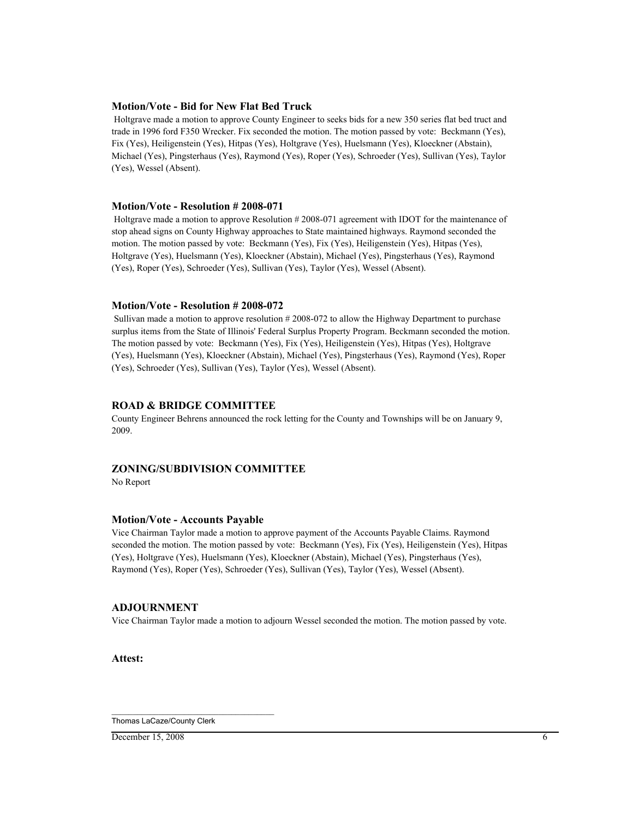#### **Motion/Vote - Bid for New Flat Bed Truck**

 Holtgrave made a motion to approve County Engineer to seeks bids for a new 350 series flat bed truct and trade in 1996 ford F350 Wrecker. Fix seconded the motion. The motion passed by vote: Beckmann (Yes), Fix (Yes), Heiligenstein (Yes), Hitpas (Yes), Holtgrave (Yes), Huelsmann (Yes), Kloeckner (Abstain), Michael (Yes), Pingsterhaus (Yes), Raymond (Yes), Roper (Yes), Schroeder (Yes), Sullivan (Yes), Taylor (Yes), Wessel (Absent).

#### **Motion/Vote - Resolution # 2008-071**

 Holtgrave made a motion to approve Resolution # 2008-071 agreement with IDOT for the maintenance of stop ahead signs on County Highway approaches to State maintained highways. Raymond seconded the motion. The motion passed by vote: Beckmann (Yes), Fix (Yes), Heiligenstein (Yes), Hitpas (Yes), Holtgrave (Yes), Huelsmann (Yes), Kloeckner (Abstain), Michael (Yes), Pingsterhaus (Yes), Raymond (Yes), Roper (Yes), Schroeder (Yes), Sullivan (Yes), Taylor (Yes), Wessel (Absent).

### **Motion/Vote - Resolution # 2008-072**

 Sullivan made a motion to approve resolution # 2008-072 to allow the Highway Department to purchase surplus items from the State of Illinois' Federal Surplus Property Program. Beckmann seconded the motion. The motion passed by vote: Beckmann (Yes), Fix (Yes), Heiligenstein (Yes), Hitpas (Yes), Holtgrave (Yes), Huelsmann (Yes), Kloeckner (Abstain), Michael (Yes), Pingsterhaus (Yes), Raymond (Yes), Roper (Yes), Schroeder (Yes), Sullivan (Yes), Taylor (Yes), Wessel (Absent).

## **ROAD & BRIDGE COMMITTEE**

County Engineer Behrens announced the rock letting for the County and Townships will be on January 9, 2009.

## **ZONING/SUBDIVISION COMMITTEE**

No Report

## **Motion/Vote - Accounts Payable**

Vice Chairman Taylor made a motion to approve payment of the Accounts Payable Claims. Raymond seconded the motion. The motion passed by vote: Beckmann (Yes), Fix (Yes), Heiligenstein (Yes), Hitpas (Yes), Holtgrave (Yes), Huelsmann (Yes), Kloeckner (Abstain), Michael (Yes), Pingsterhaus (Yes), Raymond (Yes), Roper (Yes), Schroeder (Yes), Sullivan (Yes), Taylor (Yes), Wessel (Absent).

#### **ADJOURNMENT**

Vice Chairman Taylor made a motion to adjourn Wessel seconded the motion. The motion passed by vote.

**Attest:**

\_\_\_\_\_\_\_\_\_\_\_\_\_\_\_\_\_\_\_\_\_\_\_\_\_\_\_\_\_\_\_\_\_\_\_\_\_\_ Thomas LaCaze/County Clerk

 $D$  December 15, 2008 6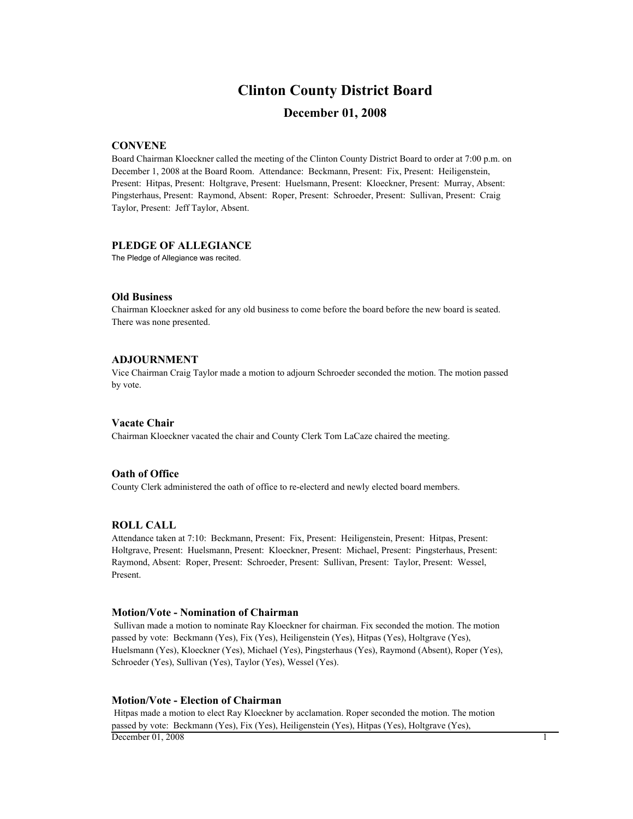## **Clinton County District Board**

## **December 01, 2008**

### **CONVENE**

Board Chairman Kloeckner called the meeting of the Clinton County District Board to order at 7:00 p.m. on December 1, 2008 at the Board Room. Attendance: Beckmann, Present: Fix, Present: Heiligenstein, Present: Hitpas, Present: Holtgrave, Present: Huelsmann, Present: Kloeckner, Present: Murray, Absent: Pingsterhaus, Present: Raymond, Absent: Roper, Present: Schroeder, Present: Sullivan, Present: Craig Taylor, Present: Jeff Taylor, Absent.

#### **PLEDGE OF ALLEGIANCE**

The Pledge of Allegiance was recited.

### **Old Business**

Chairman Kloeckner asked for any old business to come before the board before the new board is seated. There was none presented.

#### **ADJOURNMENT**

Vice Chairman Craig Taylor made a motion to adjourn Schroeder seconded the motion. The motion passed by vote.

#### **Vacate Chair**

Chairman Kloeckner vacated the chair and County Clerk Tom LaCaze chaired the meeting.

#### **Oath of Office**

County Clerk administered the oath of office to re-electerd and newly elected board members.

#### **ROLL CALL**

Attendance taken at 7:10: Beckmann, Present: Fix, Present: Heiligenstein, Present: Hitpas, Present: Holtgrave, Present: Huelsmann, Present: Kloeckner, Present: Michael, Present: Pingsterhaus, Present: Raymond, Absent: Roper, Present: Schroeder, Present: Sullivan, Present: Taylor, Present: Wessel, Present.

#### **Motion/Vote - Nomination of Chairman**

 Sullivan made a motion to nominate Ray Kloeckner for chairman. Fix seconded the motion. The motion passed by vote: Beckmann (Yes), Fix (Yes), Heiligenstein (Yes), Hitpas (Yes), Holtgrave (Yes), Huelsmann (Yes), Kloeckner (Yes), Michael (Yes), Pingsterhaus (Yes), Raymond (Absent), Roper (Yes), Schroeder (Yes), Sullivan (Yes), Taylor (Yes), Wessel (Yes).

#### **Motion/Vote - Election of Chairman**

 Hitpas made a motion to elect Ray Kloeckner by acclamation. Roper seconded the motion. The motion passed by vote: Beckmann (Yes), Fix (Yes), Heiligenstein (Yes), Hitpas (Yes), Holtgrave (Yes), December  $01, 2008$  1